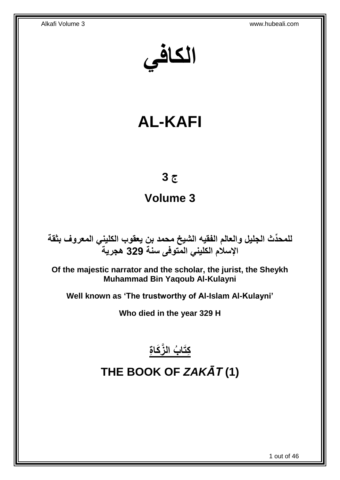**الكافي**

# **AL-KAFI**

## **ج 3**

## **Volume 3**

**دث الجليل والعالم الفقيه الشيخ محمد بن يعقوب الكليني المعروف بثقة للمح ِّ اإلسالم الكليني المتوفى سنة 329 هجرية**

**Of the majestic narrator and the scholar, the jurist, the Sheykh Muhammad Bin Yaqoub Al-Kulayni**

**Well known as 'The trustworthy of Al-Islam Al-Kulayni'**

**Who died in the year 329 H**



# <span id="page-0-0"></span>**THE BOOK OF** *ZAKĀT* **(1)**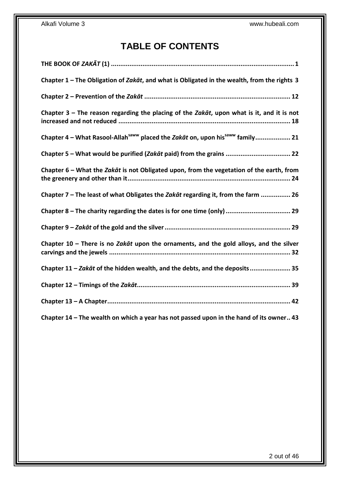## **TABLE OF CONTENTS**

| Chapter 1 - The Obligation of Zakat, and what is Obligated in the wealth, from the rights 3           |
|-------------------------------------------------------------------------------------------------------|
|                                                                                                       |
| Chapter $3$ – The reason regarding the placing of the Zakat, upon what is it, and it is not           |
| Chapter 4 – What Rasool-Allah <sup>saww</sup> placed the Zakat on, upon his <sup>saww</sup> family 21 |
| Chapter 5 – What would be purified (Zakāt paid) from the grains  22                                   |
| Chapter 6 - What the Zakat is not Obligated upon, from the vegetation of the earth, from              |
| Chapter 7 – The least of what Obligates the Zakat regarding it, from the farm  26                     |
|                                                                                                       |
|                                                                                                       |
| Chapter $10$ – There is no Zakat upon the ornaments, and the gold alloys, and the silver              |
| Chapter 11 - Zakāt of the hidden wealth, and the debts, and the deposits 35                           |
|                                                                                                       |
|                                                                                                       |
| Chapter 14 – The wealth on which a year has not passed upon in the hand of its owner 43               |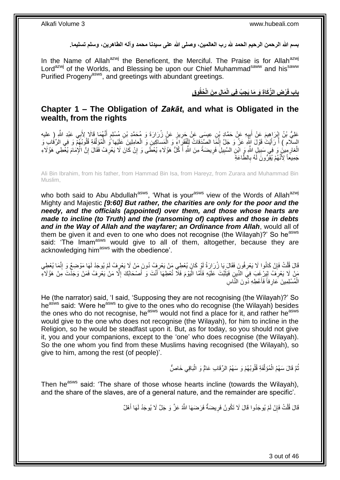بسم الله الرحمن الرحيم الحمد لله رب العالمين، وصل*ى* الله على سيدنا محمد وآله الطاهرين، وسلم تسليما<sub>.</sub>

In the Name of Allah<sup>azwj</sup> the Beneficent, the Merciful. The Praise is for Allah<sup>azwj</sup> Lord<sup>azwj</sup> of the Worlds, and Blessing be upon our Chief Muhammad<sup>saww</sup> and his<sup>saww</sup> Purified Progeny<sup>asws</sup>, and greetings with abundant greetings.

باب فَرْضِ الزَّكَاةِ وَ مَا يَجِبُ فِى الْمَالِ مِنَ الْحُقُوقِ

### <span id="page-2-0"></span>**Chapter 1 – The Obligation of** *Zakāt***, and what is Obligated in the wealth, from the rights**

عَلِيُّ بْنُ إِبْرَاهِيمَ عَنْ أَبِيِهِ عَنْ حَمَّادِ بْنِ عِيسَى عَنْ حَرِيزٍ عَنْ زُرَارَةَ وَ مُحَمَّدِ بْنِ مُسْلِمٍ أَنَّهُمَا قَالَا إِلَٰٓئِي عَبْدِ اللَّهِ ( عليه َ ֧֧֚֓֝֝֓֝ **∶** ِ َ ؚ السلّام ) أَ رَأَيْتَ قَوْلَ اللَّهِ عَزَّ وَ جَلَّ إِنَّمَا الصَّدِّقَاتُ لِلْفُقَرِّ إِمَّ وَ الْمِسَاكِينِ وَ الْعامِلِينَ عَلَيْها وَ الْمُؤَلِّفَةِ قُلُوبُهُمْ وَ فِي الرَّقَابِ وَ ْ ِ َ ا<br>ا َّ ْ ْ ْ الْغارِمِينَ وَ فِي سَبِيلٍ اللَّهِ وَ ابْنِ السَّبِيلَ فَرِيضَةً مِنَ اللَّهِ أَ كُلُّ هَؤُلَاءِ يُعْطَى وَ إِنْ كَانَ لَا يَعْرِفُ فَقَالَ إِنَّ الْإِمَامَ يُغْطِي هَؤُلَاءِ ِ َ **∶ ! ! ∶** ِ **∶** جَمِيعاً لِأَنَّهُمْ يُقِرُّونَ لَهُ بِالطَّاعَةِ ِ

Ali Bin Ibrahim, from his father, from Hammad Bin Isa, from Hareyz, from Zurara and Muhammad Bin Muslim,

who both said to Abu Abdullah<sup>asws</sup>, 'What is your<sup>asws</sup> view of the Words of Allah<sup>azwj</sup> Mighty and Majestic *[9:60] But rather, the charities are only for the poor and the needy, and the officials (appointed) over them, and those whose hearts are made to incline (to Truth) and the (ransoming of) captives and those in debts and in the Way of Allah and the wayfarer; an Ordinance from Allah*, would all of them be given it and even to one who does not recognise (the Wilayah)?' So he<sup>asws</sup> said: 'The Imam<sup>asws</sup> would give to all of them, altogether, because they are acknowledging him<sup>asws</sup> with the obedience'.

قَالَ قُلْتُ فَإِنْ كَانُوا لَا يَعْرِفُونَ فَقَالَ يَا زُرَارَةُ لَوْ كَانَ يُعْطِي مَنْ يَعْرِفُ دُونَ مَنْ لَا يَعْرِفُ لَمْ يُوجَدْ لَهَا مَوْضِعٌ وَ إِنَّمَا يُعْطِي ِ ِ **∶** ِ ْ ِ مَنْ لَا يَعْرِفُ لِيَرْغَبَ فِيَ الدِّينِ فَيَثْبُتَ عَلَيْهِ فَأَمَّا الْيَوْمَ فَلَا تُعْطِهَا أَنْتَ وَ أَصْحَابُكَ إِلَّا مَنْ يَعْرِفُ فَمَنْ وَجَدَّتَ مَِنْ هَؤُلَاءِ ْ َ ْ ِ ِ ِ َ َ الْمُسْلِمِينَ كَارِفاً فَأَعْطِهِ دُونَ النَّاسِ َ ِ ْ

He (the narrator) said, 'I said, 'Supposing they are not recognising (the Wilayah)?' So heasive said: 'Were he<sup>asws</sup> to give to the ones who do recognise (the Wilayah) besides the ones who do not recognise, he<sup>asws</sup> would not find a place for it, and rather he<sup>asws</sup> would give to the one who does not recognise (the Wilayah), for him to incline in the Religion, so he would be steadfast upon it. But, as for today, so you should not give it, you and your companions, except to the 'one' who does recognise (the Wilayah). So the one whom you find from these Muslims having recognised (the Wilayah), so give to him, among the rest (of people)'.

> نُّمَّ قَالَ سَهْمُ الْمُؤَلَّفَةِ قُلُوبُهُمْ وَ سَهْمُ الرِّقَابِ عَامٌّ وَ الْبَاقِي خَاصٌّ :<br>ا َّ ْ ُ

Then he<sup>asws</sup> said: 'The share of those whose hearts incline (towards the Wilayah), and the share of the slaves, are of a general nature, and the remainder are specific'.

> قَالَ قُلْتُ فَإِنْ لَمْ يُوجَدُوا قَالَ لَا تَكُونُ فَرِيضَةٌ فَرَضَـهَا اللَّهُ عَزَّ وَ جَلَّ لَا يُوجَدُ لَهَا أَهْلٌ ِ ِ ْ َ لَ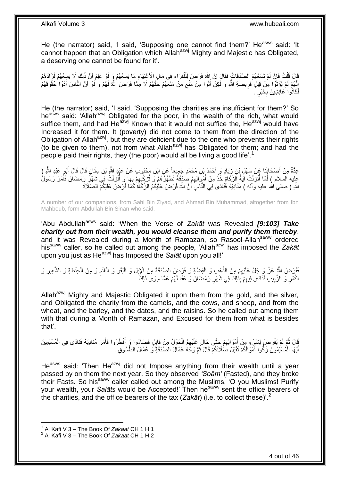He (the narrator) said, 'I said, 'Supposing one cannot find them?' He<sup>asws</sup> said: 'It cannot happen that an Obligation which Allah<sup>azwj</sup> Mighty and Majestic has Obligated, a deserving one cannot be found for it'.

ْفَالْ فُلْتُ فَإِنْ لَمْ تَسَعْهُمُ الصَّدَقَاتُ فَقَالَ إِنَّ اللَّهَ فَرَضَ لِلْفُقَرَاءِ فِي مَالِ الْأَغْنِيَاءِ مَا يَسَعُهُمْ وَ لَوْ عَلِمَ أَنَّ ذَلِكَ لَا يَسَعُهُمْ لَزِادَهُم ِ ْ اُ ْ יֲ<br>י إِنَّهُمْ لَمْ يُؤْثَوا مِنْ قِبَلِ فَرِيضَةِ اللَّهِ وَ لَكِنْ أَتُوا مِنْ مَنْعٍ مَنْ مَنَعَهُمْ حَقَّهُمْ لَا مِمَّا فَرَضَ اللَّهُ لَهُمْ وَ لَوْ أَنَّ النَّاسَ أَدَّوْا حُقُوقَهُمْ  $\zeta$ ا:<br>ا ِ ِ َ َ لَكَانُوا عَائِشِينَ بِخَيْرٍ . **∶** 

He (the narrator) said, 'I said, 'Supposing the charities are insufficient for them?' So he<sup>asws</sup> said: 'Allah<sup>azwj</sup> Obligated for the poor, in the wealth of the rich, what would suffice them, and had He<sup>azwj</sup> Known that it would not suffice the, He<sup>azwj</sup> would have Increased it for them. It (poverty) did not come to them from the direction of the Obligation of Allah<sup>azwj</sup>, but they are deficient due to the one who prevents their rights (to be given to them), not from what Allah $a$ <sup>zwj</sup> has Obligated for them; and had the people paid their rights, they (the poor) would all be living a good life'.<sup>1</sup>

عِدَّةٌ مِنْ أَصْحَابِنَا عَنْ سَهْلِ بْنِ زِيَادٍ وَ أَحْمَدَ بْنِ مُحَمَّدٍ جَمِيعاً عَنِ ابْنِ مَحْبُوبِ عَنْ عَبْدٍ اللَّهِ وَاللَّهِ عَلَيْهِ اللَّهِ إِلَيْهِ عَلَيْهِ اللَّهِ إِ َ ِ **∣** َ َ عِليه السلام ) لَمَّا أُنْزِلَتْ آيَةُ الزَّكَاةِ خُذْ مِنْ أَمْوَالِهِمْ صَدَقَةً تُطَهِّرُهُمْ وَ تُزَكِّيهِمْ بِها وَ أُنْزِلَتْ فِي شَهْرِ رَمَضَانَ فَأَمَرَ رَسُولُ ِ َ **ٔ** ِ ا<br>ا َ **∶** ُ ِ اللَّهِ ( صلى الله عليه وآله ) مُنَادِيَهُ فَنَادَى فِي النَّاسِ أَنَّ اللَّهَ فَرَضَ عَلَّيْكُمُ الزَّكَاةَ كَمَا فَرَضَ عَلَيْكُمُ الصَّلَاةَ اُ

A number of our companions, from Sahl Bin Ziyad, and Ahmad Bin Muhammad, altogether from Ibn Mahboub, form Abdullah Bin Sinan who said,

'Abu Abdullah<sup>asws</sup> said: 'When the Verse of Zakat was Revealed [9:103] Take *charity out from their wealth, you would cleanse them and purify them thereby*, and it was Revealed during a Month of Ramazan, so Rasool-Allah<sup>saww</sup> ordered his<sup>saww</sup> caller, so he called out among the people, 'Allah<sup>azwj</sup> has imposed the Zakat upon you just as He<sup>azwj</sup> has Imposed the *Salāt* upon you all!'

َفَفَرَضَ اللَّهُ عَزَّ وَ جَلَّ عَلَيْهِمْ مِنَ الذَّهَبِ وَ الْفِضَّةِ وَ فَرَضَ الصَّدَقَةَ مِنَ الْإِبِلِ وَ الْبَقَرِ وَ الْغَنَمِ وَ مِنَ الْحِنْطَةِ وَ الشَّعِيرِ وَ ِ ْ ْ ِ ِ ْ ِ ْ النَّمْرِ وَ الزَّبِيبِ فَنَادَى فِيهِمْ بِذَٰلِكَ فِي شَهْرِ رَمَضَانَ وَ عَفَا لَهُمْ عَمَّا سِوَى ذَلِكَ ِ ِ **! ∶** 

Allah<sup>azwj</sup> Mighty and Majestic Obligated it upon them from the gold, and the silver, and Obligated the charity from the camels, and the cows, and sheep, and from the wheat, and the barley, and the dates, and the raisins. So he called out among them with that during a Month of Ramazan, and Excused for them from what is besides that'.

َفَلْ نُمَّ لَمْ يَفْرِضْ لِشَيْءٍ مِنْ أَمْوَالِهِمْ حَتَّى حَالَ عَلَيْهِمُ الْحَوْلُ مِنْ قَابِلٍ فَصَامُوا وَ أَفْطَرُوا فَأَمَرَ مُنَادِيَهُ فَنَادَى فِي الْمُسْلِمِينَ ِ ان<br>سال َ ِ ْ ِ ْ أَيُّهَا الْمُسْلِمُونَّ زَكُّوا أَمَّوَالَكُمْ تُقْبَلُ صَلَاتُكُمْ قَالَ ثُمَّ وَجَّهُ عُمَّالَ الصَّدَقَةِ وَ عُمَّالَ الطِّسُوقِ ۖ. ان<br>المقام المقام المقام المقام المقام المقام المقام المقام المقام المقام المقام المقام المقام المقام المقام المقا َ ْ َ

He<sup>asws</sup> said: 'Then He<sup>azwj</sup> did not Impose anything from their wealth until a year passed by on them the next year. So they observed *'Soām'* (Fasted), and they broke their Fasts. So his<sup>saww</sup> caller called out among the Muslims, 'O you Muslims! Purify your wealth, your *Salāts* would be Accepted!' Then hesaww sent the office bearers of the charities, and the office bearers of the tax (*Zakāt*) (i.e. to collect these)'.<sup>2</sup>

<sup>1</sup> Al Kafi V 3 – The Book Of *Zakaat* CH 1 H 1

<sup>2</sup> Al Kafi V 3 – The Book Of *Zakaat* CH 1 H 2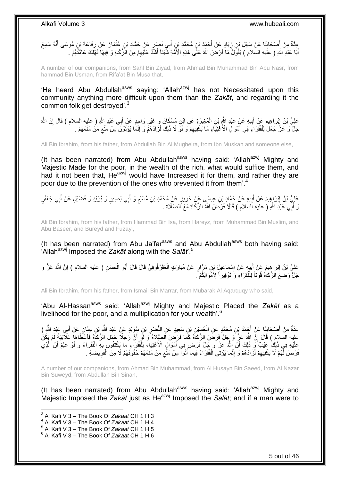عِدَّةٌ مِنْ أُصْحَابِنَا عَنْ سَهْلِ بْنِ زِيَادٍ عَنْ أُحْمَدَ بْنِ مُحَمَّدِ بْنِ أَبِي نَصْرٍ عَنْ حَمَّادِ بْنِ عُثْمَانَ عَنْ رِفَاعَةَ بْنِ مُوسَى أَنَّهُ سَمِعَ **ٔ** َ ِ **∣** َ ِ َ اَّبَا عَبْدِ اللَّهِ ( عليه السلام ) يَقُولُ مَا فَرَضَ اللَّهُ عَلَّى هَذِهِ الْأُمَّةِ شَّيْئاً أَشَدَّ عَلَّيهِمْ مِنَ الْزَّكَاةِ وَ فِيهَا تَهْلِّكُ عَامَّتُهُمْ ـ ِ َ َ

A number of our companions, from Sahl Bin Ziyad, from Ahmad Bin Muhammad Bin Abu Nasr, from hammad Bin Usman, from Rifa'at Bin Musa that,

'He heard Abu Abdullah<sup>asws</sup> saying: 'Allah<sup>azwj</sup> has not Necessitated upon this community anything more difficult upon them than the *Zakāt*, and regarding it the common folk get destroyed'.<sup>3</sup>

ِ عَلِيُّ بْنُ إِبْرَاهِيمَ عَنْ أَبِيهِ عَنٍْ عَبْدِ اللَّهِ بْنِ الْمُغِيرَةِ عَنِ ابْنِ مُسْكَانَ وَ غَيْرِ وَاحِدٍ عَنْ أَبِي عَبْدِ اللَّهِ ( عليه السلام ) قَالَ إِنَّ اللَّهَ َ ِ ْ **!** َ ।<br>उ ِ جَلَّ ۖ وَ عَزُّ جَعَلَ لِلْفُقَرَاءِ فِي أَمْوَالِ الْأَغْنِيَّاءِ مَا يَكْفِيهِمْ وَ لَوْ لَا ذَلِكَ لَزَادَهُمْ وَ إِنَّمَا يُوْتَوْنَ مِنْ مَنْعِ مَنْ مَنَعَهُمْ . َ ْ ِ ِ ِ

Ali Bin Ibrahim, from his father, from Abdullah Bin Al Mugheira, from Ibn Muskan and someone else,

(It has been narrated) from Abu Abdullah<sup>asws</sup> having said: 'Allah<sup>azwj</sup> Mighty and Majestic Made for the poor, in the wealth of the rich, what would suffice them, and had it not been that,  $He^{azwj}$  would have Increased it for them, and rather they are poor due to the prevention of the ones who prevented it from them'.<sup>4</sup>

عَلِيُّ بْنُ إِبْرَاهِيمَ عَنْ أَبِيهِ عَنْ حَمَّادِ بْنِ عِيسَيٍّ عَنْ حَرِينٍ عَنِْ مُحَمَّدِ بْنِ مُسْلِمٍ وَ أَبِي بَصِيرٍ وَ بُرَيْدٍ وَ فُضَيْلٍ عَنْ أَبِي جَعْفَرٍ َ ٍ **∶ !** ِ َ نَ أَبِّي عَلْدِ اللَّهِ ( عليه اَلسلام ) قَالَا فَرَضَ اللَّهُ الزَّكَاةَ مَعَ ًالصَّلَاةِ .

Ali Bin Ibrahim, from his father, from Hammad Bin Isa, from Hareyz, from Muhammad Bin Muslim, and Abu Baseer, and Bureyd and Fuzayl,

(It has been narrated) from Abu Ja'far $a<sup>asws</sup>$  and Abu Abdullah $a<sup>asws</sup>$  both having said: 'Allah<sup>azwj</sup> Imposed the *Zakāt* along with the *Salāt*'.<sup>5</sup>

ْ عَلِيُّ بْنُ إِبْرَاهِيمَ عَنْ أَبِيهِ عَنْ إِسْمَاعِيلٍ بْنِ مَرَّارٍ عَنْ مُبَارَكٍ الْعَقَرْقُوفِيِّ قَالَ قَالَ أَبُو الْحَسَنِ ( عليه السلام ) إِنَّ اللَّه عَزَّ وَ َ ْ ا<br>: ِ َ ِ ِ جَلَّ ۖ وَضَعَ الزَّكَاٰةَ قُوتاً لِّلْفُقَرَاءِ وَ تَوْفِيراً لِأَمْوَالِكُمْ ۗ . ْ

Ali Bin Ibrahim, from his father, from Ismail Bin Marrar, from Mubarak Al Aqarquqy who said,

'Abu Al-Hassan<sup>asws</sup> said: 'Allah<sup>azwj</sup> Mighty and Majestic Placed the Zakāt as a livelihood for the poor, and a multiplication for your wealth<sup>'.6</sup>

عِدَّةٌ مِنْ أَصْحَابِنَا عَنْ أَجْمَدَ يْنِ مُحَمَّدٍ عَنِ الْحُسَيْنِ بْنِ سَعِيدٍ عَنِ النَّصْرِ بْنِ سُوَيدٍ عَنْ عَبْدِ اللَّهِ بْنِ سِنَانٍ عَنْ أَبِي عَبْدِ اللَّهِ ( ِ ْ َ ِ َ َ عليه السلام ) قَالَ إِنَّ اللَّهَ عَزٍّ وَ جَلَّ فَرَضَ الزَّكَاةَ كَمَا فَرَضٍ اَلصَّلَاةَ وَ لَوْ أَنَّ رَجُلًا حَمَلَ الزَّكَاةَ فَأَعْطَاهَا عَلَانِيَةً لَمْ يَكُنُّ ً َ َ عَلَيْهِ فِي ذَلِكَ عَيْبٌ ۚ وَ ذَلِكَ أَنَّ إِللَّهَ عَنَّ وَ جَلَّ فَرَضَ فِي أَمْوَالٍ الْأَغْنِيَاءِ لِلْفُقَرَاءِ مَا يَكْتَفُونَ بِهِ الْفُقَرَاءُ وَ لَوْ عَلِمَ أَنَّ الَّذِي ْ َ ْ ِ َّ َ فَرَضَ لَّهُمْ لَا يَكْفِيهِمْ لَزَادَهُمْ وَ إِنَّمَا يُؤْتَى الْفُقَرَاءُ فِيمَا أَتُوآ مِنْ مَنْع مَنْ مَنَعَهُمْ حُقُوقَهُمْ لَا مِنَ الْفَرِيضَةِ . ِ ا:<br>ا ْ ِ ِ ِ ْ

A number of our companions, from Ahmad Bin Muhammad, from Al Husayn Bin Saeed, from Al Nazar Bin Suweyd, from Abdullah Bin Sinan,

(It has been narrated) from Abu Abdullah<sup>asws</sup> having said: 'Allah<sup>azwj</sup> Mighty and Majestic Imposed the *Zakāt* just as Heazwj Imposed the *Salāt*; and if a man were to

 3 Al Kafi V 3 – The Book Of *Zakaat* CH 1 H 3

<sup>4</sup> Al Kafi V 3 – The Book Of *Zakaat* CH 1 H 4

<sup>5</sup> Al Kafi V 3 – The Book Of *Zakaat* CH 1 H 5

<sup>6</sup> Al Kafi V 3 – The Book Of *Zakaat* CH 1 H 6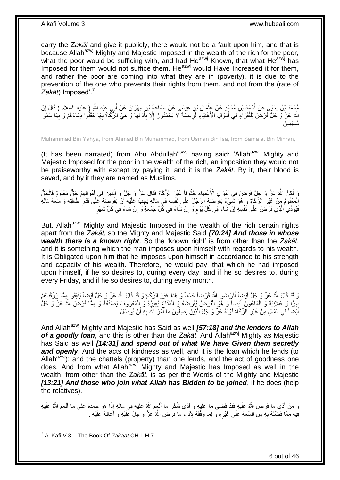carry the *Zakāt* and give it publicly, there would not be a fault upon him, and that is because Allah<sup>azwj</sup> Mighty and Majestic Imposed in the wealth of the rich for the poor, what the poor would be sufficing with, and had He<sup>azwj</sup> Known, that what He<sup>azwj</sup> has Imposed for them would not suffice them. He $^{azwj}$  would Have Increased it for them, and rather the poor are coming into what they are in (poverty), it is due to the prevention of the one who prevents their rights from them, and not from the (rate of *Zakāt*) Imposed'.<sup>7</sup>

مُحَمَّدُ بِْنُ يَحْيَىِ عَنْ أَحْمَدَ بْنِ مُحَمَّدٍ عَنْ عُثْمَانَ بْنِ عِيسَىِ عَنْ سَمَاعَةَ بْنِ مِهْرَانَ عَنْ أَبِي عَبْدِ اللَّهِ ( عليه السلام ) قَالَ إِنَّ ِ َ ْ اللَّهَ عَزَّ وَ جَلَّ فَرَضَ لِلْفُقَرَاءِ فِي أَمُوَالِ الْأَغْنِيَاءِ فَرِيضَةً لَّا يُحْمَدُونَ إِلَّا بِأَدَائِهَا وَ هِيَ الزَّكَاةُ بِهَا حَقَنُوا دِمَاءَهُمْ وَ ٰبِهَا سُمُّوا َ ِ ِ **∶** َ ْ ِ **∶** مُسْلِمِينَ

Muhammad Bin Yahya, from Ahmad Bin Muhammad, from Usman Bin Isa, from Sama'at Bin Mihran,

(It has been narrated) from Abu Abdullah<sup>asws</sup> having said: 'Allah<sup>azwj</sup> Mighty and Majestic Imposed for the poor in the wealth of the rich, an imposition they would not be praiseworthy with except by paying it, and it is the *Zakāt*. By it, their blood is saved, and by it they are named as Muslims.

هَا لَكِنَّ اللَّهَ عَنَّ وَ جَلٍّ فَرَضٍ فِي أَمْوَالٍ الْأَغْنِيَاءِ حُقُوقاً غَيْرٍ الزَّكَاةِ فَقَالَ عَزَّ وَ جَلَّ وَ الَّذِينَ فِي أَمْوالِهِمْ حَقٍّ مَعْلُومٌ فَالْحَقُّ ِ َ َّ َ ْ الْمَعْلُومُ مِِنْ غَيْرِ الزَّكَاةِ وَ هُوَ شَيْءٌ يَفْرِضُهُ الرَّجُلُ عَلَى نَفْسِهِ فِي مَالِهِ يَجِبُ عَلَيْهِ أَنْ يَفْرِضَهُ عَلَى قَدْرِ طَاقَتِهِ وَ سَعَةِ مَالِهِ **∶ ∶** ِ ِ َ فَيُوَدِّي الَّذِي فَرَضَ عَلَى نَفْسِهِ إِنْ شَاءَ فَِي كُلِّ يَوْمٍ وَ إِنْ شَاءَ فِي كُلِّ جُمْعَةٍ وَ إِنْ شَاءَ فِي كُلِّ شَهْرٍ ِ ِ ٍ ِ َّ

But, Allah<sup>azwj</sup> Mighty and Majestic Imposed in the wealth of the rich certain rights apart from the *Zakāt*, so the Mighty and Majestic Said *[70:24] And those in whose wealth there is a known right*. So the 'known right' is from other than the *Zakāt*, and it is something which the man imposes upon himself with regards to his wealth. It is Obligated upon him that he imposes upon himself in accordance to his strength and capacity of his wealth. Therefore, he would pay, that which he had imposed upon himself, if he so desires to, during every day, and if he so desires to, during every Friday, and if he so desires to, during every month.

وَ قَدْ قَالَ اللَّهُ عَزَّ وَ جَلَّ أَيْضِاً أَقْرَِضُوا اللَّهَ قَرْضاً حَسَناً وَ هَذَا غَيْرُ الزَّكَاةِ وَ قَدْ قَالَ اللَّهُ عَزَّ وَ جَلَّ أَيْضاً يُنْفِقُوا مِمَّا رَرَفْناهُمْ َ َ َ سِرًّا وَ عَلاِنِيَةً وَ الْمَاعُونَ أَيْضاً وَ هُوَ الْقَرْضُ يُقْرِضُهُ وَ الْمَتَاعُ يُعِيرُهُ وَ اِلْمَعْرُوفُ يَصْنَعُهُ وَ مِمَّا فَرَضَ اللَّهُ عَزَّ وَ جَلَّ ْ ْ ِ ْ َ ْ أَيْضًاً فِي الْمَالِ مِنْ غَيْرِ ۖ الْزَّكَاةِ قَوْلُهُ عَزَّ وَ جَلَّ الَّذِينَ يَصِلُونَ ما أَمَرَ اللَّهُ بِهِ أَنْ يُوصَلَ َ َّ ا<br>ا ِ ْ َ ِ

And Allah<sup>azwj</sup> Mighty and Majestic has Said as well **[57:18] and the lenders to Allah** of a goodly loan, and this is other than the Zakat. And Allah<sup>azwj</sup> Mighty as Majestic has Said as well *[14:31] and spend out of what We have Given them secretly and openly*. And the acts of kindness as well, and it is the loan which he lends (to Allah<sup>azwj</sup>); and the chattels (property) than one lends, and the act of goodness one does. And from what Allah<sup>azwj</sup> Mighty and Majestic has Imposed as well in the wealth, from other than the *Zakāt*, is as per the Words of the Mighty and Majestic *[13:21] And those who join what Allah has Bidden to be joined*, if he does (help the relatives).

وَّ مَنْ أَدَّى مَا فَرَضَ اللَّهُ عَلَيْهِ فَقَدْ قَضَى مَا عَلَيْهِ وَ أَدًى شُكْرَ مَا أَنْعَمَ اللَّهُ عَلَيْهِ<br>وَ مَنْ أَدَّى مَا أَنْعَمَ اللَّهُ عَلَيْهِ فَقَدْ قَضَى مَا عَلَيْهِ وَ أَدًى شُكْرَ مَا أَنْعَمَ اللَّه َ َ َ فِيهِ مِمَّا فَضَّلَهُ بِهِ مِنَّ السَّعَةِ عَلَى غَيْرِهِ وَ لِمَا وَفَّقَهُ لِأَدَاءِ مَا فَرَضَ اللَّهُ عَزَّ وَ جَلَّ عَلَيْهِ وَ أَعَانَهُ عَلَيْهِ . ِ **∶** َ

7 Al Kafi V 3 – The Book Of *Zakaat* CH 1 H 7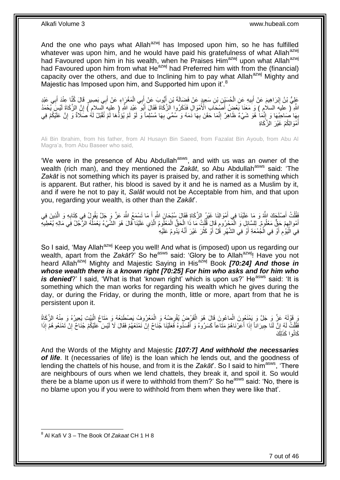And the one who pays what Allah $a^{2}$  has Imposed upon him, so he has fulfilled whatever was upon him, and he would have paid his gratefulness of what Allah<sup>azwj</sup> had Favoured upon him in his wealth, when he Praises Him<sup>azwj</sup> upon what Allah<sup>azwj</sup> had Favoured upon him from what He<sup>azwj</sup> had Preferred him with from the (financial) capacity over the others, and due to Inclining him to pay what Allah<sup>azwj</sup> Mighty and Majestic has Imposed upon him, and Supported him upon it'.<sup>8</sup>

عَلِيُّ بْنُ إِبْرَاهِيمَ عَنْ أَبِيهِ عَنِ الْحُسَيْنِ بْنِ سَعِيدٍ عَنْ فَضِبَالَةَ بْنِ أَيُّوبَ عَنْ أَبِي الْمَغْرَاءِ عَنْ أَبِي بَصِيرٍ قَالَ كُنَّا عِنْدَ أَبِي عَبْدِ <u>֖֚֚֚֓</u> َ ْ َ َ ْ **! ∶** َ اللَّهِ ( عَليه السلامِ ) وَ مَعَنَا بَعْضِ أَصْبِحَاكِ الْأُمْوَالِ فَذَكَرُوا الزَّكَاةَ فَقَالَ أَبُوَ عَبْدِ اللَّهِ ( عَليه السلامِ ) إِنَّ الزَّكَاةَ لَيْسَ يُحْمَدُ َ َ ِ بِهَا صَاحِبُهَا وَ إِنَّمَاْ هُوَ شَيْءٌ ظَاهِرٌ إِنَّمَا حَقَنَ بِهَا دَمَهُ وَ سُمِّيَ بِهَا مُسْلِماً وَ لَوْ لَمْ يُؤَدُّها لَمْ تُقْبَلْ لَهُ صَلَاةٌ وَ إِنَّ عَلَيْكُمْ فِي ֺ֦֧֦֧֦֧֦֦֦֧֦֧֦֧֦֧֦֧֦֧֦֧֦֧֦֦֧֦֧֦֧֦֧֦֧֦֧֦֧֦֧֦֧֦֧֦֧֦֧֦֧֦֧֦֧֦֧֦֧֦֚֝֟֝֟֝֬֝֟֓֞ ِ ِ **∶** ِ ِ أَمْوَ الِكُمْ غَيْرَ الزَّكَاةِ َ

Ali Bin Ibrahim, from his father, from Al Husayn Bin Saeed, from Fazalat Bin Ayoub, from Abu Al Magra'a, from Abu Baseer who said,

'We were in the presence of Abu Abdullah<sup>asws</sup>, and with us was an owner of the wealth (rich man), and they mentioned the *Zakāt*, so Abu Abdullah<sup>asws</sup> said: 'The *Zakāt* is not something which its payer is praised by, and rather it is something which is apparent. But rather, his blood is saved by it and he is named as a Muslim by it, and if were he not to pay it, *Salāt* would not be Acceptable from him, and that upon you, regarding your wealth, is other than the *Zakāt*'.

َفَقُلْتُ أَصْلَحَكَ اللَّهُ وَ مَا عَلَيْنَا فِي أَمْوَالِنَا غَيْرُ الزَّكَاةِ فَقَالَ سُبْحَانَ اللَّهِ أَ مَا تَسْمَعُ اللَّهَ عَزَّ وَ جَلَّ يَقُولُ فِي كِتَابِهِ وَ الَّذِينَ فِي َ َ َ .<br>ا َّ ِ أَمْوالِهِمْ حَقٍّ مَعْلُومٌ. لِلسَّائِلِ وَ الْمََحْرُومِ قَالٍ قُلْتُ مَا ذَا اِلْحَقُّ الْمَعْلُومُ الَّذِي عَلَيْنَا قَالَ هُوَ الشَّيْءُ يَعْمَلُهُ الزَّجْلُ فِي مَالِهِ يُعْطِيهِ َّ ْ ْ ْ ِ ْ ِ  $\overline{a}$ فِي الْيَوْمِ أَوْ فِي الْجُمْعَةِ أَوْ فِي الشَّهْرِ قُلَّ أَوْ كَثُرَ غَيْرَ أَنَّهُ يَدُومُ عَلَيْهِ َ رو<br>سا َ ِ َ ْ َ ِ

So I said, 'May Allah<sup>azwj</sup> Keep you well! And what is (imposed) upon us regarding our wealth, apart from the Zakat?<sup>'</sup> So he<sup>asws</sup> said: 'Glory be to Allah<sup>azwj</sup>! Have you not heard Allah<sup>azwj</sup> Mighty and Majestic Saying in His<sup>azwj</sup> Book **[70:24] And those in** *whose wealth there is a known right [70:25] For him who asks and for him who is denied*?' I said, 'What is that 'known right' which is upon us?' He<sup>asws</sup> said: 'It is something which the man works for regarding his wealth which he gives during the day, or during the Friday, or during the month, little or more, apart from that he is persistent upon it.

وَ قَوْلَهُ عَنَّ وَ جَلَّ وَ يَمْنَعُونَ الْماعُونَ قَالَ هُوَ الْقَرْضُ يُقْرِضُهُ وَ الْمَعْرُوفُ يَصْطَنِعُهُ وَ مَتَاعُ الْبَيْتِ يُعِيرُهُ وَ مِنْهُ الزَّكَاةُ ْ ِ ْ ْ ْ فَقُلْتُ لَهُ إِنَّ لَنَا جِيرَاناً إِذَا أَعَرْنَاهُمْ مَتَاعاً كَسَرُوهُ وَ أَفْسَدُوهُ فَعَلَيْنَا جُنَاحٌ إِنْ نَمْنَعْهُمْ فَقَالَ لَا لَيْسَ عَلَيْكُمْ جُنَاحٌ إِنْ تَمْنَعُوهُمْ إِذَا ا<br>ا ِ ْ ِ ِ كَانُوا كَذَلِكَ

And the Words of the Mighty and Majestic *[107:7] And withhold the necessaries of life*. It (necessaries of life) is the loan which he lends out, and the goodness of lending the chattels of his house, and from it is the Zakat<sup>"</sup>. So I said to him<sup>asws</sup>, 'There are neighbours of ours when we lend chattels, they break it, and spoil it. So would there be a blame upon us if were to withhold from them?' So he<sup>asws</sup> said: 'No, there is no blame upon you if you were to withhold from them when they were like that'.

 8 Al Kafi V 3 – The Book Of *Zakaat* CH 1 H 8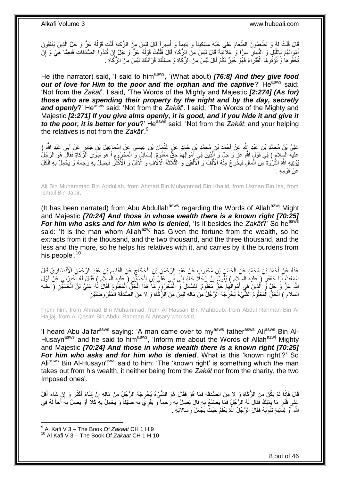َفِّالَ قُلْتُ لَمُّ وَ يُطْعِمُونَ الطَّعامَ عَلى حُبِّهِ مِسْكِيناً وَ يَتِيماً وَ أَسِيراً قَالَ لَيْسَ مِنَ الزَّكَاةِ قُلْتُ قَوْلُهُ عَزَّ وَ جَلَّ الَّذِينَ يُنْفِقُونَ ْ َ ْ ُ َّ أَهْوِالَهُمْ بِاللَّيْلِ وَ النَّهارِ سِرًّا وَ عَلاَبِنِيَةً قَالَ لَيْسَ مِنَ الزَّكَاةِ قَالَ فَقُلْتُ قَوْلُهُ عَزَّ وَ جَلَّ إِنْ تُبْدُوا الصَّدَقاتِ فَنِعمًا هِيَ وَ إِنّْ ُ ْ ِ َّ **∶** ِ ِ تُخْفُو ها وَ تُؤْتُو هَا الْفُقَرِ اَءَ فَهُوَ خَيْرٌ ۖ لَكُمْ قَالَ لَيْسَ مِنَ الزَّكَاةِ وَ صِلَتُكَ قَرَابَتَكَ لَيْسَ مِنَ الزَّكَاةِ . ْ

He (the narrator) said, 'I said to him<sup>asws</sup>, '(What about) **[76:8] And they give food** out of love for Him to the poor and the orphan and the captive?' He<sup>asws</sup> said: 'Not from the *Zakāt*'. I said, 'The Words of the Mighty and Majestic *[2:274] (As for) those who are spending their property by the night and by the day, secretly*  and openly?' He<sup>asws</sup> said: 'Not from the Zakat'. I said, 'The Words of the Mighty and Majestic *[2:271] If you give alms openly, it is good, and if you hide it and give it to the poor, it is better for you*?' He<sup>asws</sup> said: 'Not from the *Zakāt*; and your helping the relatives is not from the *Zakāt*'.<sup>9</sup>

عَلِيُّ بْنُ مُحَمَّدِ بْنِ عَبْدِ الثَّهِ عَنْ أَحْمَدَ بْنِ مُحَمَّدِ بْنِ خَالِدٍ عَنْ عُثْمَانَ بْنِ عِيسَى عَنْ إِسْمَاعِيلَ بْنِ جَابِرٍ عَنْ أَبِي عَبْدِ الثَّهِ ( َ ِ ْ َ عليه السِلامِ ) فِي َقَوْلٍ اللَّهِ عَزَّ وَ جَلَّ وَ اَلَّذِينَ فِي أَمُوالِهِمْ جَقٌّ مَعْلُومٌ. لِلَسَّائِلٍ وَ الْمَحْرُومِ أَ هُوَ سِوَى الزَّكَاةِ فَقَالَ هُوَ الرَّجُلُ ِ ْ ِ َ َّ ِّئُوْنِيهِ اللَّهُ الثُّرْوَةَ مِّنَ الْمَالِ فَيُخْرِجُ مِنْهُ الْأَلْفَ وَ الْأَلْفَيْنِ وَ الثَّلَاثَةَ الْآلافِ وَ الْأَقَلَّ َّ ْ ْ **∶** ْ ة<br>أ ْ ِ **∶** َ عَنْ قَوْ مِهِ

Ali Bin Muhammad Bin Abdullah, from Ahmad Bin Muhammad Bin Khalid, from Usman Bin Isa, from Ismail Bin Jabir,

(It has been narrated) from Abu Abdullah<sup>asws</sup> regarding the Words of Allah<sup>azwj</sup> Might and Majestic *[70:24] And those in whose wealth there is a known right [70:25] For him who asks and for him who is denied*, 'Is it besides the Zakat?' So he<sup>asws</sup> said: 'It is the man whom Allah<sup>azwj</sup> has Given the fortune from the wealth, so he extracts from it the thousand, and the two thousand, and the three thousand, and the less and the more, so he helps his relatives with it, and carries by it the burdens from his people'.<sup>10</sup>

عَنْهُ عَنْ أَحْمَدَ بْنِ مُحَمَّدٍ عَنِ الْحَسَنِ بْنِ مَحْبُوبٍ عَنْ عَبْدِ الرَّحْمَنِ بْنِ الْجَجَّاجِ عَنِ الْقَاسِمِ بْنِ عَبْدِ الرَّحْمَنِ الْأَنْصَارِيِّ قَالَ ِ ْ ْ َ ِ ِ ْ سَمِعْتُ أَبَا جَعْفَرٍ ۖ ( عليه السَلام ) يَقُولُ إِنَّ رَجُلًا جَاءَ إِلَى أَبِي عَلَيٌّ بْنِ الْحُسَبْيْنِ ( عليه السلام ) فَقَالَ لَهُ أَخْيِرْنِي عَنْ قَوْلِ ْ َ ِ ِ َ ا<br>په َ اللَّهِ عَزَّ وَ جَلٍّ فَي أَلَذِينَ فِي أَمْوِالِهِمْ حَقٌّ مَعْلُومٌ. لِلسَّائِلِ وَ الْمَحْرُومِ مَا هَذَا الْحَقُّ الْمَعْلُومُ فَقَالَ لَٰهِ عَلِيُّ بْنُ الْخُسَيِّنِ ( عليه َّ ْ ْ ْ ِ ْ ِ السلام ) الْحَقُّ الْمَعْلُومُ الشَّيْءُ يُخْرِجُهُ الرَّجُلُ مِنْ مَالِهِ لَيْسَ مِنَ الزَّكَاةِ وَ لَا مِنَ الصَّدَقَةِ الْمَفْرُوضَنَيْنِ ْ ِ ْ

From him, from Ahmad Bin Muhammad, from Al Hassan Bin Mahboub, from Abdul Rahman Bin Al Hajjaj, from Al Qasim Bin Abdul Rahman Al Ansary who said,

'I heard Abu Ja'far<sup>asws</sup> saying: 'A man came over to my<sup>asws</sup> father<sup>asws</sup> Ali<sup>asws</sup> Bin Al-Husayn<sup>asws</sup> and he said to him<sup>asws</sup>, 'Inform me about the Words of Allah<sup>azwj</sup> Mighty and Majestic *[70:24] And those in whose wealth there is a known right [70:25] For him who asks and for him who is denied*. What is this 'known right'?' So Ali<sup>asws</sup> Bin Al-Husayn<sup>asws</sup> said to him: 'The 'known right' is something which the man takes out from his wealth, it neither being from the *Zakāt* nor from the charity, the two Imposed ones'.

قَالَ فَإِذَا لَمْ يَكُنْ مِنَ الزَّكَاةِ وَ لَا مِنَ الصَّدَقَةِ فَمَا هُوَ فَقَالَ هُوَ الشَّيْءُ يُخْرِجُهُ الزَّجُلُ مِنْ مَالِهِ إِنْ شَاءَ لَقَلْ وَ إِنْ شَاءَ أَقَلَّ َ ِ َ َ ِ ِ عَلَّمٍ قُُدْرٍ مَا يَمْلِكُ فَقَالَ لَهُ الرَّجُلُ فَمَا يَصْنَعُ بِهِ قَالَ يَصِلُ بِهِ رَحِماً وَ يَقْرِي ب<br>عَلَّمٍ قُدْرٍ ما يَمْلِكُ فَقَالَ لَهُ الرَّجُلُ فَمَا يَصْنَعُ بِهِ قَالَ يَصِلُ بِهِ رَحِماً وَ يَقْرِي بِه ِ ِ ِ **∶** ِ َ ِ لَ اللَّهِ أَوْ لِنَائِبَةٍ تَنُوبُهُ فَقَالَ الرَّجُلُ اللَّهُ يَعْلَمُ حَيْثٌ يَجْعَلُ رِسَالَاتِهِ . ِ َ

 9 Al Kafi V 3 – The Book Of *Zakaat* CH 1 H 9 <sup>10</sup> Al Kafi V 3 – The Book Of *Zakaat* CH 1 H 10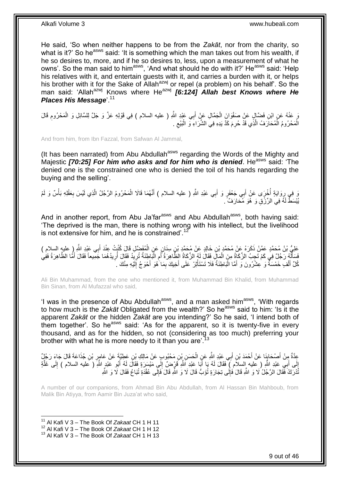He said, 'So when neither happens to be from the *Zakāt*, nor from the charity, so what is it?' So he<sup>asws</sup> said: 'It is something which the man takes out from his wealth, if he so desires to, more, and if he so desires to, less, upon a measurement of what he owns'. So the man said to him<sup>asws</sup>, 'And what should he do with it?' He<sup>asws</sup> said: 'Help his relatives with it, and entertain guests with it, and carries a burden with it, or helps his brother with it for the Sake of Allah<sup>azwj</sup> or repel (a problem) on his behalf'. So the man said: 'Allah<sup>azwj</sup> Knows where He<sup>azwj</sup> [6:124] Allah best Knows where He *Places His Message*'.<sup>11</sup>

وَ عَنْهُ عَنِ ابْنِ فَضَّالٍ عَنْ صَفْوَانَِ الْجَمَّالِ عَنْ أَبِي عَبْدِ اللَّهِ ( عليه السلام ) فِي قَوْلِهِ عَزَّ وَ جَلَّ لِلسَّائِلِ وَ الْمَحْرُومِ قَالَ ْ ْ ِ الْمَحْرُومُ الْمُحَارَفُ الْذِّي قَدْ حُرِمَ كَدَّ يَدِهِ فِي الشَّرَاءِ ۚ وَ الْبَيْعِ .  $\zeta$ ْ َّ ْ ْ

And from him, from Ibn Fazzal, from Safwan Al Jammal,

(It has been narrated) from Abu Abdullah<sup>asws</sup> regarding the Words of the Mighty and Majestic [70:25] For him who asks and for him who is denied. He<sup>asws</sup> said: 'The denied one is the constrained one who is denied the toil of his hands regarding the buying and the selling'.

وَ فِي رِوَايَةٍ أُخْرَى عَنْ أَبِي جَعْفَرٍ وَ أَبِي عَبْدِ اللَّهِ ( عليه السلام ) أَنَّهُمَا قَالَا الْمَحْرُومُ الرَّجُلُ الَّذِي لَيْسَ بِعَقْلِهِ بَأْسٌ وَ لَمْ ْ َ َ َ ا<br>ا ֦֧֦֧ ْ **∶** َّ يُبْسَطٌّ لَـهُۖ فِيَ الرِّزْقِ وَ ۖ هُوَ مُحَارَفٌ ۚ ـ

And in another report, from Abu Ja'far<sup>asws</sup> and Abu Abdullah<sup>asws</sup>, both having said: 'The deprived is the man, there is nothing wrong with his intellect, but the livelihood is not extensive for him, and he is constrained'.<sup>12</sup>

ُمَف َّض ِل َقا َل ُكنْ ُت ٍن َع ِن ال ِن ِسَنا ِن َخالِ ٍد َع ْن ُم َح َّمِد ْب َك َرهُ َع ْن ُم َح َّمِد ْب ِي َعْبِد ََّّللا َعلِ ُّي ْب ُن ُم َح َّمٍد َع َّم ْن <sup>ذ</sup> ِ ) عليه السالم ( َ ب َد أ ِعنْ ْ َ َّسَاً َّهُ رَجُلٌ فِي كَمْ تَجِبُ الزَّكَاةُ مِنَ الْمَالَ فَقَالَ لَهُ الزَّكَاةُ الظُّاهِرَةُ أَمِ الْبَاطِنَةُ تُرِيدُ فَقَالَ أُرِيدُهُمَا جَمِّيعاً فَقَالَ أَمَّا الظَّاهِرَةُ فَفِي ْ لَ َ َ ِ اُ ِ :<br>أ ِ كُلِّ أَلْفٍ خَمْسَةٌ وَ عِشْرُونَ وَ أَمَّا الْبَاطِنَةُ فَلَا تَسْتَأْثِرْ عَلَى أَخِيكَ بِمَا َهُوَ أَحْوَجُ إِلَيْهِ مِنْكَ ۚ لَ ِ َ ِ ْ :<br>ا َ ْ َ

Ali Bin Muhammad, from the one who mentioned it, from Muhammad Bin Khalid, from Muhammad Bin Sinan, from Al Mufazzal who said,

'I was in the presence of Abu Abdullah<sup>asws</sup>, and a man asked him<sup>asws</sup>, 'With regards' to how much is the *Zakāt* Obligated from the wealth?' So he<sup>asws</sup> said to him: 'Is it the apparent *Zakāt* or the hidden *Zakāt* are you intending?' So he said, 'I intend both of them together'. So he<sup>asws</sup> said: 'As for the apparent, so it is twenty-five in every thousand, and as for the hidden, so not (considering as too much) preferring your brother with what he is more needy to it than you are<sup>713</sup>

عِدَّةٌ مِنْ أَصْحَابِنَا عَنْ أَحْمَدَ بْنِ أَبِي عَبْدِ اللَّهِ عَنِ الْحَسَنِ بْنِ مَحْبُوبٍ عَنْ مَالِكِ بْنِ عَطِيَّةٍ عَنْ عَامٍرٍ بْنِ جُذَاعَةَ قَالَ جَاءَ رَجُلٌ ْ اُ َ ِ ِ إِلَى أَبِي عَبْدِ اللَّهِ ( عليه السلاَم ) ۖ فَقَالَ لَهُ بَا أَبَا عَبْدِ اللَّهِ قَرْمِنٌ إِلَى مَيْسَرَةٍ فَقَالَ لَهُ أَبُو عَبْدٍ اللَّهِ ( عليه السلام ) إِلَى غَلَّةٍ<br>إِلَى أَبِي عَبْدِ اللَّهِ ( عليه السلام ) ۖ فَق َ ∣∣<br>∶ َ َ ِ َّ ِ نُّدْرَكُ فَقَالَ الرَّجُلُ لَا وَ اللَّهِ قَالَ فَإِلَى تِجَارَةٍ تُؤَبُّ قَالَ لَا وَ اللَّهِ قَالَ فَإِلَى عُقْدَةٍ تُبَاعُ فَقَالَ لَا وَ اللَّهِ  $\sum_{i=1}^{n}$ ُ  $\frac{1}{2}$ 

A number of our companions, from Ahmad Bin Abu Abdullah, from Al Hassan Bin Mahboub, from Malik Bin Atiyya, from Aamir Bin Juza'at who said,

<sup>11</sup> Al Kafi V 3 – The Book Of *Zakaat* CH 1 H 11

<sup>12</sup> Al Kafi V 3 – The Book Of *Zakaat* CH 1 H 12

<sup>13</sup> Al Kafi V 3 – The Book Of *Zakaat* CH 1 H 13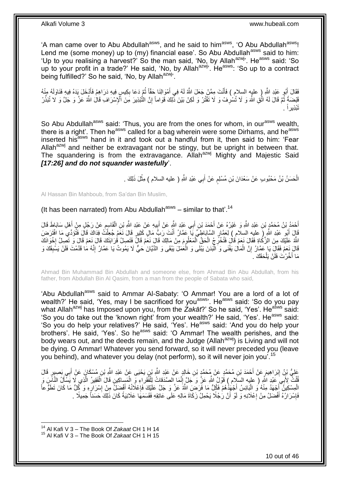'A man came over to Abu Abdullah<sup>asws</sup>, and he said to him<sup>asws</sup>, 'O Abu Abdullah<sup>asws</sup>! Lend me (some money) up to (my) financial ease'. So Abu Abdullah<sup>asws</sup> said to him: 'Up to you realising a harvest?' So the man said, 'No, by Allah<sup>azwj</sup>'. He<sup>asws</sup> said: 'So up to your profit in a trade?' He said, 'No, by Allah<sup>azwj</sup>'. He<sup>asws</sup>: 'So up to a contract being fulfilled?' So he said, 'No, by Allah<sup>azwj</sup>'.

فَقَالَ أَبُو عَبْدِ اللَّهِ ( عليه السلام ) فَأَنْتَ مِمَّنْ جَعَلَ اللَّهُ لَهُ فِي أَمْوَالِنَا حَقّاً ثُمَّ دَعَا بِكِيسٍ فِيهِ دَرَاهِمُ فَأَذْخَلَ يَدَهُ فِيهِ فَنَاوَلَهُ مِنْهُ ِ ُ َ َ َ َ َّفَبِّضَةً ثُمَّ قَالَ لَهُ اتَّقِ اللَّهَ وَ لَا تُسْرِفْ وَ لَا تَقْتُرْ وَ لَكِنْ بَيْنَ ذُلِكَ قَوَاماً إِنَّ النَّبْذِيرَ مِنَ الْإِسْرَافِ قَالَ اللَّهُ عَزَّ وَ جَلَّ وَ لا تُبَذِّر ِ ِ ُ . َُْبِذيراً

So Abu Abdullah<sup>asws</sup> said: 'Thus, you are from the ones for whom, in our<sup>asws</sup> wealth, there is a right'. Then he<sup>asws</sup> called for a bag wherein were some Dirhams, and he<sup>asws</sup> inserted his<sup>asws</sup> hand in it and took out a handful from it, then said to him: 'Fear Allah $a^{2xy}$  and neither be extravagant nor be stingy, but be upright in between that. The squandering is from the extravagance. Allah<sup>azwj</sup> Mighty and Majestic Said *[17:26] and do not squander wastefully*'.

> الْحَسَنُ بْنُ مَحْبُوبٍ عَنْ سَعْدَانَ بْنِ مُسْلِمٍ عَنْ أَبِي عَبْدِ اللَّهِ ( عليه السلام ) مِثْلَ ذَلِكَ . ֧֖֧֚֚֓֝֝֝ ْ ْ

Al Hassan Bin Mahboub, from Sa'dan Bin Muslim,

(It has been narrated) from Abu Abdullah $a_{\text{sws}}$  – similar to that'.<sup>14</sup>

َحْمَدُ بْنُ مُحَمَّدٍ بْنِ عَبْدِ اللَّهِ وَ غَيْرُهُ عَنْ أَحْمَدَ بْنِ أَبِي عَبْدِ اللَّهِ عَنْ أَبِيهِ عَنْ عَبْدِ اللَّهِ بْنِ الْقَاسِمِ عَنْ رَجُلٍ مِنْ أَهْلِ سَابَاطَ قَالَ َ َ َ ِ ْ ِ َ قَالَ أَبُو عَبْدِ اللَّهِ (َ عليهِ السلام ) لِعَمَّارِ السَّابَاطِيِّ يَا ۖ عَمَّارُ أَنْتَ رَبُّ مَالٍ كَثِيرٍ قَالَ نَعَمْ جُعِلْتُ فِدَاكَ قَالَ فَتُوَدِّي مَا افْتَرَضَ َ َ ْ اللَّهُ عَلَيْكَ مِنَ الزَّكَاةِ فَقَالَ نَعَمْ قَالَ فَتُخْرِجُ الْحَقَّ الْمَعْلُومَ مِنْ مَالِكَ قَالَ نَعَمْ قَالَ أَقَدَّرَ جُمْ قَالَ نَعْم قَالَ مَعْلُومَ مِنْ مَالِكَ قَالَ نَعَمْ قَالَ نَعْم قَالَ فَعَلْ الْمَعْلُ ْ ْ ِ  $\frac{1}{2}$ قَالَ نَعَمْ فَقَالَ يَا عَمَّارُ إِنَّ الْمَالَ يَفْنَى وَ الْمُبَذَنَ يَبْلَى وَ الْعَمَلَ يَبْقَى وَ الذَّيَّانَ حَيٍّ لَا يَمُوتُ يَا عَمَّارُ إِنَّهُ مَا قَدَّمْتَ فَلَنْ يَسْبِقَكَ وَ ا<br>ا ْ اٍ ِ ِ ْ مَا أَخَّرْتَ فَلَنْ يَلْحَقَكَ . ْ

Ahmad Bin Muhammad Bin Abdullah and someone else, from Ahmad Bin Abu Abdullah, from his father, from Abdullah Bin Al Qasim, from a man from the people of Sabata who said,

'Abu Abdullah<sup>asws</sup> said to Ammar Al-Sabaty: 'O Ammar! You are a lord of a lot of wealth?' He said, 'Yes, may I be sacrificed for you<sup>asws</sup>'. He<sup>asws</sup> said: 'So do you pay what Allah<sup>azwj</sup> has Imposed upon you, from the *Zakāt*?' So he said, 'Yes'. He<sup>asws</sup> said: 'So you do take out the 'known right' from your wealth?' He said, 'Yes'. He<sup>asws</sup> said: 'So you do help your relatives?' He said, 'Yes'. He<sup>asws</sup> said: 'And you do help your brothers'. He said, 'Yes'. So he<sup>asws</sup> said: 'O Ammar! The wealth perishes, and the body wears out, and the deeds remain, and the Judge (Allah<sup>azwi</sup>) is Living and will not be dying. O Ammar! Whatever you send forward, so it will never preceded you (leave you behind), and whatever you delay (not perform), so it will never join you'.<sup>15</sup>

عَلِيُّ بْنُ إِبْرَاهِيمَ عَنْ أَحْمَدَ بْنِ مُحَمَّدٍ عَنْ مُحَمَّدٍ بْنِ خَالِدٍ عَنْ عَبْدِ اللَّهِ بْنِ يَحْيَى عَنْ عَبْدِ اللَّهِ بْنِ مُسْكَانٍَ عَنْ أَبِي بَصِبِيرٍ قَالَ َ قُلْتٌ لِأَبِيَ عَبْدٍ اللَّهِ ( عليه السِّلام ) قَوْلُ اللَّهِ عَزَّ وَ جَلَّ إِنَّمَا الصَّدَقاتُ لِلْفُقَراءِ وِ المَساكِينِ قَالَ اَلْفَقِيرُ الَّذِي لَا يَسْأَلُ النَّاسِ وَ ْ َّ ْ ْ ْ ِ َ الْمِسْكِينَ ۖ أَجْهَدُ مِنْهُ وَ الْبَائِسُ أَجْهَدُهُمْ فَكُلُّ مَا فَرَضَ اللَّهَ عَزَّ وَ جَلَّ عَلَيْكَ فَإِعْلَانُهُ أَفْضَلَۢ مِنْ إِسْرَارِهِ وَ كُلُّ مَا كَانَ تَطَوُّعاً َ ْ ْ ِ ِ َ ا<br>با فَإِسْرَارُهُ أَفْضَلُ مِنْ إِعْلَانِهِ وَ لَوْ أَنَّ رَجُلًا يَحْمِلُ زَكَاةَ مَالِهِ عَلَى عَاتِقِهِ فَقَسَمَهَا عَلَانِيَةً كَانَ ذَلِكَ حَسَناً جَمِيلًا . اً ِ َ ِ

<sup>14</sup> Al Kafi V 3 – The Book Of *Zakaat* CH 1 H 14

<sup>15</sup> Al Kafi V 3 – The Book Of *Zakaat* CH 1 H 15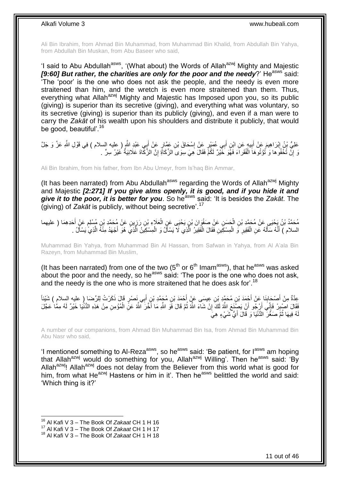Ali Bin Ibrahim, from Ahmad Bin Muhammad, from Muhammad Bin Khalid, from Abdullah Bin Yahya, from Abdullah Bin Muskan, from Abu Baseer who said,

'I said to Abu Abdullah<sup>asws</sup>, '(What about) the Words of Allah<sup>azwj</sup> Mighty and Majestic *[9:60] But rather, the charities are only for the poor and the needy?'* **He<sup>asws</sup> said:** 'The 'poor' is the one who does not ask the people, and the needy is even more straitened than him, and the wretch is even more straitened than them. Thus, everything what Allah<sup>azwj</sup> Mighty and Majestic has Imposed upon you, so its public (giving) is superior than its secretive (giving), and everything what was voluntary, so its secretive (giving) is superior than its publicly (giving), and even if a man were to carry the *Zakāt* of his wealth upon his shoulders and distribute it publicly, that would be good, beautiful<sup>'.16</sup>

عَلِيُّ بْنُ إِبْرَاهِيمَ عَنْ أَبِيهٍ عَنِ ابْنِ أَبِي عُهَيْرٍ عَنْ إِسْحَاقَ بْنِ عَمَّارٍ عَنْ أَبِي عَبْدِ اللَّهِ ( عليه السلام ) فِي قَوْلِ اللَّهِ عَزَّ وَ جَلَّ َ ِ َ **!** َ رَ إِنَّ نُخْفُو ها وَ نُؤْتُو هَاَ الْفُقَرِ اَءَ فَهُوَ خَيْرٌ لَكُمَّ فَقَالَ هِيَ سِوَىَ الزَّكَاةِ إِنَّ الزَّكَاةَ عَلاَنِيَةٌ غَيْرُ سِرٍّ . ْ ِ ِ

Ali Bin Ibrahim, from his father, from Ibn Abu Umeyr, from Is'haq Bin Ammar,

(It has been narrated) from Abu Abdullah<sup>asws</sup> regarding the Words of Allah<sup>azwj</sup> Mighty and Majestic *[2:271] If you give alms openly, it is good, and if you hide it and give it to the poor, it is better for you.* So he<sup>asws</sup> said: 'It is besides the *Zakāt*. The (giving) of *Zakāt* is publicly, without being secretive'.<sup>17</sup>

مُحَمَّدُ بْنُ يَحْيَى عَنْ مُحَمَّدِ بْنِ الْحَسَنِ عَنْ صَفْوَانَ بْنٍ يَحْيَى عَنِ الْعَلَاءِ بْنِ رَزِينٍ عَنْ مُحَمَّدِ بْنٍ مُسْلِمٍ عَنْ أَحَدِهِمَا ( عليهما ٍ ِ ْ ْ َ السلام ) أَنَّهُ سَأَلَهُ عَنِ الْفَقِيرِ وَ الْمِسْكِينِ فَقَالَ الْفَقِيرُ الَّذِي لَا يَسْأَلُ وَ الْمِسْكِينُ الَّذِيَّ هُوَ أَجْهَدُ مِنْهُ الَّذِيَّ يَسْأَلُ . ْ َ َّ ْ ْ **∶** ْ لَ Í َ َ َّ َ َّ

Muhammad Bin Yahya, from Muhammad Bin Al Hassan, from Safwan in Yahya, from Al A'ala Bin Razeyn, from Muhammad Bin Muslim,

(It has been narrated) from one of the two  $(5<sup>th</sup>$  or  $6<sup>th</sup>$  Imam<sup>asws</sup>), that he<sup>asws</sup> was asked about the poor and the needy, so he<sup>asws</sup> said: 'The poor is the one who does not ask, and the needy is the one who is more straitened that he does ask for.<sup>18</sup>

عِدَّةٌ مِنْ أَصْحَابِنَا عَنْ أَجْمَدَ بْنِ مُحَمَّدٍ بْنِ عِيسَى عَنْ أَحْمَدَ بْنِ مُجَمَّدِ بْنِ أَبِي نَصْرٍ قَالَ ذَكَرْتُ لِلرِّصَا ( عليه السلام ) شَئِئاً َ َ َ **∣** َ فَقَالَ اصْنِرْ فَإِنِّيَ أَرْجُو أَنْ يَصِنْغَ اللَّهُ لَكَ إِنْ شَآءَ اللَّهُ ثُمَّ قَالَ فَوَ اللَّهِ مَا أَخَّرَ اللَّهُ عَلِّ الْمُؤْمِنِ مِنْ هَذِهِ الدُّنْيَا خَيْرٌ لَهُ مِمَّا عَجَّلَ<br>نَفْعَ الرَّبُّ الْمَرْسِ ف ان<br>المقام ِ َ ِ **!** ْ َ لَهُ فِيهَا ثُمَّ صَغَّرَ الدُّنْيَا وَ قَالَ أَيُّ شَيْءٍ هِيَ ٔ.<br>ـ

A number of our companions, from Ahmad Bin Muhammad Bin Isa, from Ahmad Bin Muhammad Bin Abu Nasr who said,

'I mentioned something to Al-Reza<sup>asws</sup>, so he<sup>asws</sup> said: 'Be patient, for l<sup>asws</sup> am hoping that Allah<sup>azwj</sup> would do something for you, Allah<sup>azwj</sup> Willing'. Then he<sup>asws</sup> said: 'By Allah<sup>azwj</sup>! Allah<sup>azwj</sup> does not delay from the Believer from this world what is good for him, from what He<sup>azwj</sup> Hastens or him in it'. Then he<sup>asws</sup> belittled the world and said: 'Which thing is it?'

<sup>16</sup> Al Kafi V 3 – The Book Of *Zakaat* CH 1 H 16

<sup>17</sup> Al Kafi V 3 – The Book Of *Zakaat* CH 1 H 17

<sup>18</sup> Al Kafi V 3 – The Book Of *Zakaat* CH 1 H 18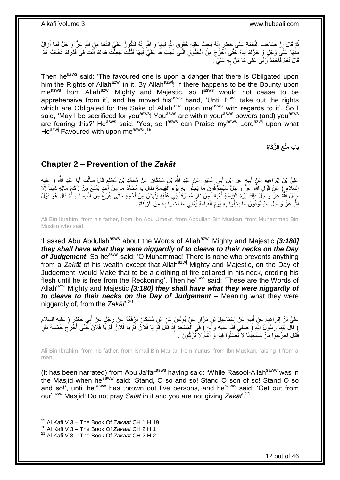نُّمَّ قَالَ إِنَّ صَاحِبَ النِّعْمَةِ عَلَى خَطَرٍ إِنَّهُ يَجِبُ عَلَيْهِ حُقُوقُ اللَّهِ فِيهَا وَ اللَّهِ إِنَّهُ لَتَكُونُ عَلَيَّ النِّعَمُ مِنَ اللَّهِ عَزَّ وَ جَلَّ فَمَا أَزَالُ ِ ֺ֦֦֦֦֦֦֧֦֦֦֧֦֧֦֧֦֦֧֦֧֦֧֦֧֦֧֦֧֦֧֦֧֦֧֦֧֦֧֦֧֦֚֚֚֚֚֚֚֚֚֚֚֚֚֚֝֡֝֡֝֝֓֡֝֬֝֟֓֡֟֓֡֟֓֡֟֓֡ ِ َ مِنْٰهَا عَلَى وَجَلٍ وَ حَرَّكَ يَدَهُ حَتَّى أُخْرُِجَ مِنَ الْحُقُوقِ الَّتِي تَجِبُ شِّهِ عَلَيَّ فِيهَا فَقُلْتُ جُعِلْتُ فِدَاكَ أَنْتَ فِي قَدْرِكَ تَخَافُ هَذَا ا<br>ا ْ َّ ْ ֺ֧֧֩֩֓֓֝֬֓֓֓<u>֓</u>֖֧֖֧֓֓֓֓֓֓׆֬ ة<br>.<br>. ِ َ قَالَ نَعَمْ فَأَحْمَدُ رَبِّي عَلَى مَا مَنَّ بِهِ عَلَيَّ ۖ . َ **∶** 

Then he<sup>asws</sup> said: 'The favoured one is upon a danger that there is Obligated upon him the Rights of Allah<sup>azwj</sup> in it. By Allah<sup>azwj</sup>! If there happens to be the Bounty upon me<sup>asws</sup> from Allah<sup>azwj</sup> Mighty and Majestic, so l<sup>asws</sup> would not cease to be apprehensive from it', and he moved his<sup>asws</sup> hand, 'Until l<sup>asws</sup> take out the rights which are Obligated for the Sake of Allah<sup>azwj</sup> upon me<sup>asws</sup> with regards to it'. So I said, 'May I be sacrificed for you<sup>asws</sup>! You<sup>asws</sup> are within your<sup>asws</sup> powers (and) you<sup>asws</sup> are fearing this?' He<sup>asws</sup> said: 'Yes, so l<sup>asws</sup> can Praise my<sup>asws</sup> Lord<sup>azwj</sup> upon what He<sup>azwj</sup> Favoured with upon me<sup>asws, 19</sup>

> **ال َّز َكا ِة باب َمْنع ِ**

### <span id="page-11-0"></span>**Chapter 2 – Prevention of the** *Zakāt*

عَلِيُّ بْنُ إِبْرَاهِيمَ عَنٍْ أَبِيهٍ عَنِ ابْنِ أَبِي عُمَيْرٍ عَنْ عَبْدِ اللَّهِ بْنِ مُسْكَانَ عَنْ مُحَمَّدٍ بْنِ مُسْلِمٍ قَالَ سَأَلْتُ أَبَا عَبْدِ اللَّهِ (ِ عِلْيِهِ **!** َ ِ َ ْ اً<br>أ ֧֦֧֦֧֦֧֦֧֦֝֝֝֝֝ َ السلّام ٍ) عَنْ قَوْلِ اللَّهِ عَزَّ وَ جَلَّ سَيُطَوِّقُونَ مَا بَخِلُوا بِهِ يَوْمَ الْقِيامَةِ فَقَالَ يَا مُحَمَّدُ مَا مِنْ أَحَدٍ يَمْنَعُ مِنْ زَكَاةِ مَالِهِ شَيْئاً إِلَّا ْ ِ َ ا<br>أ جَعَلَ اللَّهُ عَنَّ وَ جَلَّ ذَلِكَ يَوْمَ الْقِيَامَةِ ثُعْبَاناً مِنْ نَارٍ مُطَوَّقاً فِي عُنُقِهِ يَنْهَشْ مِنْ لَحْمِهِ حَتَّى يَفْرُغُ مِنَ الْحِسَابِ ثُمَّ قَالَ هُوَ قَوْلُ ُ ْ ُ ْ اللَّهِ عَزَّ وَ جَلَّ سَيُطَوَّقُونَ ما بَخِلُوا بِهِ يَوْمَ الْقِيامَةِ يَّعْنِي مَا بَخِلُوا بِهِ مِنَ الزَّكَاةِ . ِ ْ **∶** 

Ali Bin Ibrahim, from his father, from Ibn Abu Umeyr, from Abdullah Bin Muskan, from Muhammad Bin Muslim who said,

'I asked Abu Abdullah<sup>asws</sup> about the Words of Allah<sup>azwj</sup> Mighty and Majestic *[3:180] they shall have what they were niggardly of to cleave to their necks on the Day*  of Judgement. So he<sup>asws</sup> said: 'O Muhammad! There is none who prevents anything from a Zakāt of his wealth except that Allah<sup>azwj</sup> Mighty and Majestic, on the Day of Judgement, would Make that to be a clothing of fire collared in his neck, eroding his flesh until he is free from the Reckoning'. Then he<sup>asws</sup> said: 'These are the Words of Allah<sup>azwj</sup> Mighty and Majestic **[3:180] they shall have what they were niggardly of** *to cleave to their necks on the Day of Judgement* – Meaning what they were niggardly of, from the *Zakāt*'.<sup>20</sup>

عَلِيُّ بْنُ إِبْرَاهِيمَ عَنْ أَبِيهِ عَنْ إِسْمَاعِيلَ بْنِ مَرَّارٍ عَنْ يُونُسَ عَنِ ابْنِ مُسْكَانَ يَرْفَعُهُ عَنْ رَجُلٍ عَنْ أَبِي جَعْفَوٍ ( عليه السلام ∣l<br>∶ **!** َ ِ َ ِ قَالَ بَيْنَا رَسُولُ اللَّهِ (َ صِلمٍ اَللهِ عليه وآلِهِ ) فِح الْمَسْجِدِ إِذْ قَالَ قُمْ يَا فُلَانُ قُمْ يَا فُلَانُ خَتَّى أَخْرَجَ خَمْسَةَ نَفَرٍ **ٔ** ْ َ ُّ فَقَالَ اخْرُجُوا مِنْ مَسْجِدِنَا لَا تُصَلُّوا فِيهِ وَ أَنْتُمْ لَا تُزَكُّونَ ۚ. َ

Ali Bin Ibrahim, from his father, from Ismail Bin Marrar, from Yunus, from Ibn Muskan, raising it from a man,

(It has been narrated) from Abu Ja'far<sup>asws</sup> having said: 'While Rasool-Allah<sup>saww</sup> was in the Masjid when he<sup>sáww</sup> said: 'Stand, O so and so! Stand O son of so! Stand O so and so!', until he<sup>saww</sup> has thrown out five persons, and he<sup>saww</sup> said: 'Get out from oursaww Masjid! Do not pray *Salāt* in it and you are not giving *Zakāt*'.<sup>21</sup>

<sup>19</sup> Al Kafi V 3 – The Book Of *Zakaat* CH 1 H 19

<sup>20</sup> Al Kafi V 3 – The Book Of *Zakaat* CH 2 H 1

<sup>21</sup> Al Kafi V 3 – The Book Of *Zakaat* CH 2 H 2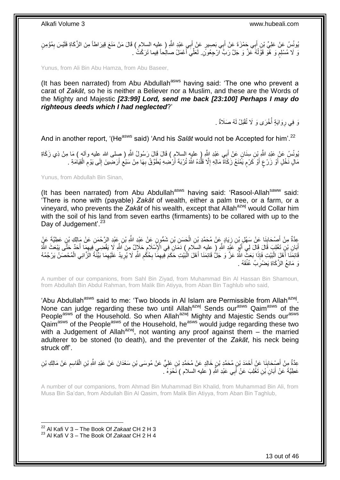يُونُسُ عَنْ عَلِيِّ بْنِ أَبِي جَمْزَةَ عَنْ أَبِي بَصِيرٍ عَنْ أَبِي عَيْدِ اللَّهِ ( عِليه السلام ) قَالَ مَنْ مَنَعَ قِيرَاطاً مِنَ الزَّكَاةِ فَلَيْسَ بِمُؤْمِنٍ َ ِ َ َ َوَ لَا مُسْلِمٍ وَ هُوَ قَوْلُهُ عَزَّ وَ جَلَّ رَبٍّ الرْجِعُونَ لَعَلِّي أَعْمَلُ صللِحاً فِيما تَرَكْتُ . ا<br>أ ٔ<br>ا ٍ

Yunus, from Ali Bin Abu Hamza, from Abu Baseer,

(It has been narrated) from Abu Abdullah<sup>asws</sup> having said: 'The one who prevent a carat of *Zakāt*, so he is neither a Believer nor a Muslim, and these are the Words of the Mighty and Majestic *[23:99] Lord, send me back [23:100] Perhaps I may do righteous deeds which I had neglected*?'

> وَ فِي رِوَايَةٍ أُخْرَى وَ لَا تُقْبَلُ لَهُ صَلَاةٌ . ا<br>ا ِ

And in another report, '(He<sup>asws</sup> said) 'And his *Salāt* would not be Accepted for him'.<sup>22</sup>

يُونُسُ عَنْ عَبْدِ اللَّهِ بِْنِ سِنَانٍ عَنْ أَبِي عَبْدِ اللَّهِ ( عليه السلام ) قَالَ قَالَ رَسُولُ اللَّهِ ( صلى الله عليه وألم ) مَا مِنْ ذِي زَكَاةِ مَالٍ نَخْلٍ أَوْ زَرْعِ أَوْ كَرْمٍ يَمْنَعُ زَكَاةٌ مَالِهِ إِلَّا قَلَّدَهُ اللَّهُ تُرْبَةَ أَرْضِهِ يُطَوَّقُ بِهَا مِنْ سَبْعِ أَرَضِينَ إِلَى يَوْمِ الْقِيَامَةِ . ِ اُ َّ ِ ٍ َ ٍ َ لَ ِ َ ِ ْ ِ

Yunus, from Abdullah Bin Sinan,

(It has been narrated) from Abu Abdullah $^{asws}$  having said: 'Rasool-Allah $^{saww}$  said: 'There is none with (payable) *Zakāt* of wealth, either a palm tree, or a farm, or a vineyard, who prevents the Zakat of his wealth, except that Allah<sup>azwj</sup> would Collar him with the soil of his land from seven earths (firmaments) to be collared with up to the Day of Judgement'.<sup>23</sup>

عِدَّةٌ مِنْ أَصْحَابِنَا عَنْ سَهْلٍ بْنِ زِيَادٍ عَنْ مُحَمَّدِ بْنِ الْحَسَنِ بْنِ شَمُّونٍ عَنْ عَبْدِ اللَّهِ بْنِ عَبْدِ الرَّحْمَنِ عَنْ مَالِكِ بْنِ عَطِيَّةَ عَنٍْ ْ ِ **∣** َ أَبَانِ بْنِ تَغْلِبَ قَالَ قِلَ لِي أَبُو َعَيِّدٍ اللَّهِ (ِ عِليه السلام ) دَمَانِ فِي الْإِسْلامِ حَلَالٌ مِنَ اللَّهِ لَا يَقْضِي فِيهِمَا أَحَدٌ جَتَّى يَبْعَثَ اللَّهُ ِ َ َ َ ِ قَائِمَنَا أَهْلَ الْبَيْتِ فَإِذَا بَعَثٌ اللَّهُ عَزَّ وَ جَلُّ قَائِمَنَا أَهْلَ الْبُيْتِ حَكَمَ فِيهِمَا بِخُكْمِ اللَّهِ لَا يُرِيدُ عَلَيْهِمَا بَيِّنَّةً الْزَانِي الْمُحْصَنُ يَرْجُمُهُ ِ ِ **∶** ِ ْ َ ْ ْ ِ وَ مَانِعُ الزَّكَاةِ يَضْرِبُ عُنُقَهُ . ِ

A number of our companions, from Sahl Bin Ziyad, from Muhammad Bin Al Hassan Bin Shamoun, from Abdullah Bin Abdul Rahman, from Malik Bin Atiyya, from Aban Bin Taghlub who said,

'Abu Abdullah<sup>asws</sup> said to me: 'Two bloods in Al Islam are Permissible from Allah<sup>azwj</sup>. None can judge regarding these two until Allah<sup>azwj</sup> Sends our<sup>asws</sup> Qaim<sup>asws</sup> of the People<sup>asws</sup> of the Household. So when Allah<sup>azwj</sup> Mighty and Majestic Sends our<sup>asws</sup> Qaim<sup>asws</sup> of the People<sup>asws</sup> of the Household, he<sup>asws</sup> would judge regarding these two with a Judgement of Allah<sup>azwj</sup>, not wanting any proof against them – the married adulterer to be stoned (to death), and the preventer of the *Zakāt*, his neck being struck off'.

عِدَّةٌ مِنْ أَصْحَابِذَا عَنْ أَحْمَدَ بْنِ مُحَمَّدِ بْنِ خَالِدٍ عَنْ مُحَمَّدِ بْنِ عَلِيٍّ عَنْ مُوسَى بْنِ سَعْدَانَ عَنْ عَبْدِ اللَّهِ بْنِ الْقَاسِمِ عَنْ مَالِكِ بْنِ **∣** َ ِ ْ عَطِيَّةَ عَنْ أَبَانِ بْنِ تَغْلِبَ عَنْ أَبِي عَبْدِ اللَّهِ ( عليه السلام ) نَحْوَهُ . َ َ

A number of our companions, from Ahmad Bin Muhammad Bin Khalid, from Muhammad Bin Ali, from Musa Bin Sa'dan, from Abdullah Bin Al Qasim, from Malik Bin Atiyya, from Aban Bin Taghlub,

<sup>22</sup> Al Kafi V 3 – The Book Of *Zakaat* CH 2 H 3 <sup>23</sup> Al Kafi V 3 – The Book Of *Zakaat* CH 2 H 4

1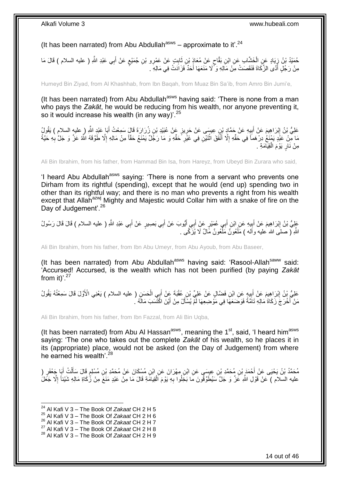(It has been narrated) from Abu Abdullah<sup>asws</sup> – approximate to it'.<sup>24</sup>

حُمَيْدُ بْنُ زِيَادٍ عَنِ الْخَشَّابِ عَنِ ابْنِ بَقَّاحٍ عَنْ مُعَاذٍ بْنِ ثَابِتٍ عَنْ عَمْرِو بْنِ جُمَيْعٍ عَنْ أَبِي عَبْدِ اللَّهِ ( عليه السلام ) قَالَ مَا ِ َ ٍ ِ َ ٍ ْ ¦ مِنْ رَجُلٍ أَدًّى الزَّكَاةَ فَنَقَصَتْ مِنْ مَالِهِ وَ ۖ لَا مَنَعَهَا أَحَدٌ فَزَاَدَتْ فِي مَالِهِ ۚ ـ ا<br>ا ا<br>ا

Humeyd Bin Ziyad, from Al Khashhab, from Ibn Baqah, from Muaz Bin Sa'ib, from Amro Bin Jumi'e,

(It has been narrated) from Abu Abdullah<sup>asws</sup> having said: 'There is none from a man who pays the *Zakāt*, he would be reducing from his wealth, nor anyone preventing it, so it would increase his wealth (in any way)<sup>'.25</sup>

عَلِيُّ بْنُ إِبْرَاهِيمَ عَنْ أَبِيهِ عَنْ حَمَّادٍ بْنِ عِيسَى عَنْ حَرِيزٍ عَنْ عُبَيْدِ بْنِ زُرَارَةَ قَالَ سَمِعْتُ أَبَا عَبْدٍ ( عِليهِ السلامِ ) يَقُولُ<br>-َ ِ ِ <u>֖֚֓</u>ׇ֛֚ مَا مِنْ عَذِّدٍ يَمْنَعُ دِرْهَماً فِي حَقِّهِ إِلَّا أَنْفَقَ اثْنَيْنِ فِي غَيْرِ حَقِّهِ وَ مَا رَجُلٌ يَمْنَعُ حَقَّاً مِنْ مَالِهِ إِلَّا طَوَّقَهُ اللَّهُ عَزَّ وَ جَلَّ بِهِ حَيَّةً ِ ِ **ٔ** ِ ِ مِنْ نَارٍ يَوْمَ الْقِيَامَةِ . ْ

Ali Bin Ibrahim, from his father, from Hammad Bin Isa, from Hareyz, from Ubeyd Bin Zurara who said,

'I heard Abu Abdullah<sup>asws</sup> saying: 'There is none from a servant who prevents one Dirham from its rightful (spending), except that he would (end up) spending two in other than its rightful way; and there is no man who prevents a right from his wealth except that Allah<sup>azwj</sup> Mighty and Majestic would Collar him with a snake of fire on the Day of Judgement'.<sup>26</sup>

عَلِيُّ بْنُ إِبْرَاهِيمَ عَنْ أَبِيهِ عَنِ ابْنِ أَبِي عُمَيْرٍ عَنِْ أَبِي أَيُّوبَ عَنْ أَبِي بَصِبيرٍ عَنْ أَبِي عَبْدِ اللَّهِ ( عليه السلام ) قَالَ قَالَ رَسُولُ َ َ َ َ َ !<br>∶ ِ اللَّهِ ( صلَـى الله عليه وألـه ) مَلْمُونٌ مَلْمُونٌ مَّالٌ لَا يُزَكَّـى . ْ ْ

Ali Bin Ibrahim, from his father, from Ibn Abu Umeyr, from Abu Ayoub, from Abu Baseer,

(It has been narrated) from Abu Abdullah<sup>asws</sup> having said: 'Rasool-Allah<sup>saww</sup> said: 'Accursed! Accursed, is the wealth which has not been purified (by paying *Zakāt* from it)'. $27$ 

عَلِيُّ بِنُ إِبْرَاهِيمَ عَنْ أَبِيهٍ عَنِ ابْنِ فَضَّالٍ عَنْ عَلِيٍّ بْنِ عُقْبَةَ عَنْ أَبِي الْحَسَنِ ( عليه السلام ) يَعْنِي الْأَوَّلَ قَالَ سَمِعْتُهُ يَقُولُ ْ َ ِ ِ مَنْ أَخْرَجَ زَكَاةَ مَالِهِ ثَامَّةً فَوَضَعَهَا فِي مَوْضِعِهَا لَمْٓ يُسْأَلْ مِنْ أَيْنَ اكْتُسَبَ مَالَهُ كُ َ َ

Ali Bin Ibrahim, from his father, from Ibn Fazzal, from Ali Bin Uqba,

(It has been narrated) from Abu AI Hassan<sup>asws</sup>, meaning the  $1<sup>st</sup>$ , said, 'I heard him<sup>asws</sup> saying: 'The one who takes out the complete *Zakāt* of his wealth, so he places it in its (appropriate) place, would not be asked (on the Day of Judgement) from where he earned his wealth' $^{28}$ 

مُحَمَّدُ بْنُ يَحْيَى عَنْ أَحْمَدَ بْنِ مُحَمَّدِ بْنِ عِيسَى عَنِ ابْنِ مِهْرَانَ عَنِ ابْنِ مُسْكَانَ عَنْ مُحَمَّدِ بْنِ مُسْلِمٍ قَالَ سَأَلْتُ أَبَا جَعْفَرٍ (<br>. َ ْ َ ֧֩֘׆֧ عليه السلام ) عَنْ قَوْلِ اللَّهِ عَزَّ وَ جَلَّ سَيُطَوَّقُونَ مَا بَخِلُوا بِهِ يَوْمَ الْقِيامَةِ قَالَ مَا مِنْ عَبْدٍ مَنَعَ مِنْ زَّكَاةِ مَالِهِ شَيْئاً إِلَّا جَعَلَ ْ **∶** ِ

- <sup>25</sup> Al Kafi V 3 The Book Of *Zakaat* CH 2 H 6
- <sup>26</sup> Al Kafi V 3 The Book Of *Zakaat* CH 2 H 7
- <sup>27</sup> Al Kafi V 3 The Book Of *Zakaat* CH 2 H 8

<sup>24</sup> Al Kafi V 3 – The Book Of *Zakaat* CH 2 H 5

<sup>28</sup> Al Kafi V 3 – The Book Of *Zakaat* CH 2 H 9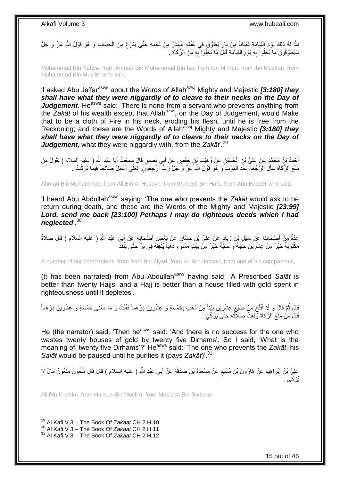اللَّهُ لَهُ ذَلِكَ يَوْمَ الْقِيَامَةِ ثُعْبَاناً مِنْ نَارٍ يُطَوَّقُ فِي عُنُقِهِ يَذْهَشُ مِنْ لَحْمِهِ حَتَّى يَفْرُغَ مِنَ الْحِسَابِ وَ هُوَ قَوْلُ اللَّهِ عَزَّ وَ جَلَّ ٔ.<br>ـ ْ ْ سَيُطَوَّ قُونَ ما بَخِلُوا بِهِ يَوْمَ الْقِيامَةِ قَالَ مَا بَخِلُوا بِهِ مِنَ الزَّكَاةِ . ْ ِ **∶** 

Muhammad Bin Yahya, from Ahmad Bin Muhammad Bin Isa, from Ibn Mihran, from Ibn Muskan, from Muhammad Bin Muslim who said,

'I asked Abu Ja'far<sup>asws</sup> about the Words of Allah<sup>azwj</sup> Mighty and Majestic *[3:180] they shall have what they were niggardly of to cleave to their necks on the Day of Judgement*. He<sup>asws</sup> said: 'There is none from a servant who prevents anything from the *Zakāt* of his wealth except that Allah<sup>azwj</sup>, on the Day of Judgement, would Make that to be a cloth of Fire in his neck, eroding his flesh, until he is free from the Reckoning; and these are the Words of Allah<sup>azwj</sup> Mighty and Majestic *[3:180] they shall have what they were niggardly of to cleave to their necks on the Day of Judgement*, what they were niggardly with, from the *Zakāt*'.<sup>29</sup>

أَحْمَدُ بْنُ مُحَمَّدٍ عَنْ عَلِيِّ بْنِ الْحُسَيْنِ عَنْ وُهَيْبِ بِنِ حَفْصٍ عَنْ أَبِي بَصِيرٍ قَالَ سَعِعْتُ أَبَا عَبْدِ اللَّهِ ( عِليه السلام ) يَقُولُ مَنْ َ َ ْ مَنَعَ الزَّكَاةَ سَأَلَ الرَّجْعَةَ عِنْدَ الْمَوْتِ وَ هُوَ قَوْلُ اللَّهِ عَزَّ وَ جَلَّ رَبٍّ ارْجِعُونِ لَعَلِّي أَعْمَلُ صالِحاً فِيما تَرَكْتُ . ْ َ َ

Ahmad Bin Muhammad, from Ali Bin Al Husayn, from Wuheyb Bin Hafs, from Abu Baseer who said,

'I heard Abu Abdullah<sup>asws</sup> saying: 'The one who prevents the Zakat would ask to be return during death, and these are the Words of the Mighty and Majestic *[23:99] Lord, send me back [23:100] Perhaps I may do righteous deeds which I had neglected*'.<sup>30</sup>

عِدَّةٌ مِنْ أَصْحَابِنَا عَنْ سَهْلِ بِنِ زِيَادٍ عَنْ عَلِيٍّ بْنِ حَسَّانَ عَنْ بَعْضٍ أَصْحَابِهِ عَنْ أَبِي عَبْدِ اللَّهِ ( عليه السلام ) قَالَ صَلَاةٌ ِ **∣** َ َ ِ َ مَكْتُوبَةٌ خَيْرٌ مِنْ عِشْرِينَ حَجَّةً وَ حَجَّةٌ خَيْرٌ مِنّْ بَيْتٍ مَمْلُوءٍ ذَهَباً يُنْفِقُهُ فِي بِرٍّ حَتَّى يَنْفَذَّ ِ **∶** 

A number of our companions, from Sahl Bin Ziyad, from Ali Bin Hassan, from one of his companions,

(It has been narrated) from Abu Abdullah<sup>asws</sup> having said: 'A Prescribed Salat is better than twenty Hajjs, and a Hajj is better than a house filled with gold spent in righteousness until it depletes'.

قَالَ ثُمَّ قَالَ وَ لَإِ أَفْلَحَ مَنْ ضَبَّعَ عِشْرِينَ بَيْنَاً مِنْ ذَهَبٍ بِخَمْسَةٍ وَ عِشْرِينَ دِرْهَماً فَقُلْتُ وَ مَا مَعْنَى خَمْسَةٍ وَ عِشْرِينَ دِرْهَماً ْ **ٍ** ِ ِ لَ َ ِ قَالَ مَنْ مَنْعَ الزَّكَاةَ وَّقِفَتْ صَلَاَتُهُ حَتَّى يُزَكِّيَ .

He (the narrator) said, 'Then he<sup>asws</sup> said: 'And there is no success for the one who wastes twenty houses of gold by twenty five Dirhams'. So I said, 'What is the meaning of 'twenty five Dirhams'?' He<sup>asws</sup> said: 'The one who prevents the Zakat, his *Salāt* would be paused until he purifies it (pays *Zakāt*)'.<sup>31</sup>

عَلِيُّ بْنُ إِبْرَاهِيمَ عَنْ هَارُونَ بْنِ مُسْلِمٍ عَنْ مَسْعَدَةَ بْنِ صَدَقَةَ عَنْ أَبِي عَبْدِ اللَّهِ ( عليه السلام ) قَالَ قَالَ مَلْعُونٌ مَلْضُونٌ مَالٌ لَا َ ٍ ِ ْ ْ ُي َز َّكى .

Ali Bin Ibrahim, from Haroun Bin Muslim, from Mas'ada Bin Sadaqa,

<sup>29</sup> Al Kafi V 3 – The Book Of *Zakaat* CH 2 H 10

<sup>30</sup> Al Kafi V 3 – The Book Of *Zakaat* CH 2 H 11

<sup>31</sup> Al Kafi V 3 – The Book Of *Zakaat* CH 2 H 12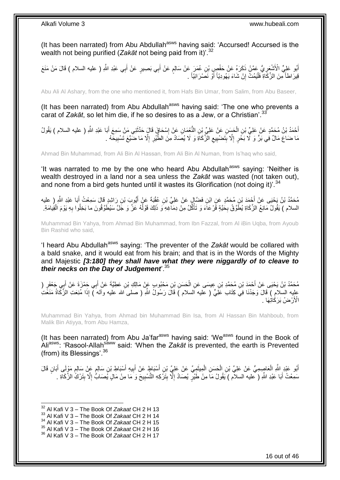(It has been narrated) from Abu Abdullah<sup>asws</sup> having said: 'Accursed! Accursed is the wealth not being purified (*Zakāt* not being paid from it)<sup>'.32</sup>

أَبُو عَلِيٍّ الْأَشْعَرِ يُّ عَمَّنْ ذَكَرَهُ عَنْ حَفْصٍ بْنِ عُمَرَ ٍ عَنْ سَالِمٍ عَنْ أَبِي بَصِيرٍ عَنْ أَبِي عَبْدِ اللَّهِ ( عليه السلام ) قَالَ مَنْ مَنَعَ **∶** َ َ ֧֧֚֓֝֝֓֝ قِيرَ اطأَ مِنَ الزَّكَاةِ فَلْيَمُتْ إِنْ شَاءَ يَهُودِيّاً أَوْ نَصُرَ انِيّاً . ا<br>ا ِ ا<br>ا

Abu Ali Al Ashary, from the one who mentioned it, from Hafs Bin Umar, from Salim, from Abu Baseer,

(It has been narrated) from Abu Abdullah<sup>asws</sup> having said: 'The one who prevents a carat of *Zakāt*, so let him die, if he so desires to as a Jew, or a Christian'.<sup>33</sup>

ْ أَحْمَدُ بْنُ مُحَمَّدٍ عَنْ عَلِيِّ بْنِ الْحَسَنِ عَنْ عَلِيٍّ بِْنِ النُّعْمَانِ عَنْ إِسْحَاقٍَ قَالٍَ حَذَّثَنِي مَنْ سَمِعَ أَبَا عَبْدِ اللَّهِ ( عليه السلام ) يَقُولُ َ َ ِ ِ مَا ضَاعَ مَالٌ فِي بَرٍّ وَ لَّا بَخَرٍ إِلَّا بِنَصْبِيعِ الزَّكَاةِ وَ لَا يُصَادُ مِنَ الطَّيْرِ إِلَّا مَا ضَّيَّعَ تَسْبِيحَهُ . ِ ِ ِ **!**  $\frac{1}{2}$ ِ

Ahmad Bin Muhammad, from Ali Bin Al Hassan, from Ali Bin Al Numan, from Is'haq who said,

'It was narrated to me by the one who heard Abu Abdullah<sup>asws</sup> saying: 'Neither is wealth destroyed in a land nor a sea unless the *Zakāt* was wasted (not taken out), and none from a bird gets hunted until it wastes its Glorification (not doing it)<sup>'.34</sup>

مُحَمَّدُ بْنُ يَحْيَى عَنْ أَحْمَدَ بْنِ مُحَمَّدٍ عَنِ ابْنِ فَضَّالٍ عَنْ عَلِيِّ بْنِ عُقْبَةَ عَنْ أَيُّوبِ بْنِ رَاشِدٍ قَالَ سَمِعْتُ أَبَا عَبْدِ اللَّهِ ( عليه<br>. َ َ السلام ) يَقُولُ مَانِعُ الزَّكَاةِ يُطَوَّقُ بِحَيَّةٍ قَرْعَاءَ وَ تَأْكُّلُ مِنْ دِمَاْغِهِ وَ ذَلِكَ قَوْلُهُ عَزَّ وَ جَلَّ سَيُطَوَّقُونَ ما بَخِلُوا بِهِ يَوْمَ الْقِيامَةِ. ا<br>ا ْ **∶** ْ ِ

Muhammad Bin Yahya, from Ahmad Bin Muhammad, from Ibn Fazzal, from Al iBin Uqba, from Ayoub Bin Rashid who said,

'I heard Abu Abdullah<sup>asws</sup> saying: 'The preventer of the Zakat would be collared with a bald snake, and it would eat from his brain; and that is in the Words of the Mighty and Majestic *[3:180] they shall have what they were niggardly of to cleave to their necks on the Day of Judgement*'.<sup>35</sup>

مُحَمَّدُ بْنُ يَحْيَى عَنْ أَحْمَدَ بْنِ مُحَمَّدِ بْنِ عِيسَى عَنِ الْحَسَنِ بْنِ مَحْبُوبٍ عَنْ مَالِكِ بْنِ عَطِيَّةَ عَنْ أَبِي حَمْزَةَ عَنْ أَبِي جَعْفَرٍ ( ْ َ َ َ عِلِيه السلامِ ) قَالَ وَجَدْنَا فِيَ كِنَابِ عَلِيٍّ ( عليه السلام ) قَالَ رَسُولُ اللّهِ ( صلى الله عليه وآله ٓ) إِذَا مُنِعَتِ الزَّكَاةُ مَنَعًّتُ الْأَرْضُ بَرَكَٰاتِهَا .

Muhammad Bin Yahya, from Ahmad bin Muhammad Bin Isa, from Al Hassan Bin Mahboub, from Malik Bin Atiyya, from Abu Hamza,

(It has been narrated) from Abu Ja'far<sup>asws</sup> having said: 'We<sup>asws</sup> found in the Book of Ali<sup>asws</sup>: 'Rasool-Allah<sup>saww</sup> said: 'When the Zakat is prevented, the earth is Prevented (from) its Blessings'.  $36$ 

أَبُو عَبْدِ اللَّهِ الْعَاصِمِيُّ عَنْ عَلِيِّ بْنِ الْحَسَنِ الْمِيثَمِيِّ عَنْ عَلِيٍّ بْنِ أَسْبَاطٍ عَنْ أَبِيهِ أَسْبَاطِ بْنِ سَالِمٍ عَنْ سَالِمٍ مَوْلَى أَبَانٍ قَالَ َ ِ َ َ َ ْ ْ ْ َ م<br>م م سَمِعْتُ أَبَا عَبْدِ اللَّهِ ( عليه السلام ) يَقُولُ مَاَ مِنْ طَيْرٍ يُصَادُ إِلَّا بِتَرَكِهِ التَّسْبِيحَ وَ مَا مِنْ مَالٍ يُصَابُ إِلَّا بِتَرْكِ الزَّكَاةِ . َ ِ ِ ِ ِ ِ

1

<sup>33</sup> Al Kafi V 3 – The Book Of *Zakaat* CH 2 H 14

<sup>32</sup> Al Kafi V 3 – The Book Of *Zakaat* CH 2 H 13

<sup>34</sup> Al Kafi V 3 – The Book Of *Zakaat* CH 2 H 15

<sup>35</sup> Al Kafi V 3 – The Book Of *Zakaat* CH 2 H 16

<sup>36</sup> Al Kafi V 3 – The Book Of *Zakaat* CH 2 H 17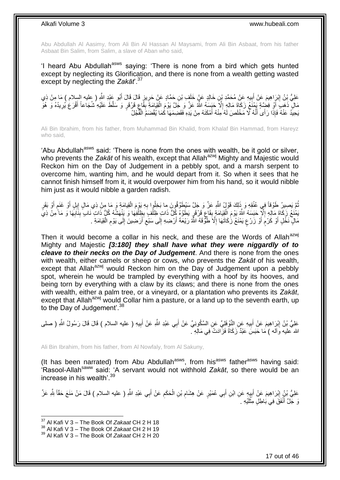Abu Abdullah Al Aasimy, from Ali Bin Al Hassan Al Maysami, from Ali Bin Asbaat, from his father Asbaat Bin Salim, from Salim, a slave of Aban who said,

'I heard Abu Abdullah<sup>asws</sup> saying: 'There is none from a bird which gets hunted except by neglecting its Glorification, and there is none from a wealth getting wasted except by neglecting the *Zakāt*'.<sup>37</sup>

عَلِيُّ بِْنُ إِبْرَاهِيمَ عَنْ أَبِيهِ عَنْ مُحَمَّدِ بْنِ خَالِدٍ عَنْ خَلَفٍ بْنِ حَمَّادٍ عَنْ حَرِيزٍ قَالَ قَالَ أَبُو عَنْدِ اللَّهِ ( عليه السلام ) مَا مِنْ ذِي َ ِ ِ َ ِ مَالٍ ذَهَبٍ أَوْ فِضَّةٍ يَمْنَعُ زَكَاةَ مَالِهِ إِلَّا حَبَسَهُ اللَّهُ عَزَّ وَ جَلَّ يَوْمَ الْقِيَامَةَ بِقَاعٍ فَرْقَرٍ وَ سَلَّطَ عَلَيْهِ شُجَاعاً أَقْرَعُ يُرِيدُهُ وَ هُوَ ْ ِ َ ِ َ ٍ ِ يَحِيدُ عَنْهُ فَإِذَا رَأَى أَنَّهُ لَا مَخْلَصَ لَهُ مِنْهُ أَمْكَنَهُ مِنْ يَدِهِ فَقَضِمَهَا كَٰمَا يُقْضَمُ الْفُجْلُ ْ َ َ

Ali Bin Ibrahim, from his father, from Muhammad Bin Khalid, from Khalaf Bin Hammad, from Hareyz who said,

'Abu Abdullah<sup>asws</sup> said: 'There is none from the ones with wealth, be it gold or silver, who prevents the Zakat of his wealth, except that Allah<sup>azwj</sup> Mighty and Majestic would Reckon him on the Day of Judgement in a pebbly spot, and a marsh serpent to overcome him, wanting him, and he would depart from it. So when it sees that he cannot finish himself from it, it would overpower him from his hand, so it would nibble him just as it would nibble a garden radish.

نُّمَّ يَصِيرُ طَوْقاً فِي عُنُقِهِ وَ ذَلِكَ قَوْلُ اللَّهِ عَزَّ وَ جَلَّ سَيُطَوَّقُونَ ما بَخِلُوا بِهِ يَوْمَ الْقِيامَةِ وَ مَا مِنْ ذِي مَالٍ إِبلِ أَوْ غَنَمٍ أَوْ بَقَرٍ ْ **∶** ُ َ م<br>وا َ ِ ِ يَفْنَعُ زِكَاةَ مَالِهِ إِلَّا حَبَسَهُ اللَّهُ يَوْمَ الْقِيَامَةِ بِقَاعٍ قَرْقَرٍ يَطَوُهُ كُلُّ ذَاتِ ظِلْفٍ بِظِلْفِهَا وَ يَنْهَشُهُ كُلُّ ذَاتِ نَابٍ بِثَابِهَا وَ مَا مِنْ ذِيَّ ْ ِ ْ ; **∣** ْ ِ **∶** ِ مَالٍ نَخْلٍ أَوْ كَرْمَ أَوْ زَرْعٍ يَمْنَعُ زُكَاتَهَا إِلَّا طَّوَّقَهُ اللَّهُ رَيْعَةَ أَرْضِهِ إِلَى سَبْعٍ أَرَضِينَ إِلَى يَوْمِ الْقِيَامَةِ . ِ ٍ َ م َ ْ ِ ِ اُ ِ  $\frac{1}{2}$ َ

Then it would become a collar in his neck, and these are the Words of Allah<sup>azwj</sup> Mighty and Majestic *[3:180] they shall have what they were niggardly of to cleave to their necks on the Day of Judgement*. And there is none from the ones with wealth, either camels or sheep or cows, who prevents the *Zakāt* of his wealth, except that Allah<sup>azwj</sup> would Reckon him on the Day of Judgement upon a pebbly spot, wherein he would be trampled by everything with a hoof by its hooves, and being torn by everything with a claw by its claws; and there is none from the ones with wealth, either a palm tree, or a vineyard, or a plantation who prevents its *Zakāt*, except that Allah<sup>azwj</sup> would Collar him a pasture, or a land up to the seventh earth, up to the Day of Judgement'.<sup>38</sup>

عَلِيُّ بْنُ إِبْرَاهِيمَ عَنْ أَبِيهِ عَنِ النَّوْفَلِيِّ عَنِ السَّكُونِيِّ عَنْ أَبِي عَبْدِ اللَّهِ عَنْ أَبِيهِ ( عليه السلام ) قَالَ قَالَ رَسُولُ اللَّهِ ( صلى ِ َ َ ِ َ יִין<br>∶ الله عليه وَأَله ) مَا حَبَسَ عَبْدٌ زَكَاةً فَزَادَتْ فِي مَالِهِ .

Ali Bin Ibrahim, from his father, from Al Nowfaly, from Al Sakuny,

(It has been narrated) from Abu Abdullah $a<sup>asws</sup>$ , from his $a<sup>asws</sup>$  father $a<sup>asws</sup>$  having said: 'Rasool-Allahsaww said: 'A servant would not withhold *Zakāt*, so there would be an increase in his wealth' $^{39}$ 

عَلِيُّ بِنُ إِبْرَاهِيمَ عَنْ أَبِيهٍ عَنِ ابْنِ أَبِي عُمَيْرٍ عَنْ هِشَامِ بْنِ الْحَكَمِ عَنْ أَبِي عَبْدِ اللَّهِ ( عليه السلام ) قَالَ مَنْ مَنَعَ حَقّاً لِلَّهِ عَزَّ َ ِ ْ ِ َ  $\ddot{\phantom{a}}$ َ **∶** .<br>: نَ جَلَّ أَنْفَقَ فِي بَاطِلٍ مِثْلَيْهِ . َ لَ

<sup>37</sup> Al Kafi V 3 – The Book Of *Zakaat* CH 2 H 18

<sup>38</sup> Al Kafi V 3 – The Book Of *Zakaat* CH 2 H 19

<sup>39</sup> Al Kafi V 3 – The Book Of *Zakaat* CH 2 H 20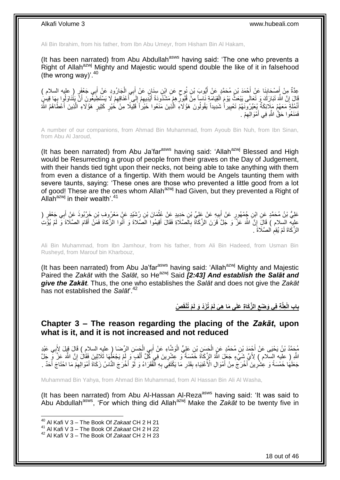Ali Bin Ibrahim, from his father, from Ibn Abu Umeyr, from Hisham Bin Al Hakam,

(It has been narrated) from Abu Abdullah<sup>asws</sup> having said: 'The one who prevents a Right of Allah<sup>azwj</sup> Mighty and Majestic would spend double the like of it in falsehood (the wrong way)<sup>'.40</sup>

عِدَّةٌ مِنْ أُصْحَابِنَا عَنْ أَحْمَدَ بْنِ مُحَمَّدٍ عَنْ أَيُّوبَ بْنِ نُوحٍ عَنِ ابْنِ سِنَانٍ عَنْ أَبِي الْجَارُودِ عَنْ أَبِي جَعْفَرٍ ( عليه السلام )<br>ِ ْ َ ٍ َ َ ِ َ َ َفَالَ إِنَّ اللَّهَ تَبَارَكَ وَ تَعَالَى بَيْعَثُ يَوْمَ الْقِيَامَةِ نَاساً مِنَّ قُبُورٍّ هِمْ مَشْدُودَةَ أَيْدَيِهِمْ إِلَى أَعْنَاقِهِمْ لَا يَسْتَطِيَعُونَ أَنَّ يَتَنَاوَلُوا بِهَا قِيسٍ ْ **֓**֧֢֢֢֦֓ ِ َ ِ َ ∣∣<br>∶ ِ َ ِ أَنْمُلَةَ مَعَهُمْ مَلَائِكَةٌ بُعَيِّرُونَهُمْ تَعْيِيراً شَدِيداً يَقُولُونَ هَؤُلاءِ الَّذِينَ مَنَعُوا خَيْراً قَلِيلًا مِنْ خَيْرٍ كَثِيرٍ هَؤُلاءِ الَّذِينَ أَعْطَاهُمُ اللَّهُ َّ ِ َ َ َّ فَمَنَعُوا حَقَّ اللَّهِ فِي أَمْوَالِهِمْ . ِ َ

A number of our companions, from Ahmad Bin Muhammad, from Ayoub Bin Nuh, from Ibn Sinan, from Abu Al Jaroud,

(It has been narrated) from Abu Ja'far<sup>asws</sup> having said: 'Allah<sup>azwj</sup> Blessed and High would be Resurrecting a group of people from their graves on the Day of Judgement, with their hands tied tight upon their necks, not being able to take anything with them from even a distance of a fingertip. With them would be Angels taunting them with severe taunts, saying: 'These ones are those who prevented a little good from a lot of good! These are the ones whom Allah<sup>azwj</sup> had Given, but they prevented a Right of Allah $a^{2xy}$  in their wealth'.<sup>41</sup>

عَلِيُّ بْنُ مُحَمَّدٍ عَنِ ابْنِ جُمْهُورٍ عَنْ أَبِيهِ عَنْ عَلِيٍّ بْنِ حَدِيدٍ عَنْ عُقْمَانَ بْنِ رُشَيْدٍ عَنْ مَعْرُوفٍ بْنِ خَرَّبُوذَ عَنْ أَبِي جَعْفَرٍ ( ِ َ **ٔ !** َ عليه السلام ) قَالَ إِنَّ اللَّهَ عَزَّ وَ جَلَّ قَرَنَ الزَّكَاَةَ بِالصَّلَاةِ فَقَالَ أَقِيمُوا الْصَّلاةَ وَ آتُوا الزَّكاةَ فَمَنْ أَقَامَ الصَّلَاةَ وَ لَمْ يُؤْتُ َ ِ َ الزَّكَاةَ لَمْ يُقِمِ الصَّلَاةَ . **ُ** 

Ali Bin Muhammad, from Ibn Jamhour, from his father, from Ali Bin Hadeed, from Usman Bin Rusheyd, from Marouf bin Kharbouz,

(It has been narrated) from Abu Ja'far<sup>asws</sup> having said: 'Allah<sup>azwj</sup> Mighty and Majestic Paired the *Zakāt* with the *Salāt*, so He<sup>azwj</sup> Said **[2:43] And establish the Salāt and** *give the Zakāt*. Thus, the one who establishes the *Salāt* and does not give the *Zakāt* has not established the *Salāt*'.<sup>42</sup>

> باب الْعِلَّةِ فِى وَضْعِ الزَّكَاةِ عَلَى مَا هِىَ لَمْ تُزَدْ وَ لَمْ تُنْقَصْ **ِ**

<span id="page-17-0"></span>**Chapter 3 – The reason regarding the placing of the** *Zakāt***, upon what is it, and it is not increased and not reduced**

جُمَّدُ بْنُ يَحْيَى عَنْ أَجْمَدَ بْنِ مُحَمَّدٍ عَنٍ الْحَسِنِ بْنِ عَلِيٍّ الْوَشَاءِ عَنْ أَبِي الْحَسَنِ الرِّضَا ( عليه السلامِ ) قَالَ قِبِلَ لِأَبِي عَبْدٍ ْ ِ ْ َ ْ اللَّهِ ( عِلْيه السَّلام ) لِأَيِّ شَيْءٍ جَعَلَ اللَّهُ الزَّكَاةَ خَمْسِنَةً وَ عَشْرِينَ فَي كُلِّ أَلْفٍ وَ لَمْ يَجْعَلُهَا ثَلَاثِينَ فَقَالَ إِنَّ اللَّهَ عَزَّ وَ جَلَّ ِ ْ ْ َ ِ جَعَلَهُا خَمْسَةً وَ عِشْرِينَ ۖ أَخْرَجَ مِنْ أَمْوَالِ الْأَغْنِيَاءِ بِقَدْرِ مَا يَكْتَفِي بِهِ الْفُقَرَاءُ وَ لَمْ أَخْرَجَ النَّاسُ زَكَاةَ أَمْوَالِهِمْ مَا احْتَاجَ أَحَدٌ . َ ْ ِ ِ **∣** َ ِ َ ِ َ

Muhammad Bin Yahya, from Ahmad Bin Muhammad, from Al Hassan Bin Ali Al Washa,

(It has been narrated) from Abu Al-Hassan Al-Reza<sup>asws</sup> having said: 'It was said to Abu Abdullah<sup>asws</sup>, 'For which thing did Allah<sup>azwj</sup> Make the *Zakāt* to be twenty five in

<sup>40</sup> Al Kafi V 3 – The Book Of *Zakaat* CH 2 H 21

<sup>41</sup> Al Kafi V 3 – The Book Of *Zakaat* CH 2 H 22

<sup>42</sup> Al Kafi V 3 – The Book Of *Zakaat* CH 2 H 23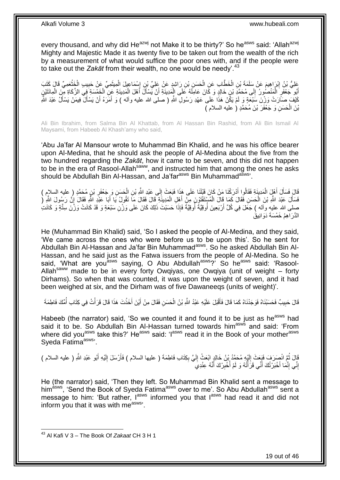every thousand, and why did He<sup>azwj</sup> not Make it to be thirty?' So he<sup>asws</sup> said: 'Allah<sup>azwj</sup> Mighty and Majestic Made it as twenty five to be taken out from the wealth of the rich by a measurement of what would suffice the poor ones with, and if the people were to take out the *Zakāt* from their wealth, no one would be needy<sup>'.43</sup>

عَلِيُّ بْنُ إِبْرَاهِيمَ عَنْ سَلَمَةَ بْنِ الْخَطَّابِ عَنِ الْحَسَنِ بْنِ رَاشِدٍ عَنْ عَلِيِّ بْنِ إِسْمَاعِيلَ الْمِيثَمِيِّ عَنْ حَبِيبِ الْخَثْعَمِيِّ قَالَ كَثَبَ<br>يَمْتُ الْمَسْئِمِيِّ الْمَسْئِمَةِ بِّي الْخَطَّا َ ْ ِ ْ ْ ِ **ٔ** ْ ِ ْ أَبُو جَعْفَرٍ الْمَنْصُورُ إِلَى مُحَمَّدٍ بْنِ خَالِدٍ وَ كَانَ عَامِلَهُ عَلَى الْمَدِينَةِ أَنْ يَسْأَلَ أَهْلَ الْمَدِينَةِ عَنِ الْخَمْسَةِ فِي الزَّكَاةِ مِنَ الْمِائَتَيْنِ  $\frac{1}{2}$ ْ َ ْ ْ ْ َ َ َ كَيْفَ صَاَرَتْ وَزْنَ سَبْعَةٍ وَ لَمْ يَكُنْ هَذَا عَلَى عَهْدِ رَسُولِ اللّهِ ( صلى الله عليه وأله ) وَ أَمَرَهُ أَنْ يَسْأَلَ فِيمَنْ يَسْأَلُ عَبْدَ اللّهِ َ َ َ َ بْنَ الْمَسَنِ وَ جَعْفَرَ بْنَ مُحَمَّدٍ ( عليه السلام ) ْ

Ali Bin Ibrahim, from Salma Bin Al Khattab, from Al Hassan Bin Rashid, from Ali Bin Ismail Al Maysami, from Habeeb Al Khash'amy who said,

'Abu Ja'far Al Mansour wrote to Muhammad Bin Khalid, and he was his office bearer upon Al-Medina, that he should ask the people of Al-Medina about the five from the two hundred regarding the *Zakāt*, how it came to be seven, and this did not happen to be in the era of Rasool-Allah<sup>saww</sup>, and instructed him that among the ones he asks should be Abdullah Bin Al-Hassan, and Ja'far<sup>asws</sup> Bin Muhammad<sup>asws</sup>'.

ِن لَى َعْبِد ََّّللاِ ْب ا َفَب َع َث إ ْد َر ْكَنا َم ْن َكا َن َقْبلََنا َعلَى َهذَ ُوا أ َمِديَن ِة َفَقال ْه َل ال َل أ ِن ُم َح َّمٍد َقا َل ) عليه َف َسأ ْب َح َس ِن َو َج ْعَفر ال السالم (  $\frac{1}{2}$ َ ْ اً<br>ا َ ِ ْ فَسَأَلَ عَبْدَ اللَّهِ بْنَ الْحَسَنِ فَقَالَ كَمَا قَالَ الْمُسْتَفْتَوْنِ مِنْ أَهْلِ الْمَدِينَةِ قَالَ فَقَالَ مَا تَقُولُ يَا أَبَا عَبْدِ اللَّهِ فَقَالَ إِنَّ رَسُولَ اللَّهِ ( ْ َ ْ ْ اً<br>ا  $\frac{1}{3}$ َ :<br>ا صلى الله عليه وأله ) جَعَلَ فِي كُلِّ أَرْبَعِينَ أُوقِيَّةً أُوقِيَّةً فَإِذَا حَسَبْتَ ذَلِكَ كَانَ عَلَى وَزْنِ سَبْعَةٍ وَ قَدْ كَانَتْ وَزْنَ سِتَّةٍ وَ كَانَتُ ُ اُ َ ِ ً الذَّرَ اهمُ خَمْسَةَ دَوَ انيقُ

He (Muhammad Bin Khalid) said, 'So I asked the people of Al-Medina, and they said, 'We came across the ones who were before us to be upon this'. So he sent for Abdullah Bin Al-Hassan and Ja'far Bin Muhammad<sup>asws</sup>. So he asked Abdullah Bin Al-Hassan, and he said just as the Fatwa issuers from the people of Al-Medina. So he said, 'What are you<sup>asws</sup> saying, O Abu Abdullah<sup>asws</sup>?' So he<sup>asws</sup> said: 'Rasool-Allah<sup>saww</sup> made to be in every forty Owgiyas, one Owgiya (unit of weight  $-$  forty Dirhams). So when that was counted, it was upon the weight of seven, and it had been weighed at six, and the Dirham was of five Dawaneeqs (units of weight)'.

َ قَالَ حَبِيبٌ فَحَسَبْنَاهُ فَوَجَدْنَاهُ كَمَا قَالَ فَأَقْبَلَ عَلَيْهِ عَبْدُ اللَّهِ بْنُ الْحَسَنِ فَقَالَ مِنْ أَيْنَ أَخَذْتَ هَذَا قَالَ قَرَأْتُ فِي كِتَابِ أُمِّكَ فَاطِمَةَ َ ْ َ **!** ُ ْ **ٔ** 

Habeeb (the narrator) said, 'So we counted it and found it to be just as he<sup>asws</sup> had said it to be. So Abdullah Bin Al-Hassan turned towards him<sup>asws</sup> and said: 'From where did you<sup>asws</sup> take this?' He<sup>asws</sup> said: ' $1<sup>asws</sup>$  read it in the Book of your mother<sup>asws</sup> Syeda Fatima<sup>asws</sup>'.

قَالَ ثُمَّ انْصِرَفَ فَيَعَثَ إِلَيْهِ مُحَمَّدُ بْنُ خَالِدٍ ابْعَثْ إِلَيَّ بِكِتَابِ فَاطِمَةَ ( عليها السلام ) فَأَرْسَلَ إِلَيْهِ أَبُو عَبْدِ اللَّهِ ( عليه السلام ) َ ِ لَ ِ لَ ِ ُ َ لَ ∣∣<br>∶ إِنِّي إِنَّمَا أَخْبَرْتُكَ أَنِّي قَرَأَتُهُ وَ لَمْ أُخْبِرْكَ أَنَّهُ عِنْدِيَ َ ِ ا<br>ا ֧֧֧֦֧֦֧֪֪֪֦֘֝֟֓֝֟֟֓֡֟֓֟֓֟֓֡֟֓֟֓֟֓֟֡֟֓֟֓֟֡֟֓֟֓֟֡֟֓֟֓֟֡֟֓֟֡֟֓֞֟֓֝֬֓֞֟֓֞֟֓֞֟֓֞֬֓֟֓֝֬֝֟֟ َ َ ֺׅׅ֧֧֦֧֧֧֧ׅ֧֧ׅ֧ׅ֧ׅ֧ׅ֧֧ׅ֧ׅ֧֧ׅ֧ׅ֧֧֧֧֚֚֚֚֚֚֚֚֚֚֚֚֚֚֚֚֚֚֚֚֚֚֚֚֚֚֚֝֡֡֡֡֡֡֡֝֡֓֡֝֓֓֡֓֡֬֓֝֬֡֬֝֬֝֬֝֬ ِ

He (the narrator) said, 'Then they left. So Muhammad Bin Khalid sent a message to him<sup>asws</sup>, 'Send the Book of Syeda Fatima<sup>asws</sup> over to me'. So Abu Abdullah<sup>asws</sup> sent a message to him: 'But rather, I<sup>asws</sup> informed you that I<sup>asws</sup> had read it and did not inform you that it was with me<sup>asws</sup>.

 $\overline{a}$ 

<sup>43</sup> Al Kafi V 3 – The Book Of *Zakaat* CH 3 H 1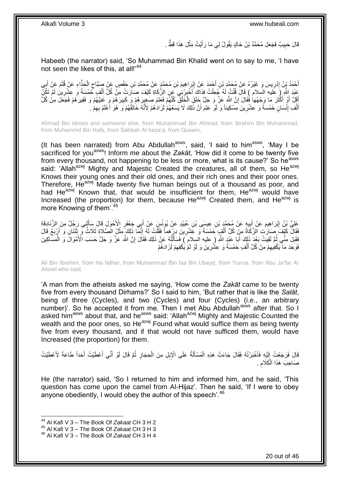قَالَ حَبِيبٌ فَجَعَلَ مُحَمَّدُ بْنُ خَالِدٍ يَقُولُ لِي مَا رَ أَيْتُ مِثْلَ هَذَا قَطَّ . **ٔ** َ **!** 

Habeeb (the narrator) said, 'So Muhammad Bin Khalid went on to say to me, 'I have not seen the likes of this, at all!<sup>44</sup>

أَحْمَدُ يُنُ إِدْرِيسَ وَ غَيْرُهُ عَنْ مُحَمَّدِ بْنِ أَجْمَدَ عَنْ إِبْرَاهِيمَ بْنِ مُحَمَّدٍ عَنْ مُحَمَّدِ بْنِ حَفْصٍ عَنْ صَبَّاحٍ الْحَذَّاءِ عَنْ قُثَمَ عَنْ أَبِي َ ٍ ِ َ ِ ِ .<br>; َ َ ْ عَبْدِ اللَّهِ (ِ عَليه السلام ) قَالَ قُلْتُ لَهُ جُعِلْتُ فِدَاكَ أَخْيِرْنِي عَنِ الزُّكَاةِ كَيْفَ صَارَتْ مَنْ كُلِّ أَلْفٍ خَمْسَةً وَ عِشْرِينَ لَمْ تَكُنَّ<br>يَرَجَبَ يَسْءُ لَي عَشْرِينَ الْمَسْتُمِينَ الْمُسْتَمِي **↓** َ ْ ْ ِ ْ َ أَقَلَّ أَوْ أَكْثَرَ مَا وَجْهُهَا فَقَالَ إِنَّ اللَّهَ عَزَّ وَ جَلَّ خَلَقَ الْخَلْقُ كُلَّهُمْ فَعَلِمَ صَغِيرَهُمْ وَ كَبِيرَهُمْ وَ غَنِيَّهُمْ وَ فَقِيرَهُمْ فَجَعَلَ مِنْ كُلِّ َّ ْ ا<br>ا ِ ة<br>أ َ ِ ْ أَلْفِ إِنَّسَانٍ ۖ خَمْسَةً وَ عِشْرِينَ مِسْكِيناً وَ لَوْ عَلِمَ أَنَّ ذَٰلِكَ لَا يَسَعُهُمْ لَزَادَٰهُمْ لِأَنَّهُ خَالِقَٰهُمْ وَ ۖ هُوَ أَعْلَمُ بِهِمْ ۚ ـ ِ ِ ِ َ

Ahmad Bin Idrees and someone else, from Muhammad Bin Ahmad, from Ibrahim Bin Muhammad, from Muhammd Bin Hafs, from Sabbah Al haza'a, from Qusam,

(It has been narrated) from Abu Abdullah $a_{\text{sws}}$ , said, 'I said to him $a_{\text{sws}}$ , 'May I be sacrificed for youasws! Inform me about the *Zakāt*, 'How did it come to be twenty five from every thousand, not happening to be less or more, what is its cause?' So he<sup>asws</sup> said: 'Allah<sup>azwj</sup> Mighty and Majestic Created the creatures, all of them, so He<sup>azwj</sup> Knows their young ones and their old ones, and their rich ones and their poor ones. Therefore, He<sup>azwj</sup> Made twenty five human beings out of a thousand as poor, and had He<sup>azwj</sup> Known that, that would be insufficient for them, He<sup>azwj</sup> would have Increased (the proportion) for them, because  $He^{azwj}$  Created them, and  $He^{azwj}$  is more Knowing of them<sup>'.45</sup>

عَلِيُّ بْنُ اِبْرَاهِيمَ عَنْ أَبِيهِ عَنْ مُحَمَّدٍ بْنِ عِيسَى بْنِ عُبَيْدٍ عَنْ يُونُسَ عَنْ أَبِي جَعْفَرٍ الْأَخْوَلِ قَالَ سَأَلَنِي رَجُلٌ مِنَ الزَّنَادِقَةِ ِ َ ِ لَ َ َ فَقَالَ كَيْفَ صَارَتِ الزَّكَاةُ مِنْ كُلِّ أَلْفٍ خَمْسَةً وَ عَشْرِينَ دِرْهَماً فَقُلْتُ لَهُ إِنَّمَا ذَلِكَ مِثْلُ الصَّلَاةِ ثَلَاثٌ وَ بِثْنُتَانِ وَ أَرْبَعٌ قَالَ ْ ∣l<br>∶ ْ **∶** ْ َ َ َ فَقَلِ مِنِّي ثُمَّ لَقِيتُ بَعْدَ ذَلِكَ أَبَا عَيْدٍ اللَّهِ ( عليه السِلام َ ) فَسَأَلْتُهُ عَنْ ذَلِكَ فَقَالَ إِنَّ اللَّهَ عَنْ حَلَّ حَسَبَ الْأَمْوَالَ وَ الْمَسَاكِينَ ِ ْ Í َ ُ ِ ْ ْ فَوَجَدَ مَا يَكْفِيهِمْ مِنْ كُلِّ أَلْفٍ خَمْسَةً وَ عِشْرِينَ وَ لَوْ لَمْ يَكْفِهِمْ لَزَادَهُمْ َ ِ ِ **∶** 

Ali Bin Ibrahim, from his father, from Muhammad Bin Isa Bin Ubeyd, from Yunus, from Abu Ja'far Al Ahowl who said,

'A man from the atheists asked me saying, 'How come the *Zakāt* came to be twenty five from every thousand Dirhams?' So I said to him, 'But rather that is like the *Salāt*, being of three (Cycles), and two (Cycles) and four (Cycles) (i.e., an arbitrary number)'. So he accepted it from me. Then I met Abu Abdullah<sup>asws</sup> after that. So I asked him<sup>asws</sup> about that, and he<sup>asws</sup> said: 'Allah<sup>azwj</sup> Mighty and Majestic Counted the wealth and the poor ones, so He<sup>azwj</sup> Found what would suffice them as being twenty five from every thousand, and if that would not have sufficed them, would have Increased (the proportion) for them.

قَالَ فَرَجَعْتُ إِلَيْهِ فَأَخْبَرْتُهُ فَقَالَ جَاءَتْ هَذِهِ الْمَسْأَلَةُ عَلَى الْإِبِلِ مِنَ الْحِجَازِ ثُمَّ قَالَ لَوْ أَنِّي أَعْطَيْتُ أَحَداً طَاعَةً لَأَعْطَيْتُ ا دیکھیے ِ ْ Í ْ َ لَ  $\frac{1}{2}$ َ َ َ صَاحِبَ هَذَا الْكَلَامِ . ِ ْ

He (the narrator) said, 'So I returned to him and informed him, and he said, 'This question has come upon the camel from Al-Hijaz'. Then he said, 'If I were to obey anyone obediently, I would obey the author of this speech'. $46$ 

<sup>44</sup> Al Kafi V 3 – The Book Of *Zakaat* CH 3 H 2

<sup>45</sup> Al Kafi V 3 – The Book Of *Zakaat* CH 3 H 3

<sup>46</sup> Al Kafi V 3 – The Book Of *Zakaat* CH 3 H 4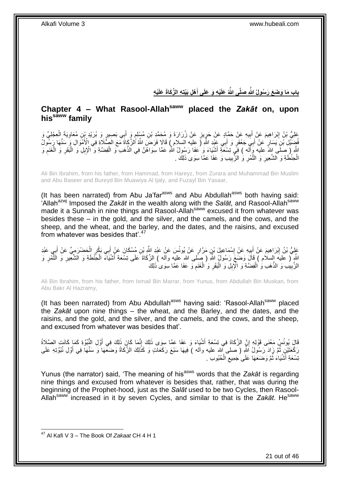بِابِ مَا وَصۡنَعَ رَسُولُ اللَّهِ صَلَّى اللَّهُ عَلَيۡهِ وَ عَلَى أَهۡل بَيۡنِهِ الزَّكَاةَ عَلَيۡهِ **َ**

### <span id="page-20-0"></span>**Chapter 4 – What Rasool-Allahsaww placed the** *Zakāt* **on, upon hissaww family**

ِعْلِيُّ بْنُ إِبْرَاهِيمَ عَنْ أَبِيهِ عَنْ حَمَّإِدٍ عَنْ حَرٍيزٍ عَنْ زُرَارَةَ وَ مُحَمَّدِ بْنِ مُسْلِمٍ وَ أَبِي بَصِبيرٍ وَ بُرَيْدِ بْنِ مُعَاوِيَةَ الْعِجْلِيِّ وَ َ ֧֧֚֓֝֝֓֝ ्।<br>∶ **!** َ ِ ْ ِ فُضِّيْلِ بِّنِ يَسَارٍ ۚ عَنْ أَبِيَ جَعْفَرٍ وَ أَبِي عَنْدِ اللَّهِ أَرْ عِليه السلام ﴾ قَالَا فَرَضَ اللَّهُ الزَّيَاةَ مَعَ الصِّلَاةِ فِي الْأَمْوَالِ وَ سَنَّهَا رَسُولُ َ َ اللَّهِ ( َصلَى اللهَ عليه وَأَلَّه ) فِي تِسْعَةِ أَشْيَاءَ وَ ُعَفَا رَسُولُ اللَّهِ عَمَّا سِوَاهُنَّ فِي الذَّهَبِ وَ الْفِضَّةِ وَ الْإِبِلِ وَ الْبَقَرِ وَ الْغَنَمِ وَ<br>الْفَصَدَّةِ وَ الْإِبْلِ وَ الْفَقَلِ وَ الْغ ِ ْ ِ ْ ْ الْحِنْطَةِ وَ الشَّعِيرِ وَ النَّمْرِ وَ الزَّبِيبِ وَ عَفَا عَمَّا سِوَى ذَلِكَ . **!** ِ ِ ْ

Ali Bin Ibrahim, from his father, from Hammad, from Hareyz, from Zurara and Muhammad Bin Muslim and Abu Baseer and Bureyd Bin Muawiya Al Ijaly, and Fuzayl Bin Yasaar,

(It has been narrated) from Abu Ja'far<sup>asws</sup> and Abu Abdullah<sup>asws</sup> both having said: 'Allah<sup>azwj</sup> Imposed the Zakāt in the wealth along with the Salat, and Rasool-Allah<sup>saww</sup> made it a Sunnah in nine things and Rasool-Allah<sup>saww</sup> excused it from whatever was besides these – in the gold, and the silver, and the camels, and the cows, and the sheep, and the wheat, and the barley, and the dates, and the raisins, and excused from whatever was besides that'.<sup>47</sup>

َ عَلِيُّ بْنُ إِبْرَاهِيمَ عَنْ أَبِيهِ عَنْ إِسْمَاعِيلَ بْنِ مَرَّارٍ عَنْ يُونُسَ عَنْ عَبْدِ اللَّهِ بْنِ مُسْكَانَ عَنْ أَبِي بَكْرٍ الْحَضْرَمِيِّ عَنْ أَبِي عَبْدِ ِ **!** َ ِ **∶** َ ْ اللَّهِ لَّا عِلْيَه السلام ) قَالَ وَضَعَ رَسُولُ اللَّهِ ( صَلَّى الله عليه وأله ) الزَّكَاةَ عَلَى نِسْعَةِ أَتْنُيَاءَ الْحَنْطَةِ وَ الشَّعْبِرِ وَ النَّتْمُرِ وَ ْ َ ِ ِ الزَّبِيُبِ وَ الذَّهَبِ وَ الْفِضَّةِ وَ الْإِبِلِ وَ الْبَقَرِ وَ الْغَذَمِ وَ عَفَا عَمَّا سِوَى ذَلِكَ ِ ْ **ٍ** ْ ْ **!** 

Ali Bin Ibrahim, from his father, from Ismail Bin Marrar, from Yunus, from Abdullah Bin Muskan, from Abu Bakr Al Hazramy,

(It has been narrated) from Abu Abdullah<sup>asws</sup> having said: 'Rasool-Allah<sup>saww</sup> placed the *Zakāt* upon nine things – the wheat, and the Barley, and the dates, and the raisins, and the gold, and the silver, and the camels, and the cows, and the sheep, and excused from whatever was besides that'.

قَالَ يُونُسُ مَعْنَى قَوْلِهِ إِنَّ الزَّكَاةَ فِي تِسْعَةِ أَشْيَاءَ وَ عَفَا عَمَّا سِوَى ذَلِكَ إِنَّمَا كَانَ ذَلِكَ فِي أَوَّلِ النُّبُوَّةِ كَمَا كَانَتٍ الصَّلَاةُ َ ِ َ ِ رَكْعَتَيْنِ نُمَّ زَادَ رَسُولُ اَللَّهِ ( صلى إلله عليه وأله ) فِيهَا سَبْعَ رَكَعَاتٍ وَ كَذَلِكَ الزَّكَاةُ وَضَعَهَا وَ سَنَّهَا فِي أَوَّلِ نُبُوَّتِهِ عَلَى ُ َ تِسْعَةِ أَشْيَاءَ ثُمَّ وَضَعَهَا عَلَى جَمِيعِ الْحُبُوبِ . َ ْ ِ ُ

Yunus (the narrator) said, 'The meaning of his<sup>asws</sup> words that the *Zakāt* is regarding nine things and excused from whatever is besides that, rather, that was during the beginning of the Prophet-hood, just as the *Salāt* used to be two Cycles, then Rasool-Allah<sup>saww</sup> increased in it by seven Cycles, and similar to that is the Zakat. He<sup>saww</sup>

 $\overline{a}$ <sup>47</sup> Al Kafi V 3 – The Book Of *Zakaat* CH 4 H 1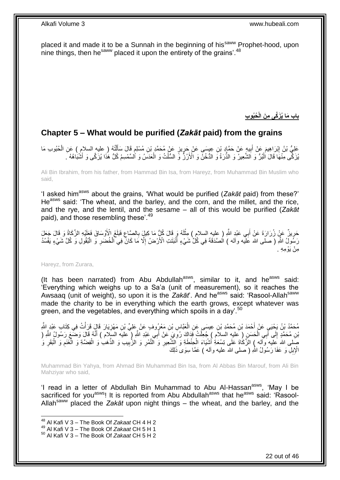placed it and made it to be a Sunnah in the beginning of his<sup>saww</sup> Prophet-hood, upon nine things, then he<sup>saww</sup> placed it upon the entirety of the grains'.<sup>48</sup>

**ُحُبو ِب باب َما ُي َزَّكى ِم َن الْ**

## <span id="page-21-0"></span>**Chapter 5 – What would be purified (***Zakāt* **paid) from the grains**

عَلِيُّ بْنُ إِبْرَاهِيمَ عَنْ أَبِيهِ عَنْ حَمَّادٍ بْنِ عِيسَى عَنْ حَرِيزٍ عَنْ مُحَمَّدٍ بْنِ مُسْلِمٍ فَالَ سَأَلْتُهُ ( عليه السلام ) عَنِ الْحُبُوبِ مَا<br>عَلِيُّ بْنُ إِبْرَاهِيمَ عَنْ أَبِيهِ عَنْ حَمَّادٍ بْنِ عِيس ْ َ ׇ֧֝ ્રુ ِ َ ِ ْ يُزَكِّى مِنْهَا قَالَ الْبُرُّ وَ اَلشَّعِيرُ وَ الذُّرَةُ وَ الذُّخْنَ وَ الْأَرُزُّ وَّ السُّلْتُ وَ الْعَدَسَٰ وَ اُلسّهْسِمُ كُلُّ هَٰذَا يُزَكَّى وَ أَتْشَاهُهُ ـ ْ ْ ْ َ

Ali Bin Ibrahim, from his father, from Hammad Bin Isa, from Hareyz, from Muhammad Bin Muslim who said,

'I asked him<sup>asws</sup> about the grains, 'What would be purified (*Zakāt* paid) from these?' He<sup>asws</sup> said: 'The wheat, and the barley, and the corn, and the millet, and the rice, and the rye, and the lentil, and the sesame – all of this would be purified (*Zakāt* paid), and those resembling these'.<sup>49</sup>

حَرِينٌ عَنْ زُرَارَةَ عَنْ أَبِي عَيْدِ اللَّهِ ( عليهِ السلامِ ) مِثْلَهُ وَ قَالَ كُلُّ مَا كِيلٍَ بِالصَّاعِ فَبَلَغَ الْأَوْسَاقَ فَعَلَيْهِ الزَّكَاةُ وَ قَالَ جَعَلَ ِ **∶** لَ ْ َ ֢֚֚ رَسُولُ اللَّهِ ( صلى الله عَلَيه وآله ) الصَّدَقَةَ فِي كُلِّ شَيْءٍ أَنْبَتَتِ الْأَرْضُ إِلَّا مَا كَانَّ فِي الْخُضَرِ وَ الْبُقُولِ وَ كُلَّ شَيْءٍ يَفْسُدُ ْ ِ ِ َ ِمِنْ يَوْ مِهِ .

Hareyz, from Zurara,

(It has been narrated) from Abu Abdullah $a$ <sup>asws</sup>, similar to it, and he $a$ <sup>asws</sup> said: 'Everything which weighs up to a Sa'a (unit of measurement), so it reaches the Awsaaq (unit of weight), so upon it is the Zakat'. And he<sup>asws</sup> said: 'Rasool-Allah<sup>saww</sup> made the charity to be in everything which the earth grows, except whatever was green, and the vegetables, and everything which spoils in a day.<sup>50</sup>

مُحَمَّدُ بْنُ يَحْيَى عَنْ أَحْمَدَ بْنِ مُحَمَّدِ بْنِ عِيسَى عَنِ الْعَبَّاسِ بْنِ مَعْرٍوفٍ عَنْ عَلِيٍّ بْنِ مَهْزِيَارَ قَالٍَ قَرَأْتُ فِي كِتَابٍ عَبْدٍ الثَّهِ **∶** ْ َ ْ بْنِ مُحَمَّدٍ إِلَى أَبِي الْحَسَنِ ( عِليهِ السلاَم ) جُعِلْتُ فَذَاكَ رُوِيَ عَنْ أَبِي عَيْدِ اللَّهِ ( عليه السِلام ) أَنَّهُ قَالَ وَضَّعَ رَسُولُ اللَّهِ ( َ َ ِ ْ ْ َ ِ صَلى الله عليه وآله ) الزَّكَاةَ عَلَى نِسْعَةِ أَشْيَاءَ الْحِنْطَةِ وَ الشَّعِيرِ وَ النَّمْرِ وَ الزَّبِيبِ وَ الذَّهَدِ وَ الْفِضَّةِ وَ الْغَنَمِ وَ الْبَقَرِ وَ ِ **ٍ ∶** ْ َ ْ ِ ا<br>ا ْ َّ الْإِبِلِّ وَ عَفَا رَسُولُ اللهِ ( صلى الله عليه وأله ) عَمَّا سِوَى ذَلِكَ

Muhammad Bin Yahya, from Ahmad Bin Muhammad Bin Isa, from Al Abbas Bin Marouf, from Ali Bin Mahziyar who said,

'I read in a letter of Abdullah Bin Muhammad to Abu Al-Hassan<sup>asws</sup>, 'May I be sacrificed for you<sup>asws</sup>! It is reported from Abu Abdullah<sup>asws</sup> that he<sup>asws</sup> said: 'Rasool-Allahsaww placed the *Zakāt* upon night things – the wheat, and the barley, and the

<sup>1</sup> <sup>48</sup> Al Kafi V 3 – The Book Of *Zakaat* CH 4 H 2

<sup>49</sup> Al Kafi V 3 – The Book Of *Zakaat* CH 5 H 1

<sup>50</sup> Al Kafi V 3 – The Book Of *Zakaat* CH 5 H 2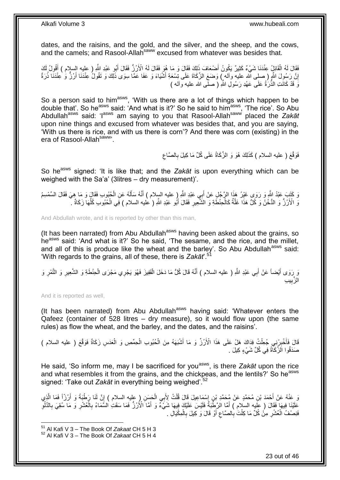dates, and the raisins, and the gold, and the silver, and the sheep, and the cows, and the camels; and Rasool-Allah<sup>saww</sup> excused from whatever was besides that.

فَقَالَ لَهُ الْقَائِلُ عِنْدَنَا شَيْءٌ كَثِيرٌ يَكُونُ أَصْعَافَ ذَلِكَ فَقَالَ وَ مَا هُوَ فَقَالَ لَهُ الْأَرُزُ فَقَالَ أَبُو عَبْدِ اللّهِ ( عليه السلام ) أَقُولُ لَكَ ْ َ َ َ إِنَّ رَسُولَ اللَّهِ ( صلى الله عليه وَالله ٍ) وَضَعَ الزَّكَاةَ عَلَى تِسْعَةِ أَشْيَاءَ وَ عَفَا عَمَّا سِوَى ذَلِّكَ وَ تَقُولُ عِنْدَنَا أَرُزٌّ وَ ٰ عِنْدَنَا ذُرَةٌ َ <u>֖֚֚֚֚֚֚֚֓</u> َ وَ قَدْ كَانَتِ الذُّرَةُ عَلَى عَهْدِ رَسُولِ اللَّهِ ( صلَّى الله عليه وآله )

So a person said to him<sup>asws</sup>, 'With us there are a lot of things which happen to be double that'. So he<sup>asws</sup> said: 'And what is it?' So he said to him<sup>asws</sup>, 'The rice'. So Abu Abdullah<sup>asws</sup> said: 'I<sup>asws</sup> am saying to you that Rasool-Allah<sup>saww</sup> placed the Zakāt upon nine things and excused from whatever was besides that, and you are saying, 'With us there is rice, and with us there is corn'? And there was corn (existing) in the era of Rasool-Allah<sup>saww</sup>'.

> فَوَقَّعَ ( عليه السلام ) كَذَلِكَ هُوَ وَ الزَّكَاةُ عَلَى كُلِّ مَا كِيلَ بِالصَّاعِ ِ ِ

So he<sup>asws</sup> signed: 'It is like that; and the *Zakāt* is upon everything which can be weighed with the Sa'a' (3litres – dry measurement)'.

وَ كَتَبٍ عَبْدُ اللَّهِ وَ رَوَى غَيْرُ هَذَا الرَّجُلِ عَنْ أَبِي عَبْدِ اللَّهِ إِ عليه السِلام ) أَنَّهُ سَأَلَهُ عَنِ الْجُبُوبِ فَقَالَ تِه وَ فَقَالَ السِّمْسِمُ ْ لَ َ َ َ وَ الْأَرُزُ وَ الدُّخْنُ وَ كُلُّ هَذَا خَلَّةٌ كَالْحِنْطَةِ وَ الشَّعِيرِ فَقَالَ أَبُو عَبْدِ اللَّهِ ( عليه السلام ) فِي الْحُبُوبِ كُلِّهَا زَكَاةٌ جَ ا<br>ا ِ ْ َّ ْ ِّ

And Abdullah wrote, and it is reported by other than this man,

(It has been narrated) from Abu Abdullah<sup>asws</sup> having been asked about the grains, so he<sup>asws</sup> said: 'And what is it?' So he said, 'The sesame, and the rice, and the millet, and all of this is produce like the wheat and the barley'. So Abu Abdullah<sup>asws</sup> said: 'With regards to the grains, all of these, there is *Zakāt*'.<sup>51</sup>

يَ رِرَوَى أَيْضاً عَنْ أَبِي عَبْدِ اللَّهِ ( عليه السلام ) أَنَّهُ قَالَ كُلُّ مَا دَخَلَ الْقَفِيزَ فَهُوَ يَجْرِي مَجْرَى الْحِنْطَةِ وَ الشَّعِيرِ وَ النَّمْرِ وَ َ َ ِ ْ ْ َ ِ الزَّبِيبِ **ِ** 

And it is reported as well,

1

(It has been narrated) from Abu Abdullah<sup>asws</sup> having said: 'Whatever enters the Qafeez (container of 528 litres – dry measure), so it would flow upon (the same rules) as flow the wheat, and the barley, and the dates, and the raisins'.

قَالَ فَأَخْبِرْنِي جُعِلْتُ فِذَاكَ هَلْ عَلَى هَذَا الْأَرُزُّ وَ مَا أَشْبَهَهُ مِنَ الْحُبُوبِ الْحِمّصِ وَ الْعَدَسِ زَكَاةٌ فَوَقَّعَ ( عليه السلام )<br>. ْ ِ َ ْ ْ ْ َ صَدَقُوا الزَّكَاةُ فِي كُلِّ شَيْءٍ كِيلَ .

He said, 'So inform me, may I be sacrificed for you<sup>asws</sup>, is there Zakat upon the rice and what resembles it from the grains, and the chickpeas, and the lentils?' So he<sup>asws</sup> signed: 'Take out Zakāt in everything being weighed'.<sup>52</sup>

وَ عَنْهُ عَنْ أَحْمَدَ بْنِ مُحَمَّدٍ عَنْ مُحَمَّدِ بْنِ إِسْمَاعِيلَ قَالَ قُلْتُ لِأَبِي الْحَسِنِ ( عليهِ السلام ) إِنَّ لَنَا رَطْبَةً وَ أَرُزٌ أَ فَمَا الَّذِي ِ ْ ْ ِ َ َّ َ عَلَيْنَا فِيهَا فَقَالَ ( عِلَيه السَلام ) أَمَّا الرَّطْبَةُ فَلَيْسَ عَلَيْكَ فِيهَا شَيْءٌ وَ أَمَّا الْأَرُرُ فَمَا سَقَتِ السَّمَاءُ بِالْعُشْرِ وَ مَا سَقِيَ بِالدَّلْوِ َ ِ ِ **∶** ْ ِ َ فَنِصْفُ الْعُشْرِ مِنْ كُلِّ مَا كِلْتَ بِالصَّاعِ أَوْ قَالَ وَ كِيلَ بِالْمِكْيَالِ . َ ِ ِ ْ **∶** ْ ْ ِ

<sup>52</sup> Al Kafi V 3 – The Book Of *Zakaat* CH 5 H 4

<sup>51</sup> Al Kafi V 3 – The Book Of *Zakaat* CH 5 H 3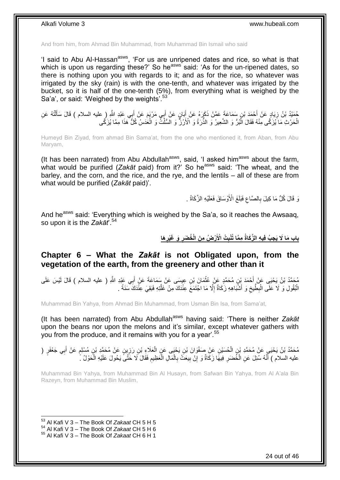And from him, from Ahmad Bin Muhammad, from Muhammad Bin Ismail who said

'I said to Abu Al-Hassan<sup>asws</sup>, 'For us are unripened dates and rice, so what is that which is upon us regarding these?' So he<sup>asws'</sup> said: 'As for the un-ripened dates, so there is nothing upon you with regards to it; and as for the rice, so whatever was irrigated by the sky (rain) is with the one-tenth, and whatever was irrigated by the bucket, so it is half of the one-tenth (5%), from everything what is weighed by the Sa'a', or said: 'Weighed by the weights'.<sup>53</sup>

جُمَيْدُ بْنُ زِيَادٍ عَنْ أَحْمَدَ بْنِ سَمَاعَةً عَمَّنْ ذَكَرَهُ عَنْ أَبَانٍ عَنْ أَبِي مَرْيَمَ عَنْ أَبِي عَبْدِ اللَّهِ ( عليه السلام ) قَالَ سَأَلْتُهُ عَنِ َ َ َ َ ¦ ْ اً ا الْحَرْثِ مَا َيُزَكَّى مِنْهُ فَقَالَ الَّٰبُرُّ وَ الشَّعِيرُ وَ الذُّرَةُ وَ الْأَرُزُّ وَ الْعُلْثَةُ وَ الْغُدَسُ كُلُّ هَذَا مِمَّا يُزَكَّى ْ ْ ْ

Humeyd Bin Ziyad, from ahmad Bin Sama'at, from the one who mentioned it, from Aban, from Abu Maryam,

(It has been narrated) from Abu Abdullah $^{asws}$ , said, 'I asked him $^{asws}$  about the farm, what would be purified (*Zakāt* paid) from it?' So he<sup>asws</sup> said: 'The wheat, and the barley, and the corn, and the rice, and the rye, and the lentils – all of these are from what would be purified (*Zakāt* paid)'.

> نَ قَالَ كُلُّ مَا كِيلَ بِالصَّاعِ فَبَلَغَ الْأَوْسَاقَ فَعَلَيْهِ الزَّكَاةُ . ِ ِ

And he<sup>asws</sup> said: 'Everything which is weighed by the Sa'a, so it reaches the Awsaaq, so upon it is the *Zakāt*'.<sup>54</sup>

> **َها ِ** باب مَا لَا يَجِبُ فِيهِ الزَّكَاةُ مِمَّا تُنْبِتُ الْأَرْضُ مِنَ الْخُضَرِ وَ غَيْرِ **ِ ِ**

### <span id="page-23-0"></span>**Chapter 6 – What the** *Zakāt* **is not Obligated upon, from the vegetation of the earth, from the greenery and other than it**

مُحَمَّدُ بْنُ يَحْيَى عَنْ أَحْمَدَ بْنِ مُحَمَّدٍ عَنْ عُثْمَانَ بْنِ عِيسَى عَنْ سَمَاعَةَ عَنْ أَبِي عَبْدِ اللَّهِ ( عليه السلام ) قَالَ لَيْسَ عَلَى<br>\*\*\* َ ْ الْبُقُولِ وَ لَا عَلَى الْبِطِّيخِ وَ أَشْبَاهِهِ زَكَاةٌ إِلَّا مَا اجْتَمَعَ عِنْدَكَ مِنْ غَلَّتِهِ فَبَقِيَ عِنْدَكَ سَنَةً . ٔ:<br>ا َّ ِ  $\zeta$ ِ ْ

Muhammad Bin Yahya, from Ahmad Bin Muhammad, from Usman Bin Isa, from Sama'at,

(It has been narrated) from Abu Abdullah<sup>asws</sup> having said: 'There is neither Zakāt upon the beans nor upon the melons and it's similar, except whatever gathers with you from the produce, and it remains with you for a year'.<sup>55</sup>

مُحَمَّدُ بْنُ يَحْيَيِ عَنْ مُحَمَّدِ بْنِ الْحُسَيْنِ عَنْ صَفْوَانَ بْنِ يَحْيَى عَنِ الْعَلَاءِ بْنِ رَزِينٍ عَنْ مُحَمَّدِ بْنِ مُسْلِمٍ عَنْ أَبِي جَعْفَرٍ ( ْ َ ֧֖֧֖֖֖֖֖֧֖֖֖֖֧֧֧֧֧֧֧֧֧֧֧֧֧֧֧֧֧֚֚֚֚֚֚֚֚֚֚֚֝֝֟֓֝֓֝֓֝֬֟֓֝֬֟֓֝֬֝֓֝֓֝֬֝֓֝֬֝֬֝֓֝֬֝֬֓֝֬֝֬֝֬ ِ ْ عليه السلام ) أَنَّهُ سُئِلَ عَنِ الْخُضَرِ فِيهَا زَكَاةٌ وَ إِنْ بِيعَتْ بِالْمَالِ الْعَظِيمِ فَقَالَ لَا حَتَّىً يَحُولَ عَلَيْهِ الْحَوْلُ ۚ أَ ِ ْ ْ ِ ِ ِ **∶** َ ْ

Muhammad Bin Yahya, from Muhammad Bin Al Husayn, from Safwan Bin Yahya, from Al A'ala Bin Razeyn, from Muhammad Bin Muslim,

<sup>53</sup> Al Kafi V 3 – The Book Of *Zakaat* CH 5 H 5

<sup>54</sup> Al Kafi V 3 – The Book Of *Zakaat* CH 5 H 6

<sup>55</sup> Al Kafi V 3 – The Book Of *Zakaat* CH 6 H 1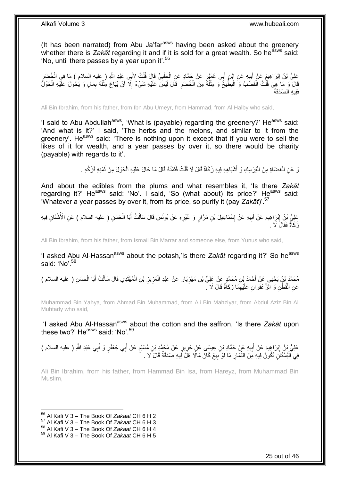(It has been narrated) from Abu Ja'far $a<sup>asws</sup>$  having been asked about the greenery whether there is Zakat regarding it and if it is sold for a great wealth. So he<sup>asws</sup> said: 'No, until there passes by a year upon it'.<sup>56</sup>

َعْلِيُّ بْنُ إِبْرَاهِيمَ عَنْ أَبِيهِ عَنِ ابْنِ أَبِي عُهَدٍرٍ عَنْ حَمَّادٍ عَنِ الْحَلَدِيِّ قَالَ قُلْتُ لِأَبِي عَبْدِ اللَّهِ ( عليه السلام ) مَا فِي الْخُضَرِ ْ **∶** ْ َ ِ َ <u>֖֓</u> ِ قَالَ ٓوَ مَا َهِيَ قُلْتُ الْقَضَىٰبُ وَ الْبِطِّيخُ ۖوَ مِثْلُهُ مِنَ الْخُضَرِ قَالَ لَيْسَ ۖ عَلَيْهِ شَيْءٌ إِلَّا أَنْ يُبَاعَ مِثْلُهُ بِمَالٍ وَ يَكُولَ عَلَيْهِ الْحَوْلَ ِ ُ **ٔ** ِ ْ ْ ْ ْ ِ ُ **ٔ** َ ِ فَفِيه الصَّدَقَةُ

Ali Bin Ibrahim, from his father, from Ibn Abu Umeyr, from Hammad, from Al Halby who said,

'I said to Abu Abdullah<sup>asws</sup>, 'What is (payable) regarding the greenery?' He<sup>asws</sup> said: 'And what is it?' I said, 'The herbs and the melons, and similar to it from the greenery'. He<sup>asws</sup> said: 'There is nothing upon it except that if you were to sell the likes of it for wealth, and a year passes by over it, so there would be charity (payable) with regards to it'.

> وَ عَنِ الْغَضَاةِ مِنَ الْفِرْسِكِ وَ أَشْبَاهِهِ فِيهِ زَكَاةٌ قَالَ لَا قُلْتُ فَثَمَنُهُ قَالَ مَا حَالَ عَلَيْهِ الْحَوْلُ مِنْ ثَمَنِهِ فَزَكِّهِ . ْ َ ْ َ ْ ْ َ

And about the edibles from the plums and what resembles it, 'Is there *Zakāt* regarding it?' He<sup>asws</sup> said: 'No'. I said, 'So (what about) its price?' He<sup>asws</sup> said: 'Whatever a year passes by over it, from its price, so purify it (pay *Zakāt*)'.<sup>57</sup>

عَلِيُّ بِنُ إِبْرَاهِيمَ عَنْ أَبِيهِ عَنْ إِسْمَاعِيلَ بْنِ مَرَّارٍ وَ غَيْرِهِ عَنْ يُونُسَ قَالَ سَأَلْتُ أَبَا الْحَسَنِ ( عليه السلام ) عَنِ الْأُشْنَانِ فِيهِ ِ **!** ِ ْ َ ْ َ **∶** َزَكَاةٌ فَقَالَ لَا .

Ali Bin Ibrahim, from his father, from Ismail Bin Marrar and someone else, from Yunus who said,

'I asked Abu Al-Hassan<sup>asws</sup> about the potash,'Is there Zakat regarding it?' So he<sup>asws</sup> said: 'No'.<sup>58</sup>

مُحَمَّدُ بْنُ يَحْيَى عَنْ أَحْمَدَ بْنِ مُحَمَّدٍ عَنْ عَلِيِّ بْنِ مَهْزِيَارَ عَنْ عَبْدِ الْعَزِيزِ بْنِ الْمُهْتَدِي قَالَ سَأَلْتُ أَبَا الْحَسَنِ ( عليه السلام )<br>. ْ ِ ِ ْ ِ َ ْ َ ْ َ عَنِ الْقُطْنِ وَ الْزَّعْفَرَانِ عَلَيْهِمَا زَكَاةٌ قَالَ لَا ۚ. ْ ِ

Muhammad Bin Yahya, from Ahmad Bin Muhammad, from Ali Bin Mahziyar, from Abdul Aziz Bin Al Muhtady who said,

'I asked Abu Al-Hassan<sup>asws</sup> about the cotton and the saffron, 'Is there Zakat upon these two?' He<sup>asws</sup> said: 'No'.<sup>59</sup>

عَلِيُّ بِنُ إِبْرَاهِيمَ عَنْ أَبِيهِ عَنْ حَمَّادِ بْنِ عِيسَى عَنٍْ حَرِيزٍ عَنْ مُحَمَّدٍ بْنِ مُسْلِمٍ عَنْ أَبِي جَعْفَرٍ وَ أَبِي عَبْدِ اللَّهِ ( عليه السلام ) َ ֧֖֖֖֖֖֖֖֧֧֧֧ׅ֧֧֧֧ׅ֧֧֧֧֛֪֧֛֪֧֚֚֚֚֚֚֚֚֚֚֚֚֚֚֚֚֚֚֚֚֚֚֚֚֚֓֝֝֬֝֝֓֝֓֝֓֜֝֓֜֓֜֓֞֡֝֬֜֜֡֜֡ **∶ !** َ ِ َ فِي الْبُسْتَانِ تَكُونُ فِيهِ مِنَ الثِّمَارِ مَا لَوْ بِيعَ كَانَ مَالًا هَلْ فَيهِ صَدَقَةٌ قَالَ َلا . ِ **∶** ِّ ֦֧֦֖֦֦֖֦֖֦֧֦֦֖֦֧֦֦֧֦֦֧֦֦֖֟֟֟֟֟֟֟֟֟֟֟֟֟֟֟֟֟֟֟֟֓֕֬֟֟֓֕֓֞֟֓֞֟֟֓֞֟֓֞֟֓֞֟֟֓֟֓֞֟֓֞֟֓֞֟֟֓֞

Ali Bin Ibrahim, from his father, from Hammad Bin Isa, from Hareyz, from Muhammad Bin Muslim,

<sup>56</sup> Al Kafi V 3 – The Book Of *Zakaat* CH 6 H 2

<sup>57</sup> Al Kafi V 3 – The Book Of *Zakaat* CH 6 H 3

<sup>58</sup> Al Kafi V 3 – The Book Of *Zakaat* CH 6 H 4

<sup>59</sup> Al Kafi V 3 – The Book Of *Zakaat* CH 6 H 5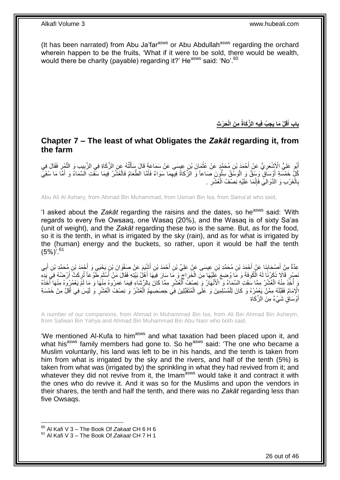(It has been narrated) from Abu Ja'far $a<sup>asws</sup>$  or Abu Abdullah $a<sup>asws</sup>$  regarding the orchard wherein happen to be the fruits, 'What if it were to be sold, there would be wealth, would there be charity (payable) regarding it?' He<sup>asws</sup> said: 'No'.<sup>60</sup>

> **َح ْر ِث ِم َن الْ ِج ُب فِي ِه ال َّز َكاةُ قَلِّ َما َي باب أ َ**

### <span id="page-25-0"></span>**Chapter 7 – The least of what Obligates the** *Zakāt* **regarding it, from the farm**

أُبُو عَلِيٍّ الْأَشْعَرِ يُّ عَنْ أَحْمَدَ بْنِ مُحَمَّدٍ عَنْ عُثْمَانَ بْنِ عِيسَى عَنْ سَمَاعَةَ قَالَ سَأَلْتُهُ عَنِ الزَّكَاةِ فِي الزَّبِيبِ وَ التَّمْرِ فَقَالَ فِي<br>ابْ َ ْ َ **ٔ** َ ِ ِ ِ كُلِّ خَمْسَةِ أَوْسَاقٍ وَسِوْقٌ وَ الْوَسْقُ سِتُّونَ صَاعاً وَ الزَّكَاةُ فِيهِمَا سَوَاءٌ فَأَمَّا الطَّعَامُ فَالْعُشُرُ فِيمَا سَفَّتِ الَسَّمَاءُ وَ أَمَّا مَا سُقِيَّ ِ :<br>ا َ َ ْ َ بِالْغَرْبِ وَ الذَّوَالِيَّ فَإِنَّمَا عَلَيْهِ نِصْفُ الْعُشْرِ . ِ ْ ِ ْ **∶** 

Abu Ali Al Ashary, from Ahmad Bin Muhammad, from Usman Bin Isa, from Sama'at who said,

'I asked about the *Zakāt* regarding the raisins and the dates, so he<sup>asws</sup> said: 'With regards to every five Owsaaq, one Wasaq (20%), and the Wasaq is of sixty Sa'as (unit of weight), and the *Zakāt* regarding these two is the same. But, as for the food, so it is the tenth, in what is irrigated by the sky (rain), and as for what is irrigated by the (human) energy and the buckets, so rather, upon it would be half the tenth  $(5\%)^{61}$ 

ِ عِدَّةٌ مِنْ أَصْحَابِنَا عَنْ أَحْمَدَ بْنِ مُحَمَّدِ بْنِ عِيسَى عَنْ عَلِيِّ بْنِ أَحْمَدَ بْنِ أَسْيَمَ عَن<br>بَرِيدَ أَمَرَ بِنَ إِنِّ بِهِ إِلاَّ أَحْمَدَ بْنِ مُحَمَّدِ بْنِ عِيسَى عَنْ عَلِيِّ بْنِ أَحْمَدَ بِنَ مَع َ َ َ َ ِ َ َهُمْ وَقَالَا ذَكَرْنَا لَهُ الْكُوفَةَ وَ مَا وُضِعَ عَلَيْهَا مِنَ الْخَرَاجِ وَ مَا سَارَ فِيهَا أَهْلُ بَيْتِهِ فَقَالَ مَنْ أَسْلَمَ طَوْعاً تُرِكَتْ أَرْضُهُ فِيَ بَدِهِ َ ِ ْ َ ِ َ وَ أُخِّذَ مِنْهُ الْعُشْرُ مِمَّا سَقَتِ السَّمَاءُ وَ الْأَنْهَارُ وَ نِصْفُ الْمُعَشْرِ مِمَّا كَانَ بِالرِّشَاءِ فِيمَا عَمَرُوهُ مِنْهَا وَ مَا لَمَّ يَعْمُرُوهُ مِنْهَا أَخَذَهُ ِ ِ ْ ْ ا<br>ا َ إِهْمَامُ فَقَيَّلَهُ مِمَّنْ يَعْمُرُهُ وَ كَانَ لِلْمُسْلِمِينَ وَ عَلَى الْمُتَقَبِّلِينَ فِيَ حِصَصِمِهِمُ الْعُشْرُ وَ نِصْفُ الْعُشْرِ وَ لَيْسَ فِي أَقَلَّ مِنْ خَمْسَةِ ْ ْ ْ َ **∶** ْ أَوْسَاقٍ شَيْءٌ مِنَ الزَّكَاةِ َ

A number of our companions, from Ahmad in Muhammad Bin Isa, from Ali Bin Ahmad Bin Asheym, from Safwan Bin Yahya and Ahmad Bin Muhammad Bin Abu Nasr who both said,

'We mentioned Al-Kufa to him<sup>asws</sup> and what taxation had been placed upon it, and what his<sup>asws</sup> family members had gone to. So he<sup>asws</sup> said: 'The one who became a Muslim voluntarily, his land was left to be in his hands, and the tenth is taken from him from what is irrigated by the sky and the rivers, and half of the tenth (5%) is taken from what was (irrigated by) the sprinkling in what they had revived from it; and whatever they did not revive from it, the Imam<sup>asws</sup> would take it and contract it with the ones who do revive it. And it was so for the Muslims and upon the vendors in their shares, the tenth and half the tenth, and there was no *Zakāt* regarding less than five Owsaqs.

<sup>60</sup> Al Kafi V 3 – The Book Of *Zakaat* CH 6 H 6

<sup>61</sup> Al Kafi V 3 – The Book Of *Zakaat* CH 7 H 1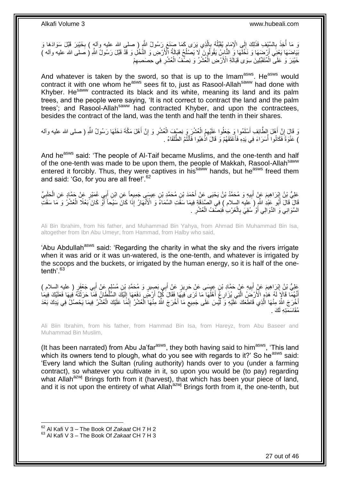َوَ مَا أُخِذَ بِالسَّيْفِ فَذَلِكَ إِلَى الْإِمَامِ يُقَبِّلُهُ بِالَّذِي يَرَى كَمَا صَنَعَ رَسُولُ اللَّهِ ( صلى الله عليه وآله ) بِخَيْبَرَ قَبَّلَ سَوَادَهَا وَ<br>وَ مَا أُخِذَ بِالسَّيْفِ فَذَلِكَ إِنِّي الْإِمَامِ يُ َّ ِ ا<br>ا í  $\frac{1}{2}$ ِ ِ ُ بَيَاضَهَا يَعْنِي أَرْضِهَا وَ نَخْلَهَا وَ النُّاسُ يَقُولُونَ لَا يَصْلُحُ قَبَالَةُ الْأَرْضِ وَ النَّخْلُ وَ قَدْ قَبَلَ رَسُولُ اللَّهِ ( صَلَّى الله عليه وآله ) َ ا<br>ا خَيْبَرَ وَ عَلَى الْمُتَقَبِّلِينَ سِوَى قَبَالَةِ الْأَرْضِ الْعُشْرُ وَ نِصْفُ الْعُشْرِ فِي حِصَصِهِمْ ِ ِ ْ ْ ْ

And whatever is taken by the sword, so that is up to the Imam<sup>asws</sup>. He<sup>asws</sup> would contract it with one whom he<sup>asws</sup> sees fit to, just as Rasool-Allah<sup>saww</sup> had done with Khyber. He<sup>saww</sup> contracted its black and its white, meaning its land and its palm trees, and the people were saying, 'It is not correct to contract the land and the palm trees'; and Rasool-Allah<sup>saww</sup> had contracted Khyber, and upon the contractees, besides the contract of the land, was the tenth and half the tenth in their shares.

وَ قَالَ إِنَّ أَهْلَ الطَّائِفِ أَسْلَمُوا وَ جَعَلُوا عَلَيْهِمُ الْعُشْرَ وَ نِصْفٍ الْعُشْرِ وَ إِنَّ أَهْلَ مَكَّةَ دَخَلَهَا رَسُولُ اللَّهِ ( صلى الله عليه وألمه ا<br>ا יִי, َ ِ ِ ْ ْ ) عَنْوَةً فَكَانُوا أُسَرَاءَ فِي يَدِهِ فَأَعْتَقَهُمْ وَ قَالَ اَذْهَبُوا فَأَنْتُمُ الطُّلَقَاءُ . َ ة<br>-ا<br>استعمال ا<br>ا

And he<sup>asws</sup> said: 'The people of Al-Taif became Muslims, and the one-tenth and half of the one-tenth was made to be upon them, the people of Makkah, Rasool-Allah<sup>saww</sup> entered it forcibly. Thus, they were captives in his<sup>saww</sup> hands, but he<sup>asws</sup> freed them and said: 'Go, for you are all free!'.<sup>62</sup>

عَلِيُّ بْنُ إِبْرَاهِيمَ عَنْ أَبِيهِ وَ مُحَمَّدُ بْنُ يَحْيَى عَنْ أَحْمَدَ بْنِ مُحَمَّدِ بْنِ عِيسَى جَمِيعاً عَنِ ابْنِ أَبِي عُمَيْرٍ عَنْ حَمَّادٍ عَنِ الْحَلَبِيِّ<br>عَلَيُّ بْنُ إِبْرَاهِيمَ عَنْ أَبِيهِ وَ مُحَمَ ِ َ َ ِ َ ֦֦֦֦֦֦֦֦֦֧֦֧֦֧֦֧֦֧֦֦֧֦֧֚֚֚֚֚֚֚֚֚֚֚֝֝֝֝֓֡֝֬֝֝֝֬֝֟֓֡֟֓֡֟֓֡֟֓֡֟֓֡֟֟֟֓֡ ِ ْ قَالَ أَبُو عَبْدِ اللَّهِ ( عليه السلام ) فِي الصَّدَقَةِ فِيمَا سَقَتِ السَّمَاءُ وَ الْأَنْهَارُ إِذَا كَانَ سَيْحاً أَوّْ كَانَ بَعْلًا الْعُشْرُ وَ مَا سَقَتِ َ ْ َ السَّوَانِي وَ الذَّوَالِي أَوْ سُقِيَ بِالْغَرْبِ فَنِصْفُ الْعُشْرِ . ِ ْ ْ **∶** َ

Ali Bin Ibrahim, from his father, and Muhammad Bin Yahya, from Ahmad Bin Muhammad Bin Isa, altogether from Ibn Abu Umeyr, from Hammad, from Halby who said,

'Abu Abdullah<sup>asws</sup> said: 'Regarding the charity in what the sky and the rivers irrigate when it was arid or it was un-watered, is the one-tenth, and whatever is irrigated by the scoops and the buckets, or irrigated by the human energy, so it is half of the onetenth'.<sup>63</sup>

;<br>⊾ عَلِيُّ بْنُ إِبْرَاهِيمَ عَنْ أَبِيهِ عَنْ حَمَّادِ بْنِ عِيسَى عَنْ حَرِيزٍ عَنْ أَبِي بَصِيرٍ وَ مُحَمَّدِ بْنِ مُسْلِمٍ عَنْ أَبِي جَعْفَرٍ ( عليه السلام )<br>يَمْنُو الْمَرْكَ الْمَرْكَ وَبِيئِهِ عَنْ حَمَّادِ بْنِ غَيْ َ **∶ !** َ ِ َ إِنَّهُمَّا قَالَاً لَهُ هَذِهِ الْأَرْضَٰلُ الَّتِي يُزَارِغُ أَهْلُهَا مَا تَرَى فِيهَا فَقَالَ كِلْ أَرْضٍّ دَفَعَهَا إِلَيْكَ السُّلْطَانِّ فَمَا حَرَثْتَهُ فِيهَا فَعَلَيْكَ فِيمَا لَ ِ اُ ا<br>ا َ **∶** َّ َ ْ أُخْرَجَ اللَّهُ مِنْهَا الَّذِي قَاطَعَكَ عَلَيْهِ وَ لَّيْسَ عَلَى جَمِيعِ مَا أَخْرَجَ اللَّهُ مِنْهَا الْعُشْرُ إِنَّمَا عَلَيْكَ الْعُشْرُ فِيمَا يَحْصُلُ فِي يَذِكَ بَعْدَ َّ َ ْ ِ ْ َ ِ مُقَاسَمَتِهِ لَكَ .

Ali Biin Ibrahim, from his father, from Hammad Bin Isa, from Hareyz, from Abu Baseer and Muhammad Bin Muslim,

(It has been narrated) from Abu Ja'far<sup>asws</sup>, they both having said to him<sup>asws</sup>, 'This land which its owners tend to plough, what do you see with regards to it?' So he<sup>asws</sup> said: 'Every land which the Sultan (ruling authority) hands over to you (under a farming contract), so whatever you cultivate in it, so upon you would be (to pay) regarding what Allah<sup>azwj</sup> Brings forth from it (harvest), that which has been your piece of land, and it is not upon the entirety of what Allah<sup>azwj</sup> Brings forth from it, the one-tenth, but

<sup>62</sup> Al Kafi V 3 – The Book Of *Zakaat* CH 7 H 2

<sup>63</sup> Al Kafi V 3 – The Book Of *Zakaat* CH 7 H 3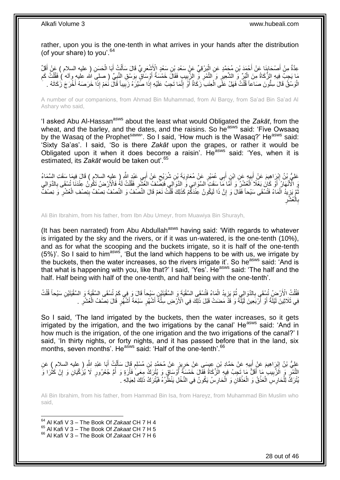rather, upon you is the one-tenth in what arrives in your hands after the distribution (of your share) to you'.<sup>64</sup>

عِدَّةٌ مِنْ أَصْحَابِنَا عَنْ أَحْمَدَ بْنِ مُحَمَّدٍ عَنِ الْبَرْقِيِّ عَنٍْ سَعْدِ بْنِ سَعْدِ الْأَشْعَرِيِّ قَالَ سَأَلْتُ أَبَا الْحَسَنِ ( عليه السلام ) عَنْ أَقَلِّ ِ ْ َ ِ َ ْ َ ْ َ ِ ِمَا يَجِبُ فِيهِ الزَّكَاةُ مِنَ الْبُرِّ وَ الشَّعِيرِ وَ الزَّبِيبِ النَّبِيبِ فَقَالَ خَمْسَةُ أُوْسَاقٍ بِوَسْقِ النَّبِيِّ ( صلى الله عليه وآله ) فَقُلْتُ كَمِ ِ َ **!** ِ **∶** :<br>ا ِ ْ الْوَسْقُ قَالَ سِتُّونَ صَاعاً قُلْتُ فَهَلْ عَلَى الْعِنَبَ زَكَاةٌ أَوْ إِنَّمَا تَجِبُ عَلَيْهِ إِذَا صَّيِّرَهُ زَبِيباً قَالَ نَعَمْ إِذَا خَرَصَهُ أَخْرَجَ زَكَاتَهُ . ْ َ ِ ِ َ ْ

A number of our companions, from Ahmad Bin Muhammad, from Al Barqy, from Sa'ad Bin Sa'ad Al Ashary who said,

'I asked Abu Al-Hassan<sup>asws</sup> about the least what would Obligated the Zakat, from the wheat, and the barley, and the dates, and the raisins. So he<sup>asws</sup> said: 'Five Owsaaq by the Wasaq of the Prophet<sup>saww</sup>. So I said, 'How much is the Wasaq?' He<sup>asws</sup> said: 'Sixty Sa'as'. I said, 'So is there *Zakāt* upon the grapes, or rather it would be Obligated upon it when it does become a raisin'. He<sup>asws</sup> said: 'Yes, when it is estimated, its *Zakāt* would be taken out'.<sup>65</sup>

عَلِيُّ بْنُ إِبْرَاهِيمَ عَنْ أَبِيهِ عَنِ ابْنِ أَبِي عُمَيْرٍ عَنْ مُعَاوِيَةَ بْنِ شُرَيْحٍ عَنْ أَبِي عَبْدٍ الثَّهِ ( عليه السلام ) قَالَ فِيمَا سَقَتِ السَّمَاءُ<br>مَلِيَّ بْنُ إِبْرَاهِيمَ عَنْ أَبِيهِ مِّنِ ابْنِ أَ َ **!** َ ِ َ ٍ ِ وَ الْأَنْهَالُ ۚ أَوْ كَانَ بَعْلًا الْعُشْلُ وَ أَمَّا مَآ سَقَتٍۢ السَّوَانِي وَ الدَّوَالِي فَنِصْفُ الغَشْلُ فَقُلْتُ لَهُ فَالْأَرْضُ تَكُونُ عِنْدَنَا تُسْقَى بِالدَّوَالِي ْ **∶** َ ْ َ ِ نُّمَّ يَزِيدُ الْمَاءُ فَتُسْقَى سَيْحاً فَقَالَ وَ إِنَّ ذَا لَيَكُونُ عِنْدَكِّمْ كَذَلِكَ قُلْتُ نَعَمْ قَالَ النِّصَفُ وَ النِّصْفُ نِصْفٌ بِنِصْفِ الْعُشْرِ وَ نِصْفٌ ْ ِ ْ ِ ِ ْ ِ ِ بالْعُشْر ْ ِ

Ali Bin Ibrahim, from his father, from Ibn Abu Umeyr, from Muawiya Bin Shurayh,

(It has been narrated) from Abu Abdullah<sup>asws</sup> having said: 'With regards to whatever is irrigated by the sky and the rivers, or if it was un-watered, is the one-tenth (10%), and as for what the scooping and the buckets irrigate, so it is half of the one-tenth  $(5%)$ . So I said to him<sup>asws</sup>, 'But the land which happens to be with us, we irrigate by the buckets, then the water increases, so the rivers irrigate it'. So he<sup>asws</sup> said: 'And is that what is happening with you, like that?' I said, 'Yes'. He<sup>asws</sup> said: 'The half and the half. Half being with half of the one-tenth, and half being with the one-tenth'.

فَقُلْتُ الْأَرْضِ تُسْقَى بِالدَّوالِيِ ثُمَّ يَزِيدُ الْمَاءُ فَتُسْقَى السَّقْيَةَ وَ السَّقْيَتَيْنِ سَيْحاً قَالَ وَ فِي كَمْ تُسْقَى السَّقْيَتَيْنِ سَيْحاً قُلْتُ ْ ِ ُ **∶** ْ ْ فِي ثَلَاثِينَ لَيْلَةً أَوْ أَرْبَعِينَ لَيْلَةً وَ قَذْ مَضنتْ قَبْلَ ذَلِكَ فِي الْأَرْضِ سِتَّةً أَشْهُرٍ سَبْعَةً أَشْهُرٍ قَٰالَ نِصْفُ الْعُشْرِ . َ َ َ ِ ْ

So I said, 'The land irrigated by the buckets, then the water increases, so it gets irrigated by the irrigation, and the two irrigations by the canal' He<sup>asws</sup> said: 'And in how much is the irrigation, of the one irrigation and the two irrigations of the canal?' I said, 'In thirty nights, or forty nights, and it has passed before that in the land, six months, seven months'. He<sup>asws</sup> said: 'Half of the one-tenth'.<sup>66</sup>

عَلِيُّ بْنُ إِبْرَاهِيمَ عَنْ أَبِيهِ عَنْ حَمَّادِ بْنِ عِيسَى عَنْ حَرِيزٍ عَنْ مُحَمَّدٍ بْنِ مُسْلِمٍ قَالَ سَأَلْتُ أَبَا عَبْدِ اللَّهِ ( عليه السلام ) عَنِ<br>عَلِيُّ بْنُ إِبْرَاهِيمَ عَنْ أَبِيهِ عَنْ حَمَّادِ بْنِ ِ  $\frac{1}{2}$ َ ِ َ ْ َ ٍ التَّمْرِ وَ الزَّبِيبِ مَا أَقَلُّ مَا تَجِبُ فِيهِ الزَّكَاةُ فَقَالَ خَمْسَةُ أَوْسَاقٍ وَ يُتُرَكُّ مِعَىٌ فَأْرَةٍ وَ أُمُّ جُعْرُورٍ لَا يُزَكَّيَانِ وَ إِنْ كَثْرَا وَ :<br>ا ْ َ َ ِ ِ ُ ِ يُتْرَكَ لِلْحَارِسِ الْعَذْقُ وَ الْعَذْقَانِ وَ الْحَارِسُ يَكُونُ فِي النَّخْلِ يَنْظُّرُهُ فَيُتْرَكُ ذَلِكَ لِعِيَالِهِ . ِ ْ **ٔ** ْ **ٔ** ْ ْ

Ali Bin Ibrahim, from his father, from Hammad Bin Isa, from Hareyz, from Muhammad Bin Muslim who said,

<sup>64</sup> Al Kafi V 3 – The Book Of *Zakaat* CH 7 H 4

<sup>65</sup> Al Kafi V 3 – The Book Of *Zakaat* CH 7 H 5

<sup>66</sup> Al Kafi V 3 – The Book Of *Zakaat* CH 7 H 6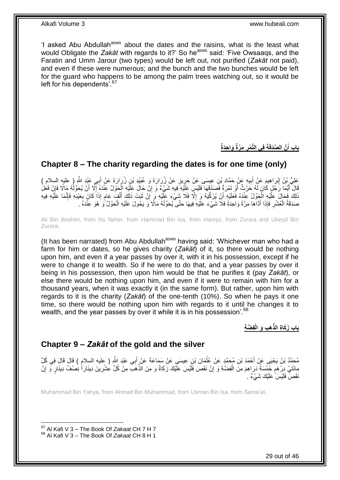'I asked Abu Abdullah<sup>asws</sup> about the dates and the raisins, what is the least what would Obligate the Zakat with regards to it?' So he<sup>asws</sup> said: 'Five Owsaaqs, and the Faratin and Umm Jarour (two types) would be left out, not purified (*Zakāt* not paid), and even if these were numerous; and the bunch and the two bunches would be left for the guard who happens to be among the palm trees watching out, so it would be left for his dependents<sup>' 67</sup>

> **َوا ِحَدٌة َم َّرةٌ فِي الَّت ْمر َّن ال َّصَدقَةَ باب أ ِ َ**

## <span id="page-28-0"></span>**Chapter 8 – The charity regarding the dates is for one time (only)**

عَلِيُّ بْنُ اِبْرَاهِيمَ عَنِْ أَبِيهِ عَنْ حَمَّادِ بْنِ عِيسَى عَنْ حَرِيزٍ عَنْ زُرَارَةَ وَ عُبَيْدِ بْنِ زُرَارَةَ عَنْ أَبِي عَبْدِ اللَّهِ ( عليه السلام ) ِ **!** َ ِ َ َفَالَ أَيُّمَا رَّجُلٍ كَانَ لَّهُ حَرْثٌ أَوْ تَمْرَةٌ فَصَدَّقَهَا فَلَيْسٍ عَلِّيْهِ ۗ فِيهِ شَيْءٌ وَ إِنْ حَالَ عَلِّيْهِ الْحَوْلُ عِنْدَهِ إِلَّا أَنْ يُحَوِّلُهُ مَالًا فَإِنْ فَعَل َ  $\frac{1}{2}$ َ ِ ْ ِ نَّاكَ فَحَالَ عَلَّيْهِ الْحَوْلُ عِنْدَهُ فَعَلَيْهِ أَنْ يُزَكِّيَهُ وَ إِلَّا فَلَا شَيْءَ عَلَيْهِ وَ إِنْ ثَبَتَ ذَلِكَ أَلْفَ عَامٍ إِذَا كَانَ بِعَيْنِهِ فَإِتَّمَا عَلَيْهِ فِيهِ<br>يَذَٰلِكَ أَمَّاهَ مَعَ الْجَمَاءِ ِ اُ ْ ْ َ َ ِ  $\frac{1}{2}$ ِ ٍ صَدَقَةُ الْعُشْرِ فَإِذَا أَدَّاهَا مَرَّةً وَاحِدَةً فَلَا شَيْءَ عَلَيْهِ فِيهَا حَتَّى يُحَوِّلَهُ مَالًا وَ يَحُولَ عَلَيْهِ الْحَوْلُ ًوَ هُوَ عِنْدَهُ . َ ِ ْ ْ

Ali Bin Ibrahim, from his father, from Hammad Bin Isa, from Hareyz, from Zurara and Ubeyd Bin Zurara,

(It has been narrated) from Abu Abdullah<sup>asws</sup> having said: 'Whichever man who had a farm for him or dates, so he gives charity (*Zakāt*) of it, so there would be nothing upon him, and even if a year passes by over it, with it in his possession, except if he were to change it to wealth. So if he were to do that, and a year passes by over it being in his possession, then upon him would be that he purifies it (pay *Zakāt*), or else there would be nothing upon him, and even if it were to remain with him for a thousand years, when it was exactly it (in the same form). But rather, upon him with regards to it is the charity (*Zakāt*) of the one-tenth (10%). So when he pays it one time, so there would be nothing upon him with regards to it until he changes it to wealth, and the year passes by over it while it is in his possession'.<sup>68</sup>

**َه ِب َو الْفِ َّض ِة باب َز َكا ِة الذَّ**

### <span id="page-28-1"></span>**Chapter 9 –** *Zakāt* **of the gold and the silver**

مُحَمَّدُ بْنُ يَحْيَى عَنْ أَحْمَدَ بْنِ مُحَمَّدٍ عَنْ عُثْمَانَ بْنِ عِيسَى عَنْ سَمَاعَةَ عَنْ أَبِي عَبْدِ اللَّهِ ( عِليه السلامِ ) قَالَ قَالَ فِي كُلِّ َ ْ مِائَتَيْ بِرِرْهَمٍ خَمْسَةُ دَرَاهِمَ مِنَ الْفِضَّةِ وَ إِنْ نَقَصَ فَلَيْسَ عَلَّيْكَ زَكَاةٌ وَ مِنَ الذُّهَبَّ مِنْ كُلِّ عِشْرِينَ دِينَاراً نِصْفُ دِينَارٍ وَّ إِنْ ِ ْ ٍ ِ ِ نَقَصَ فَلَيْسَ ۖ عَلَيْكَ شَيْءٌ ۚ ـ

Muhammad Bin Yahya, from Ahmad Bin Muhammad, from Usman Bin Isa, from Sama'at,

<sup>67</sup> Al Kafi V 3 – The Book Of *Zakaat* CH 7 H 7 <sup>68</sup> Al Kafi V 3 – The Book Of *Zakaat* CH 8 H 1

1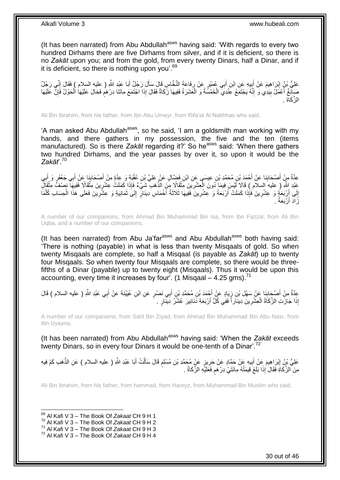(It has been narrated) from Abu Abdullah<sup>asws</sup> having said: 'With regards to every two hundred Dirhams there are five Dirhams from silver, and if it is deficient, so there is no *Zakāt* upon you; and from the gold, from every twenty Dinars, half a Dinar, and if it is deficient, so there is nothing upon you'. $69$ 

عَلِيُّ بِنُ إِبْرَاهِيمَ عَنْ أَبِيهِ عَنِ ابْنِ أَبِي عُمَيْرٍ عَنْ رِفَاعَةَ النَّخَّاسِ قَالَ سَأَلَ رَجُلٌ أَبَا عَيْدِ اللَّهِ ( عِليه السلام ) فَقَالَ إِنِّي رَجُلٌ َ َ ِ ِ َ ِ ِ صَائِغٌ أَعْمَلُ بِيَدِي وَ إِنَّهُ يَجْتَمِعُ عَِنْدِيَ الْخَمْسَةُ وَ الْعَشَرَةُ فَفِيهَا زَكَاةٌ فَقَالَ إِذَا اجْتَمَعَ مِائَنَا دِرْهَمٍ فَحَالَ عَلَيْهَا الْحَوْلُ فَإِنِّ عَلَيْهَا ا<br>ا ْ ֺ֧֖ׅ֧ׅ֧֧֚֚֚֚֚֚֚֚֚֚֚֚֚֚֝֝֬֓֡֡֓֡֟֡֡֡֡֡֡֬֓֡֟֓֡֟֓֡֟֓֡֡֡֬֩֓֓֩ **∣** اً<br>ا ∣ļ ْ ֧֖֖֖֧֧֖֧֧֧֧֧ׅ֧֧֧֧֧֚֚֚֚֓֝֝֝֝֟֓֟֓֝֬֝֓֝֓֝֬֟֓֟֓֟֓֟֓֝֬֝֬֝֓֝֬֜֓֝֬֝֓֝֬֝֬֝ ال َّز َكاَة .

Ali Bin Ibrahim, from his father, from Ibn Abu Umeyr, from Rifa'at Al Nakhhas who said,

'A man asked Abu Abdullah<sup>asws</sup>, so he said, 'I am a goldsmith man working with my hands, and there gathers in my possession, the five and the ten (items manufactured). So is there *Zakāt* regarding it?' So he<sup>asws</sup> said: 'When there gathers two hundred Dirhams, and the year passes by over it, so upon it would be the *Zakāt*'.<sup>70</sup>

عِدَّةٌ مِنْ أَصْحَابِنَا عَنْ أَحْمَدَ بْنِ مُحَمَّدِ بْنِ عِيسَى عَنِ ابْنِ فَضَّالٍ عَنْ عَلِيٍّ بْنِ عُقْبَةَ وَ عِمَّةٍ مِنْ أَصْحَابِنَا عَنْ أَبِي جَعْفَرٍ وَ أَبِي **∣** َ ِ َ َ ِ َ ْ عَبْدِ إِلَهِ ( عليه السلام ) قَالَا لَيْسَ فِيمَا ذُونَ الْعِشْرِيَنَ مَثْقَالًا مِنَ الذَّهَبِ شَيْءٌ فَإِذَا كَمَلَتْ عِشْرِينَ مَثْقَالًا فَفِيهَا ۖ نِصْفُ مِثْقَالًا ْ ِ ْ ْ ្ន إِلَى أَرْبَعَةٍ وَ عِشْرِينَ فَإِذَا كَمَلَتْ أَرْبَعَةً وَ عِشْرِينَ فَفِيهَا ثَلَاثَةُ أَخْمَاسِ دِينَارٍ إِلَى ثَمَانِيَةٍ وَ عِشْرِينَ فَعَلَى هَذَا الْحِسَابِ كُلَّمَا َ ِ َ ة<br>أ ِ َ ِ َ ِ ِ َّ ْ . زَادَ أَرْبَعَةً اُ

A number of our companions, from Ahmad Bin Muhammad Bin Isa, from Ibn Fazzal, from Ali Bin Uqba, and a number of our companions,

(It has been narrated) from Abu Ja'far<sup>asws</sup> and Abu Abdullah<sup>asws</sup> both having said: 'There is nothing (payable) in what is less than twenty Misqaals of gold. So when twenty Misqaals are complete, so half a Misqaal (is payable as *Zakāt*) up to twenty four Misqaals. So when twenty four Misqaals are complete, so there would be threefifths of a Dinar (payable) up to twenty eight (Misqaals). Thus it would be upon this accounting, every time it increases by four'. (1 Misgaal  $-$  4.25 gms).<sup>71</sup>

عِدَّةٌ مِنْ أَصْحَابِنَا عَنْ سَهْلِ بْنِ زِيَادٍ عَنْ أَحْمَدَ بْنِ مُحَمَّدِ بْنِ أَبِي نَصْرٍ عَنِ ابْنِ عُيَيْنَةَ عَنْ أَبِي عَبْدِ اللَّهِ ( عليه السلام ) قَالَ َ ِ ِ َ َ َ إِذَا جَازَتِ الزَّكَاةُ الْعِشْرِينَ دِينَاراً فَفِي كُلِّ أَرْبَعَةِ دََنَانِيرَ عُشْرُ دِينَارٍ . ِ ْ

A number of our companions, from Sahl Bin Ziyad, from Ahmad Bin Muhammad Bin Abu Nasr, from Ibn Uyayna,

(It has been narrated) from Abu Abdullah<sup>asws</sup> having said: 'When the Zakat exceeds twenty Dinars, so in every four Dinars it would be one-tenth of a Dinar'.<sup>72</sup>

عَلِيُّ بِنُ إِبْرَاهِيمَ عَنْ أَبِيهِ عَنْ حَمَّادٍ عَنْ حَرِيزٍ عَنٍْ مُحَمَّدِ بْنِ مُسْلِمٍ قَالَ سَأَلْتُ أَبَا عَبْدِ اللَّهِ ( عليه السلام ) عَنِ الذَّهَبِ كَمْ فِيهِ ِ **!** َ ِ َ ْ َ ٍ مِنَ ٱلزَّكَاةِ فَقَالَ ٰإِذَا بَلَغَ َقِيمَتُهُ مِائَتَيْ دِرْ هَمٍ فَعَلَيْهِ الزَّكَاةُ . ٍ

Ali Bin Ibrahim, from his father, from hammad, from Hareyz, from Muhammad Bin Muslim who said,

<sup>69</sup> Al Kafi V 3 – The Book Of *Zakaat* CH 9 H 1

<sup>70</sup> Al Kafi V 3 – The Book Of *Zakaat* CH 9 H 2

<sup>71</sup> Al Kafi V 3 – The Book Of *Zakaat* CH 9 H 3

<sup>72</sup> Al Kafi V 3 – The Book Of *Zakaat* CH 9 H 4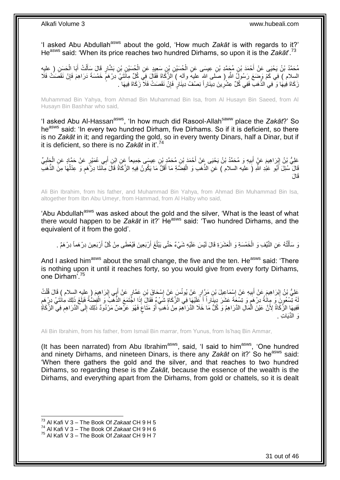'I asked Abu Abdullah<sup>asws</sup> about the gold, 'How much Zakat is with regards to it?' He<sup>asws</sup> said: 'When its price reaches two hundred Dirhams, so upon it is the Zakat<sup>73</sup>

مُحَمَّدُ بْنُ يَحْيَى عَنْ أَحْمَدَ بْنِ مُجَمَّدِ بْنِ عِيسَى عَنِ الْحُسَيْنِ بْنِ سَعِيدٍ عَنِ الْحُسَيْنِ بْنِ بَشَّارٍ قَالَ سَأَلْتُ أَبَا الْحَسِنِ ( عليه<br>. ْ َ ْ اً ا ْ ْ السِلام ) فِي كَمْ وَضَعَ رَسُولُ اللَّهِ ( صَلى اللهِ عليهَ وأله ) الزَّكَاةَ فَقَالَ فِي كُلِّ مِائَتَيْ دِرْهَمٍّ خَمْسَةَ دَرَاهِمَ فَإِنْ نَقَصَتْ فَلَا ֧֖֖֖֖֧֧֖֖֧֧֧֛֛֧֛֛֛֚֚֚֚֚֚֚֚֚֓֝֝֬֝֟֓֝֓֝֓֝֬֟֓֟֓֟֓֝֓֝֓֜֜֜֡֬֜֝֬֜֜ ∣ļ زَكَاةَ فِيهَا وَ فِي الذَّهَبِ فَفِي كُلِّ عِشْرِينَ دِينَاراً نِصْفُ دِينَارٍ فَإِنْ نَقَصَتْ فَلاَّ زَكَاةَ فِيهَا ∣lٍ ِ

Muhammad Bin Yahya, from Ahmad Bin Muhammad Bin Isa, from Al Husayn Bin Saeed, from Al Husayn Bin Bashhar who said,

'I asked Abu Al-Hassan<sup>asws</sup>, 'In how much did Rasool-Allah<sup>saww</sup> place the Zakāt?' So he<sup>asws</sup> said: 'In every two hundred Dirham, five Dirhams. So if it is deficient, so there is no *Zakāt* in it; and regarding the gold, so in every twenty Dinars, half a Dinar, but if it is deficient, so there is no *Zakāt* in it'.<sup>74</sup>

عَلِيُّ بْنُ إِبْرَاهِيمَ عَنٍْ أَبِيهِ وَ مُحَمَّدُ بْنُ يَحْيَى عَنْ أَحْمَدَ بْنِ مُحَمَّدٍ بْنِ عِيسَى جَمِيعاً عَنِ ابْنِ أَبِي عُمَيْرٍ عَنْ حَمَّادٍ عَنِ الْجَلَبِيِّ َ **!** َ ∣ٍ<br>∶ ِ ِ ْ َّفَالَ سُئِلَ أَبُو عَبْدِ اللَّهِ ( عليه السلام ) عَنِ الذَّهَبِ وَ الْفِضَّةِ مَا أَقَلُّ مَا يَكُونُ فِيهِ الزَّكَاةُ قَالَ مِانَّنَا دِرْهَمٍ وَ عِدْلُهَا مِنَ الذَّهَبِّ َ ْ َ ُ ֧֖֧֖֖֖֖֖֧֖֖֖֖֧֧֧֧֧֧֧֧֧֧֧֧֧֧֧֧֧֚֚֚֚֚֚֚֚֚֚֚֝֝֟֓֝֓֝֓֝֬֟֓֝֬֟֓֝֬֝֓֝֓֝֬֝֓֝֬֝֬֝֓֝֬֝֬֓֝֬֝֬֝֬ قالَ

Ali Bin Ibrahim, from his father, and Muhammad Bin Yahya, from Ahmad Bin Muhammad Bin Isa, altogether from Ibn Abu Umeyr, from Hammad, from Al Halby who said,

'Abu Abdullah<sup>asws</sup> was asked about the gold and the silver, 'What is the least of what there would happen to be Zakat in it?' He<sup>asws</sup> said: 'Two hundred Dirhams, and the equivalent of it from the gold'.

وَ سَأَلْتُهُ عَنِ النَّيِّفِ وَ الْخَمْسَةِ وَ الْعَشَرَةِ قَالَ لَيْسَ عَلَيْهِ شَيْءٌ حَتَّى يَبْلُغَ أَرْبَعِينَ فَيُعْطَى مِنْ كُلِّ أَرْبَعِينَ دِرْهَماً دِرْهَمٌ . ْ ْ ֺ֪֦֧֦֧֦֦֧֦֧֦֪֦֦֖֦֦֦֦֦֦֦֦֦֦֦֦֦֦֦֪֦֧֦֪֦֪֦֪֦֧֦֟֟֟֟֟֟֟֟֟֟֟֟֟֟֟֟֟֟֟֟֟֟֟֟֟֓֟֓֟֓֟֓֟֩֓֞֟֟֓֟֓֟֟֟֟֟֟֟֟ َ َ اُ ان<br>ا

And I asked him<sup>asws</sup> about the small change, the five and the ten. He<sup>asws</sup> said: 'There is nothing upon it until it reaches forty, so you would give from every forty Dirhams, one Dirham'.<sup>75</sup>

عَلِيُّ بْنُ إِبْرَاهِيمَ عَنْ أَبِيهِ عَنْ إِسْمَاعِيلَ بْنِ مَرَّإِرٍ عَنْ يُونُسَ عَنْ إِسْكَاقَ بْنِ عَمَّارٍ عَنْ أَبِي إِبْرَاهِيمَ ( عليه السلام ) قَالَ قُلْتُ<br>. ِ **!** ِ ْ ِ َ ِ لَهُ تَسْعُونَ وَ مِائْةُ دِرْهَمٍ وَ تِسْعَةَ عَشَرَ دِينَاراً أَ عَلَيْهَا فِي الزَّكَاةِ شَيْءٌ فَقَالَ إِذَا اجَّتَمَعَ الذُّهَّبُ وَ الْفِضَّةُ فَلَكَمْ لِلْأَسْيُ دِرْهِمٍ َ į ْ ֦֧֦֧֦֖֖֚֝֝֝֝֟֓֝֬֝֓֝֬֝֓֟֓**֓** فَفِيهَا الزُّكَاةُ لِأَنَّ عَيْنَ الْمَالِ الدَّرَاهِمُ وَ كُلُّ مَا خَلَا الدَّرَاهِمَ مِنْ ذَهَبٍ ۖ أَوْ مَتَاعَ فَهُوَ عَزْضٌ مَرْدُودٌ ذَلِكَ إِلَى الدَّرَاهِمِ فِي الزُّكَاةُ ; َ ا<br>ا ِ ِ ءَ الدِّنَات

Ali Bin Ibrahim, from his father, from Ismail Bin marrar, from Yunus, from Is'haq Bin Ammar,

(It has been narrated) from Abu Ibrahim<sup>asws</sup>, said, 'I said to him<sup>asws</sup>, 'One hundred and ninety Dirhams, and nineteen Dinars, is there any Zakat on it?' So he<sup>asws</sup> said: 'When there gathers the gold and the silver, and that reaches to two hundred Dirhams, so regarding these is the *Zakāt*, because the essence of the wealth is the Dirhams, and everything apart from the Dirhams, from gold or chattels, so it is dealt

<sup>73</sup> Al Kafi V 3 – The Book Of *Zakaat* CH 9 H 5

<sup>74</sup> Al Kafi V 3 – The Book Of *Zakaat* CH 9 H 6

<sup>75</sup> Al Kafi V 3 – The Book Of *Zakaat* CH 9 H 7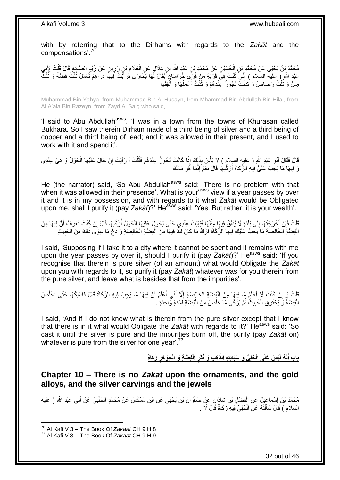with by referring that to the Dirhams with regards to the *Zakāt* and the compensations'.<sup>76</sup>

مُحَمَّدُ بِّنُ يَحْيَى عَنْ مُحَمَّدِ بْنِ الْحُسَيْنِ عَنْ مُحَمَّدِ بْنِ عَبْدِ اللَّهِ بْنِ هِلَالٍ عَنِ الْعَلَاءِ بْنِ رَزِينٍ عَنْ زَيْدٍ الصَّائِغِ قَالَ قُلْتُ لِإِنِّبِي ْ ْ ْ ِ ِ ِ عَبْدٍ اللَّهِ ( عليه السلام ) إِنِّي كُنْتُ فِيَ قَرْيَةٍ مِنْ قُرَى خُرَاسَانَ يُقَالُ لَهَا بُخَارَى فَرَأَيْتُ فِيهَا دَرَاهِمَ تُعْمَلُ ثُلُثٌ فِضَّةٌ وَ ثُلُثٌ َ ון<br>י ُ ا في المجال المجال المجال المجال المجال المجال المجال المجال المجال المجال المجال المجال المجال المجال المجال<br>المجال المجال المجال المجال المجال المجال المجال المجال المجال المجال المجال المجال المجال المجال المجال المجا مِسٌّ وَ ثُلُثٌ رَصَاصٌ وَ كَانَتٌ تَجُوزُ عِنْدَهُمْ وَ كُنْتُ أَعْمَلُهَا وَ أُنْفِقُهَا ا<br>ا ُ َ ُ

Muhammad Bin Yahya, from Muhammad Bin Al Husayn, from Mhammad Bin Abdullah Bin Hilal, from Al A'ala Bin Razeyn, from Zayd Al Saig who said,

'I said to Abu Abdullah<sup>asws</sup>, 'I was in a town from the towns of Khurasan called Bukhara. So I saw therein Dirham made of a third being of silver and a third being of copper and a third being of lead; and it was allowed in their present, and I used to work with it and spend it'.

َالَ فَقَالَ أَبُو عَبْدِ اللَّهِ ( عليه السلامِ ) لَا بَأْسَ بِذَلِكَ إِذَا كَانَتْ تَجُوزُ عِنْدَهُمْ فَقُلْتُ أَ رَأَيْتَ إِنْ حَالَ عَلَيْهَا الْحَوْلُ وَ هِيَ عِنْدِي ْ َ ْ ِ َ َ ْ نَ فِيهَا مَا يَجِبُ عَلَيَّ فِيهِ الزَّكَاةُ أَزَكِّيهَا قَالَ نَعَمْ إِنَّمَا هُوَ مَالُكَ ُ ِ ؚ<br>ا

He (the narrator) said, 'So Abu Abdullah<sup>asws</sup> said: 'There is no problem with that when it was allowed in their presence'. What is your<sup>asws</sup> view if a year passes by over it and it is in my possession, and with regards to it what *Zakāt* would be Obligated upon me, shall I purify it (pay *Zakāt*)?' He<sup>asws</sup> said: 'Yes. But rather, it is your wealth'.

قُلْتُ فَإِنْ أَخْرَجْتُهَا إِلَى بَلْدَةٍ لَا يُنْفَقُ فِيهَا مِثْلُهَا فَبَقِيَتْ عِنْدِي حَتَّى يَحُولَ عَلَيْهَا الْحَوْلُ أَرَكِّيهَا قَالَ إِنْ كُنْتَ تَعْرِفُ أَنَّ فِيهَا مِنَ ْ ُ **ٔ** ْ ∣∣<br>∶ َ ِ ْ َ ِ ِ الْفِضَّةِ الْخَالِصَةِ مَا يَجِبُ عَلَيْكَ فِيهَا الزَّكَاةُ فَزَكٌ مَا كَانَ لَكَ فِيهَا مِنَ الْفِضَّةِ الْخَالِصَةِ وَ دَعْ مَا سِوَى ذَلِكَ مِنَ الْخَبِيثِ ْ ْ ْ ِ ْ

I said, 'Supposing if I take it to a city where it cannot be spent and it remains with me upon the year passes by over it, should I purify it (pay Zakat)?' He<sup>asws</sup> said: 'If you recognise that therein is pure silver (of an amount) what would Obligate the *Zakāt* upon you with regards to it, so purify it (pay *Zakāt*) whatever was for you therein from the pure silver, and leave what is besides that from the impurities'.

قُلْتُ وَ إِنْ كُنْتُ لَا أَعْلَمُ مَا فِيهَا مِنَ الْفِضَةِ الْخَالِصَةِ إِلَّا أَنِّي أَعْلَمُ أَنَّ فِيهَا مَا يَجِبُ فِيهِ الزَّكَاةُ قَالَ فَاسْبِكْهَا حَتَّى تَخْلُصَ َ َ َ  $\frac{1}{2}$ ْ ْ َ ֧<u>׀</u> ْ ُ ِ ُ الْفِضَّةُ وَ يَحْتَرِ قَ الْخَبِيثُ ثُمَّ يُزَكَّى مَا خَلَصَ مِنَ الْفِضَّةِ لِسَنَةٍ وَاحِدَةٍ ۚ. **!** ْ ِ ْ ْ

I said, 'And if I do not know what is therein from the pure silver except that I know that there is in it what would Obligate the Zakat with regards to it?' He<sup>asws</sup> said: 'So cast it until the silver is pure and the impurities burn off, the purify (pay *Zakāt* on) whatever is pure from the silver for one year'.<sup>77</sup>

> بِابِ أَنَّهُ لَيْسَ عَلَى الْحُلِيِّ وَ سَبَائِكِ الذَّهَبِ وَ نُقَرِ الْفِضَّةِ وَ الْجَوْهَرِ زَكَاةٌ **ِ ِ َ**

<span id="page-31-0"></span>**Chapter 10 – There is no** *Zakāt* **upon the ornaments, and the gold alloys, and the silver carvings and the jewels**

مُحَمَّدُ بْنُ إِسْمَاعِيلَ عَنِ الْفَضْلِ بْنِ شَاذَانَ عَنْ صَفْوَانَ بْنِ يَحْيَى عَنِ ابْنِ مُسْكَانَ عَنْ مُحَمَّدٍ الْخَلَبِيِّ عَنْ أَبِي عَبْدِ الثَّهِ ( عليه ْ ْ **∶** َ **∶** لَ السلام ) قَاَلَ سَأَلْتُهُ عَنِّ الْحُلِيِّ فِيهِ زَكَاةٌ قَالَ لَا . ْ ֦֧֦֦֦֦֧֦֦֧֦֦֧֦֦֧֦֦֧֦֦֧֦֧֦֪֦֪֦֪֪֦֧֦֪֪֦֧֦֪֪֦֟֟֟֓֟֟֟֟֟֟֟֟֟֟֘֟֟֟֟֟֟֟֟֟֟֟֓֞֟֟֓֞֟֟֓֞֟֟֓֞֟֟֓֞֟֟֓֟֟֟֟֟ َ

<sup>76</sup> Al Kafi V 3 – The Book Of *Zakaat* CH 9 H 8

<sup>77</sup> Al Kafi V 3 – The Book Of *Zakaat* CH 9 H 9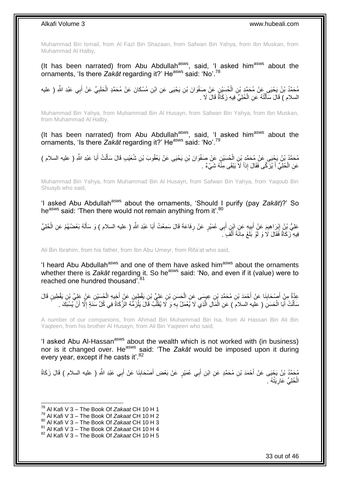Muhammad Bin Ismail, from Al Fazl Bin Shazaan, from Safwan Bin Yahya, from Ibn Muskan, from Muhammad Al Halby,

(It has been narrated) from Abu Abdullah $^{asws}$ , said, 'Lasked him<sup>asws</sup> about the ornaments, 'Is there Zakat regarding it?' He<sup>asws</sup> said: 'No'.<sup>78</sup>

مُحَمَّدُ بْنُ يَحْيَى عَنْ مُحَمَّدٍ بْنِ الْحُسِّيْنِ عَنْ صَفْوَانَ بْنِ يَحْيَى عَنِ ابْنِ مُسْكَانَ عَنْ مُحَمَّدٍ الْحَلَبِيِّ عَنْ أَبِي عَبْدِ اللَّهِ ( عليه ْ ْ َ ِ السلام ) قَالَ سَأَلْتُهُ عَنِ الْحُلِيِّ فِيهِ زَكَاةٌ قَالَ لَا ۚ ـ ֺ֧֦֧֦֧֦֦֦֦֖֦֪֦֪֦֧֦֪֦֪֦֪֪֦֪֪֦֪֪֦֪֦֪֪֦֝֟֟֟֟֟֟֟֟֟֟֟֟֟֟֟֟֟֟֟֟֟֟֓֕֟֓֟֓֟֓֟֓֟֓֟֓֟֓֟֓֟֓֟֓֟֟֟֝֟֟֟֟֟֟֟֝֟ َ ْ

Muhammad Bin Yahya, from Muhammad Bin Al Husayn, from Safwan Bin Yahya, from Ibn Muskan, from Muhammad Al Halby,

(It has been narrated) from Abu Abdullah<sup>asws</sup>, said, 'I asked him<sup>asws</sup> about the ornaments, 'Is there Zakat regarding it?' He<sup>asws</sup> said: 'No'.<sup>79</sup>

مُحَمَّدُ بْنُ يَجْيَىِ عَنْ مُحَمَّدٍ بْنِ الْحُسَيْنِ عَنْ صَفْوَانَ بْنِ يَحْيَى عَنْ يَعْقُوبَ بْنِ شُعَيْبِ قَالَ سَأَلْتُ أَبَا عَبْدِ اللَّهِ ( عليه السلام ) ْ ĺ ْ َ عَنِ الْحُلِيِّ أَ يُزَكَّى فَقَالَ إِذاً لَا يَبْقَى مِنْهُ شَيْءٌ ۚ . َ ْ

Muhammad Bin Yahya, from Muhammad Bin Al Husayn, from Safwan Bin Yahya, from Yaqoub Bin Shuayb who said,

'I asked Abu Abdullah<sup>asws</sup> about the ornaments, 'Should I purify (pay Zakat)?' So he<sup>asws</sup> said: 'Then there would not remain anything from it'.<sup>80</sup>

عَلِيُّ بِنُ إِبْرَاهِيمَ عَنْ أَبِيهِ عَنِ إِبْنٍ أَبِي عُمَيْرٍ عَنْ رِفَاعَةَ قَالَ سَمِعْتُ أَبَا عَبْدِ اللَّهِ ( عليه السلام ) وَ سَأَلَهُ بَعْضُهُمْ عَنِ الْحُلِيِّ َ ِ َ **!** َ ِ ْ لَ ĺ فِيهِ ۚ زَكَاةٌ فَقَالَ لَا وَ لَوْ بَلَغَ مِانَةَ أَلْفٍ ۚ ۚ ْ َ

Ali Bin Ibrahim, from his father, from Ibn Abu Umeyr, from Rifa'at who said,

'I heard Abu Abdullah<sup>asws</sup> and one of them have asked him<sup>asws</sup> about the ornaments whether there is Zakat regarding it. So he<sup>asws</sup> said: 'No, and even if it (value) were to reached one hundred thousand<sup>781</sup>

ْ عِدَّةٌ مِنْ أَصْحَابِذَا عَنْ أَحْمَدَ بْنِ مُحَمَّدِ بْنِ عِيسَى عَنِ الْحَسَنِ بْنِ عَلِّيٍّ بْنِ يَقْطِينِ<br>عَفَّلُ مِن أَصْحَابِذَا عَنْ أَحْمَدَ بْنِ مُحَمَّدِ بْنِ عِيسَى عَنِ الْحَسَنِ بْنِ عَلِّيٍّ بِّنِ يَعْلِيهِ َ ْ َ ِ َ سَأَلْتُ أَبَا الْحَسَنِ ( عليه السلام ) عَنِ الْمَالِ الَّذِي لَا يُعْمَلُ بِهِ وَ لَا يُقَلَّبُ قَالَ يَلْزَمُّهُ الزَّكَاةُ فِي كُلِّ سَنَةٍ إِلَّا أَنْ يُسْبَكَ . َّ ْ ْ ْ َ َ ا<br>ا ْ َّ **∶** 

A number of our companions, from Ahmad Bin Muhammad Bin Isa, from Al Hassan Bin Ali Bin Yaqteen, from his brother Al Husayn, from Ali Bin Yaqteen who said,

'I asked Abu Al-Hassan<sup>asws</sup> about the wealth which is not worked with (in business) nor is it changed over. He<sup>asws</sup> said: 'The Zakat would be imposed upon it during every year, except if he casts it'.<sup>82</sup>

مُحَمَّدُ بْنُ يَجْيَى عَنْ أَحْمَدَ بْنِ مُحَمَّدٍ عَنِ ابْنِ أَبِي عُمَيْرٍ عَنْ بَعْضِ أَصْحَابِذَا عَنْ أَبِي عَبْدِ اللَّهِ ( عليه السلام ) قَالَ زَكَاةُ<br>مُعتَمَّدُ بْنُ يَجْيَى عَنْ أَحْمَدَ بْنِ مُحَمَّدٍ عَنِ ابْن َ **!** َ َ الْخُلِيِّ عَارِيَتُهُ . ِ ْ

1

<sup>81</sup> Al Kafi V 3 – The Book Of *Zakaat* CH 10 H 4

<sup>78</sup> Al Kafi V 3 – The Book Of *Zakaat* CH 10 H 1

<sup>79</sup> Al Kafi V 3 – The Book Of *Zakaat* CH 10 H 2

<sup>80</sup> Al Kafi V 3 – The Book Of *Zakaat* CH 10 H 3

<sup>82</sup> Al Kafi V 3 – The Book Of *Zakaat* CH 10 H 5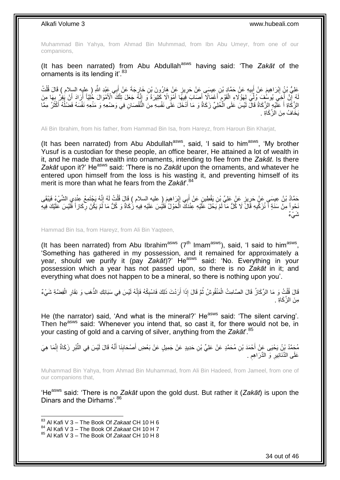Muhammad Bin Yahya, from Ahmad Bin Muhmmad, from Ibn Abu Umeyr, from one of our companions,

(It has been narrated) from Abu Abdullah<sup>asws</sup> having said: 'The Zakat of the ornaments is its lending it'.<sup>83</sup>

عَلِيُّ بْنُ إِبْرَاهِيمَ عَنْ أَبِيهِ عَنْ حَمَّادٍ بْنِ عِيسَى عَنْ حَرِيزٍ عَنْ هَارُونَ بْنِ خَارِجَةَ عَنْ أَبِي عَبْدِ اللَّهِ ( عليه السلام ) قَالَ قُلْتُ<br>. َ ֦֧֦֧ ِ ِ َ ِ ْ لَهُ إِنَّ أَخِي يُوسُفَ وُلِّيَ لِهَؤُلَاءِ الْقَوْمِ أَعْمَالًا أَصَابَ فِيهًا أَمْوَالًا كَثِيرَةً وَ إِنَّهُ جَعَلَ تِلْكَ الْأَمْوَالَ خُلِيّاً أَرَادَ أَنْ يَفِرَّ بِهَا مِنَ َ **∶** ْ ِ َ َ َ ِ ْ ِ َ َ الزَّكَاةِ أَ عَلَيْهِ الزَّكَاةُ قَالَ لَيْسَ عَلَى الْكُلِيِّ زَكَاةٌ وَ مَا أَدْخَلَ عَلَى نَفْسِهِ مِنَ النَّقْصَانِ فِي وَضْعِهِ وَ مَنْعِهِ نَفْسَهُ فَضْلُهُ أَكْثَرُ مِمَّا َ ْ َ َ َ ُ نَخَافُ منَ الزَّكَاة

Ali Bin Ibrahim, from his father, from Hammad Bin Isa, from Hareyz, from Haroun Bin Kharjat,

(It has been narrated) from Abu Abdullah<sup>asws</sup>, said, 'I said to him<sup>asws</sup>, 'My brother Yusuf is a custodian for these people, an office bearer, He attained a lot of wealth in it, and he made that wealth into ornaments, intending to flee from the *Zakāt*. Is there Zakāt upon it?' He<sup>asws</sup> said: 'There is no Zakāt upon the ornaments, and whatever he entered upon himself from the loss is his wasting it, and preventing himself of its merit is more than what he fears from the *Zakāt*'.<sup>84</sup>

حَمَّادُ بْنُ عِيسَى عَنْ حَرِيزٍ عَنْ عَلِيِّ بْنِ يَقْطِينِ عَنْ أَبِي إِبْرَاهِيمَ ( عليه السلام ) قَالَ قُلْتُ لَهُ إِنَّهُ يَجْتَمِعُ عِنْدِي الشَّيْءُ فَيَبْقَى<br>رَهِ لَهُ يَجْتَمِعُ عِنْدِي الشَّيْءُ فَيْهِ مِنْ يُن ِ َ ِ ِ ْ نَحْواً مِنْ سَنَةٍ أَ نُزَكِّيهِ قَالَ لَا كُلُّ مَاۤ لَمْ يَحُلْ عَلَيْهِ عِنْدَكَ الْحَوْلُ فَلَيْسَ عَلَيْهِ فِيهِ زُكَاةٌ وَ كُلُّ مَا لَمْ يَكُنْ رِكَازاً فَلَيْسَ عَلَيْكَ فِيهِ ْ ا<br>ا ِ ه ً° و ٌ

Hammad Bin Isa, from Hareyz, from Ali Bin Yaqteen,

(It has been narrated) from Abu Ibrahim<sup>asws</sup> ( $7<sup>th</sup>$  Imam<sup>asws</sup>), said, 'I said to him<sup>asws</sup>, 'Something has gathered in my possession, and it remained for approximately a year, should we purify it (pay *Zakāt*)?' Heasws said: 'No. Everything in your possession which a year has not passed upon, so there is no *Zakāt* in it; and everything what does not happen to be a mineral, so there is nothing upon you'.

قَالَ قُلْتُ وَ مَا الرِّكَازُ قَالَ الصَّامِتُ الْمَنْقُوشُ ثُمَّ قَالَ إِذَا أَرَدْتَ ذَلِكَ فَاسْبِكُهُ فَإِنَّهُ لَيْسَ فِي سَبَائِكِ الذَّهَبِ وَ نِقَارِ الْفِضَّةِ شَيْءٌ ِ ِ َ ان<br>المقامات ْ ْ ْ ِ منَ الزَّكَاة

He (the narrator) said, 'And what is the mineral?' He<sup>asws</sup> said: 'The silent carving'. Then he<sup>asws</sup> said: 'Whenever you intend that, so cast it, for there would not be, in your casting of gold and a carving of silver, anything from the *Zakāt*'.<sup>85</sup>

مُحَمَّدُ بْنُ يَحْيَى عَنْ أَحْمَدَ بْنِ مُحَمَّدٍ عَنْ عَلِيِّ بْنِ حَدِيدٍ عَنْ جَمِيلٍ عَنْ بَعْضِ أَصْحَابِنَا أَنَّهُ قَالَ لَيْسَ فِي الثَّبْرِ زَكَاةٌ إِنَّمَا هِيَ َ ِ َ ِ ِ عَلَى الذَّنَانِيرِ وَ الذَّرَاهِم ِ ِ ِ

Muhammad Bin Yahya, from Ahmad Bin Muhammad, from Ali Bin Hadeed, from Jameel, from one of our companions that,

'Heasws said: 'There is no *Zakāt* upon the gold dust. But rather it (*Zakāt*) is upon the Dinars and the Dirhams' 86

<sup>83</sup> Al Kafi V 3 – The Book Of *Zakaat* CH 10 H 6

<sup>84</sup> Al Kafi V 3 – The Book Of *Zakaat* CH 10 H 7

<sup>85</sup> Al Kafi V 3 – The Book Of *Zakaat* CH 10 H 8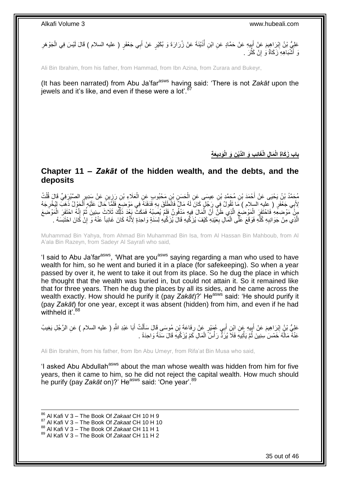عَلِيُّ بْنُ إِبْرَاهِيمَ عَنْ إِبِيهِ عَنْ حَمَّادٍ عَنِ ابْنِ أُذَيْنَةَ عَنْ زُرَارَةَ وَ بُكَيْرٍ عَنْ أَبِي جَعْفَرٍ ( عليه السلام ) قَالَ لَيْسَ فِي الْجَوْهَرِ ُ ِ َ ِ ِ ْ َ وَ أَتَنْبَاهِهِ زَكَاةٌ وَ إِنْ كَثَرَ . ُ ِ َ

Ali Bin Ibrahim, from his father, from Hammad, from Ibn Azina, from Zurara and Bukeyr,

(It has been narrated) from Abu Ja'farasws having said: 'There is not *Zakāt* upon the jewels and it's like, and even if these were a lot'. $8$ 

**َوِديَع ِة ِن َو الْ َما ِل الْ َغائِ ِب َو الَّدْي باب َز َكا ِة الْ**

### <span id="page-34-0"></span>**Chapter 11 –** *Zakāt* **of the hidden wealth, and the debts, and the deposits**

مُحَمَّدُ بْنُ يَحْيَى عَنْ أَحْمَدَ بْنِ مُحَمَّدِ بْنِ عِيسَى عَنِ الْحَسَنِ بْنِ مَحْبُوبٍ عَنِ الْعَلَاءِ بْنِ رَزِينٍ عَنْ سَدِيرٍ الصَّيْرِفِيِّ قَالَ قُلْتُ<br>مُحَمَّدُ بْنُ يَحْيَى عَنْ أَحْمَدَ بْنِ مُحَمَّدٍ. ِ ْ ْ َ ْ ٍ لِأَبِي جَعْفَرٍ ( عِليهِ السلام ) مَا تَقُولُ فِيَ رَجُلٍ كَانَ لَهُ مَالٌ فَانْطَلَقَ بِهِ فَدَفَنَهُ فِي مَوْضِعِ فَلَمَا خَالَ عَلَيْهِ الْحَوْلُ ذَهَبَ لِيُخْرِجَهُ ِ ِ ْ َ مِنَّ مَوْضِعِهِ فَاحْتَفَرَ الْمَوْضِعَ الَّذِي ظَنَّ أَنَّ الْمَالَ فِيهِ مَدْفُونٌ فَلَمْ يُصَبْهُ فَمَكَثَّ بَعِْدَ ذَلِّكَ ثَلَاثَ سِنِينَ ثُمَّ إِنَّهُ احْتَفَرَ الْمَوْضَعَ ْ َ َّ ْ ْ ِ ُ الَّذِي مِنْ جَوَانِبِهِ كُلُّهِ فَوَقَعَ عَلَى الْمَالِ بِعَيْنِهِ كَيْفَ يُزَكِّيهِ قَالَ يُزَكِّيهِ لِسَنَةٍ وَاحِدَةٍ لِأَنَّهُ كَانَ غَائِباً عَنْهُ وَ إِنْ كَانَ احْتَبَسَهُ . **∶ ∶** ْ ِ

Muhammad Bin Yahya, from Ahmad Bin Muhammad Bin Isa, from Al Hassan Bin Mahboub, from Al A'ala Bin Razeyn, from Sadeyr Al Sayrafi who said,

'I said to Abu Ja'far<sup>asws</sup>, 'What are you<sup>asws</sup> saying regarding a man who used to have wealth for him, so he went and buried it in a place (for safekeeping). So when a year passed by over it, he went to take it out from its place. So he dug the place in which he thought that the wealth was buried in, but could not attain it. So it remained like that for three years. Then he dug the places by all its sides, and he came across the wealth exactly. How should he purify it (pay Zakat)?' He<sup>asws</sup> said: 'He should purify it (pay *Zakāt*) for one year, except it was absent (hidden) from him, and even if he had withheld it'  $^{88}$ 

َ عَلِيُّ بْنُ إِبْرَاهِيمَ عَنْ أَبِيهِ عَنِ ابْنِ أَبِي عُهَيْرٍ عَنْ رِفَاعَةَ بْنِ مُوسَى قَالَ سَأَلْتُ أَبَا عَبْدِ اللَّهِ ( عليه السلام ) عَنِ الرَّجُلِ يَغِيبُ ْ ĺ ِ َ ِ َ عَنْٰهٌ مَالُهُ خَمْسَ ٰسِنِينَ ثُمَّ يَأْتِيهِ فَلَا يُرَدُّ رَأْسُ الْمَالِ كَمْ يُزَكِّيهِ قَالَ سَنَةً وَاحِدَةً . ْ :<br>ا ْ ان<br>المقام ا<br>ا

Ali Bin Ibrahim, from his father, from Ibn Abu Umeyr, from Rifa'at Bin Musa who said,

'I asked Abu Abdullah<sup>asws</sup> about the man whose wealth was hidden from him for five years, then it came to him, so he did not reject the capital wealth. How much should he purify (pay *Zakāt* on)?' He<sup>asws</sup> said: 'One year'.<sup>89</sup>

 Al Kafi V 3 – The Book Of *Zakaat* CH 10 H 9 Al Kafi V 3 – The Book Of *Zakaat* CH 10 H 10 Al Kafi V 3 – The Book Of *Zakaat* CH 11 H 1 Al Kafi V 3 – The Book Of *Zakaat* CH 11 H 2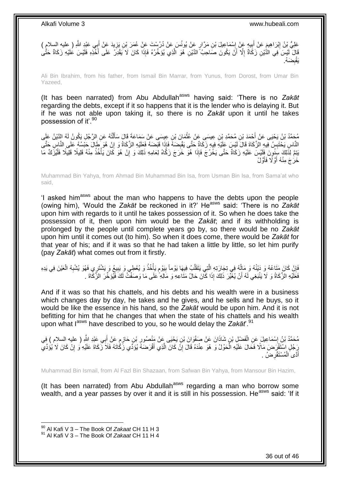َطِيُّ بْنُ إِبْرَاهِيمَ عَنْ أَبِيهِ عَنْ إِسْمَاعِيلَ بْنِ مَرَّارٍ عَنْ يُونُسَ عَنْ دُرُسْتَ عَنْ عُمَرَ بْنِ يَزِيدَ عَنْ أَبِي عَنْدِ اللَّهِ ( عليه السلام )<br>. **ٍ** ِ ِ َ ِ َ قَالَ لَيْسَ فِي الدُّيْنِ زَكَاةٌ إِلَّا أَنْ يَكُونَ صَاحِبُ الدَّيْنِ هُوَ الَّذِي يُوَخِّرُهُ فَإِذَا كَانَ لَا يَقْدِرُ عَلَى أَخْذِهِ فَلَيْسَ عَلَيْهِ زَكَاةٌ حَتَّى َّ َ ِ َ َض ُه. ِ ب َيقْ

Ali Bin Ibrahim, from his father, from Ismail Bin Marrar, from Yunus, from Dorost, from Umar Bin Yazeed,

(It has been narrated) from Abu Abdullah<sup>asws</sup> having said: 'There is no Zakat regarding the debts, except if it so happens that it is the lender who is delaying it. But if he was not able upon taking it, so there is no *Zakāt* upon it until he takes possession of it'. 90

مُحَمَّدُ بْنُ يَحْيَى عَنْ أَحْمَدَ بْنِ مُحَمَّدِ بْنِ عِيسَى عَنْ عُثْمَانَ بْنِ عِيسَى عَنْ سَمَاعَةَ قَالَ سَأَلْتُهُ عَنِ الرَّجُلِ يَكُونُ لَهُ الثَّيْنُ عَلَى ْ ْ َ النَّاسِ يَحْتَبِسُ فِيهِ الزَّكَاةَ قَالَ لَيْسَ عَلَيْهِ فِيهِ زَكَاةٌ حَتَّى يَقْبِضَهُ فَإِذَا قَبَضَهُ فَعَلَيْهِ الزَّكَاةُ وَ إِنْ هُوَ طَالَ حَبْسُهُ عَلَى النَّاسِ حَتَّى ِ **∣** ِ يَتِمَّ لِذَّلِكَ سَنُوِنَ فَلَيْسَ عَلَيْهِ زَكَاةٌ حَتَّى يَخْرُجَ فَإِذَا هُوَ خَرَجَ زَكَّاهُ لِعَامِهِ ذَلِكَ وَ إِنْ هُوَ كَانَ يَأْخُذُ مِنْهُ قَلِيلًا قَلِيلًا فَلْيُزَكِّ مَا ْ ِ ْ خَرَٰ جَ مِنْهُ أَوَّلًا فَأَوَّلَ َ

Muhammad Bin Yahya, from Ahmad Bin Muhammad Bin Isa, from Usman Bin Isa, from Sama'at who said,

'I asked him<sup>asws</sup> about the man who happens to have the debts upon the people (owing him), 'Would the *Zakāt* be reckoned in it?' He<sup>asws</sup> said: 'There is no Zakāt upon him with regards to it until he takes possession of it. So when he does take the possession of it, then upon him would be the *Zakāt*; and if its withholding is prolonged by the people until complete years go by, so there would be no *Zakāt* upon him until it comes out (to him). So when it does come, there would be *Zakāt* for that year of his; and if it was so that he had taken a little by little, so let him purify (pay *Zakāt*) what comes out from it firstly.

֧֧֚֓֝֝֓֝֬ فَإِنْ كَانَ مَتَاعُهُ وَ دَيْنُهُ وَ مَالُهُ فِي تِجَارَتِهِ الَّتِي يَتَقَلَّبُ فِيهَا يَوْماً بِيَوْمٍ يَأْخُذُ وَ يُعْطِي وَ يَشِيعُ وَ يَشْتَرِي فَهُوَ يُشْبِهُ الْعَيْنَ فِي يَدِه<br>يَزْيَا مَنَا مَن الْعَيْنَ فَي أَو ِ َّ َّ ا<br>ا ِ ْ ِ ِ ْ فَعَلَيْهِ الزَّكَاةُ وَ لَا يَنْبَغِي لَهُ أَنْ يُغَيِّرَ ذَلِكَ إِذَا كَانَ حَالُ مَثَاعِهِ وَ مَالِهِ ۖ عَلَى مَا وَصَفْتُ لَكَ فَيُؤَخِّرَ الزَّكَاةَ . َ

And if it was so that his chattels, and his debts and his wealth were in a business which changes day by day, he takes and he gives, and he sells and he buys, so it would be like the essence in his hand, so the *Zakāt* would be upon him. And it is not befitting for him that he changes that when the state of his chattels and his wealth upon what lasws have described to you, so he would delay the Zakat<sup>".91</sup>

مُحَمَّدُ بْنُ إِسْمَاعِيلَ عَنِ الْفَضْلِ بْنِ شَاذَانَ عَنْ صَفْوَانَ بْنِ يَحْيَى عَنْ مَنْصُورِ بْنِ حَازِمٍ عَنْ أَبِي عَبْدِ اللَّهِ ( عليه السلام ) فِي َ ֧֩֘׆֧ ِ ِ ْ ِ رَجُلٍ اسْتَقْرَضَ مَالًا فَحَالَ عَلَيْهِ الْحَوْلُ وَ هُوَ عِنْدَهُ قَالَ إِنَّ كَانَ الَّذِي أَقْرَضَهَ يُؤَدِّي زَكَّاتَهُ فَلَاَ زَكَاةَ عَلَيْهِ وَ إِنْ كَانَ لَا يُؤُدِّي َ َّ ِ ْ ِ أَدَّ*ى* الْمُسْتَقْرِضُ . **∶** ْ َ

Muhammad Bin Ismail, from Al Fazl Bin Shazaan, from Safwan Bin Yahya, from Mansour Bin Hazim,

(It has been narrated) from Abu Abdullah<sup>asws</sup> regarding a man who borrow some wealth, and a year passes by over it and it is still in his possession. He<sup>asws</sup> said: 'If it

<sup>90</sup> Al Kafi V 3 – The Book Of *Zakaat* CH 11 H 3

<sup>91</sup> Al Kafi V 3 – The Book Of *Zakaat* CH 11 H 4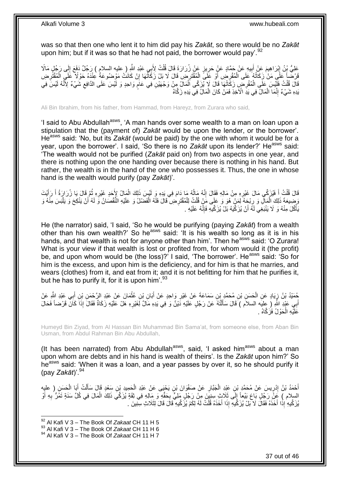was so that then one who lent it to him did pay his *Zakāt*, so there would be no *Zakāt* upon him; but if it was so that he had not paid, the borrower would pay'.  $92$ 

َعْلِيُّ بِنُ إِبْرَاهِيمَ عَنْ أَبِيهِ عَنْ حَمَّادٍ عَنْ حَرِيزٍ عَنْ زُرَارَةَ قَالَ قُلْتُ لِأَبِي عَبْدِ اللَّهِ ( عليه السلامِ ) رَجُلٌ دَفَعَ إِلَى رَجُلٍ مَالًا ْ **∶ !** َ ِ ِ قَرْضَبِأَ عَلَى مَنْ زَكَاتُهُ عَلَى الْمُقْرِضِ أَوْ عَلَى الْمُقْتَرِضِ قَالَ لَا بَلْ زَكَاتُهَا إِنْ كَانَتْ مَوْضُوعَةً عِنْدَهُ حَوْلًا عَلَي الْمُقْتَرِضِ ِ ِ ْ اُ ِ ْ ِ ْ قَالَ قُلْتُ فَلَّيْسَ عَلَى الْمُقْرِضِ زَكَاتُهَا قَالَ لَإِ يُزَكَّى اَلْمَالُ مِنْ وَجْهَيْنِ فِي عَامٍ وَاحِدٍ وَ لَيْسَ عَلَى الدَّافِعِ شَيْءٌ لِأَنَّهُ لَيْسَ فِي ْ ِ م ْ ِ ْ يَدِهِ شَيْءٌ إِنَّمَا الْمَالُ فِي يَدِ الْآخِذِ فَمَنْ كَانَ الْمَالُ فِي يَدِهِ زَكَّاهُ ْ ْ ֺ֧֧֧֧֧֧֦֧֚֚֚֚֚֚֚֚֚֚֚֝֝֬֓֡֡֓֬֓֓֡֟֓֡֡֡֡֬֓֓֡֟֓֡֟֓֡֟֓֡֡֡֬֓֓֡֬֩֓֓֬֓֬֩

Ali Bin Ibrahim, from his father, from Hammad, from Hareyz, from Zurara who said,

'I said to Abu Abdullah<sup>asws</sup>, 'A man hands over some wealth to a man on loan upon a stipulation that the (payment of) *Zakāt* would be upon the lender, or the borrower'. He<sup>asws</sup> said: 'No, but its Zakāt (would be paid) by the one with whom it would be for a year, upon the borrower'. I said, 'So there is no Zakat upon its lender?' He<sup>asws</sup> said: 'The wealth would not be purified (*Zakāt* paid on) from two aspects in one year, and there is nothing upon the one handing over because there is nothing in his hand. But rather, the wealth is in the hand of the one who possesses it. Thus, the one in whose hand is the wealth would purify (pay *Zakāt*)'.

قَالَ قُلْتُ أَ فَيُزَكِّي مَالَ غَيْرِهِ مِنْ مَالِهِ فَقَالَ إِنَّهُ مَالُهُ مَا دَامَ فِي يَدِهِ وَ لَيْسَ ذَلِكَ الْمَالُ لِإَحَدٍ غَيْرِهِ ثُمَّ قَالَ يَا زُرَارَةُ أَ رَأَيْتَ ْ ا<br>ا ِ **∶** َ ْ َ َ ُ ِ َوْضِيعَةَ ذَلِكَ الْمَالِ وَ رِبْجَهُ لِمَنْ هُوَ وَ عَلَى مَنْ قُلْتُ لِلْمُقْتَرِضِ قَالَ فَلَهُ الْفَضْلُ وَ عَلَيْهِ النُّقْصَانُ وَ لَهُ أَنْ يَنْكِحَ وَ يَلْبَسَ مِنْهُ وَ ْ ِ ْ ْ َ ْ **∶** ْ يَأْكُلَ مِنْهُ وَ لَا يَنْبَغِي لَهُ أَنْ يُزَكِّيَهُ بَلْ يُزَكِّيهِ فَإِنَّهُ عَلَيْهِ . ِ ْ

He (the narrator) said, 'I said, 'So he would be purifying (paying *Zakāt*) from a wealth other than his own wealth?' So he<sup>asws</sup> said: 'It is his wealth so long as it is in his hands, and that wealth is not for anyone other than him'. Then he<sup>asws</sup> said: 'O Zurara! What is your view if that wealth is lost or profited from, for whom would it (the profit) be, and upon whom would be (the loss)?' I said, 'The borrower'. He<sup>asws</sup> said: 'So for him is the excess, and upon him is the deficiency, and for him is that he marries, and wears (clothes) from it, and eat from it; and it is not befitting for him that he purifies it, but he has to purify it, for it is upon him'.  $93$ 

ِمُمَيْدُ بْنُ زِيَادٍ عَنِ الْحَسَنِ بْنِ مُحَمَّدٍ بْنِ سَمَاعَةً عَنْ غَيْرِ وَاحِدٍ عَنْ أَبَانِ بْنِ عُثْمَانَ عَنْ عَبْدِ الرَّحْمَنِ بْنِ أَبِي عَبْدِ الثَّهِ عَنْ ْ َ ِ ْ ્રુ ِ َ أَبِي عَبْدِ الثَّهِ (ِ عِليه السلام ) قَالَ سَأَلْتُهُ عَنْ رَجُلٍ عَلَيْهِ دَيْنٌ وَ فِي يَدِهِ مَالٌ لِّغَيْرِهِ هَلْ عَلَيْهِ زَكَاةٌ فَقَالَ إِذَاً كَانَّ قَرْضاً فَحَالَ **ٍ** ֦֧֦֧֧֦֧֦֧֦֧֦֧֦֧֦֧֧֦֧֦֪֧֪֦֪֦֧֧֧֧֧֧֧֟֟֟֓֕֟֓֕֝֓֟֓֡֟֓֡֟֓֡֟֓֡֟֓֡֟֟֓֡֟֓֡֟֟֩֓֞֟֓֞֟֓֡֟֓֞֟֓֟֓֝֬֝֓֟֝֓֟֝֬֝֬֝֬֝֬֝֬֝֬֝֬<br>֧֪֪֧֪֧֪֪֪֪֦֧֪֧֪֪֪֪֪֦֧֝֝֝֬֝֝֬֝ َ عَلَّيْهِ الْحَوْلُ فَزَكَّاهُ . ْ

Humeyd Bin Ziyad, from Al Hassan Bin Muhammad Bin Sama'at, from someone else, from Aban Bin Usman, from Abdul Rahman Bin Abu Abdullah,

(It has been narrated) from Abu Abdullah<sup>asws</sup>, said, 'I asked him<sup>asws</sup> about a man upon whom are debts and in his hand is wealth of theirs'. Is the *Zakāt* upon him?' So he<sup>asws</sup> said: 'When it was a loan, and a year passes by over it, so he should purify it (pay *Zakāt*)'.<sup>94</sup>

أَحْمَدُ بْنُ إِدْرِيسَ عَنْ مُحَمَّدٍ بْنِ عَيْدِ الْجَبَّارِ عَنْ صَفْوَانَ بْنِ يَحْيَى عَنْ عَبْدِ الْحَمِيدِ بْنِ سَعْدٍ قَالَ سَأَلْتُ أَيَا الْحَسَنِ ( عليِه ْ ِ ْ ِ ِ َ ْ ْ َ السلام ) عَنْ رَجُلٍ بَاعَ بَيْعاً إِلَى ثَلَاثٍ سِنِيَنَ مِنْ رَجُلٍ مَلِيٍّ بِحَقِّهِ وَ مَالِهِ فِي ثِقَةٍ يُزَكِّي ذَلِكَ الْمَالَ فِي كُلِّ سَنَةٍ تَمُرُّ بِهِ أَوْ **∶**  $\frac{1}{2}$ َ **∶** ْ يُزَ كِّيهِ ۚ إِذَا أَخَذَهُ فَقَالَ لَا بَلْ يُزَكِّيهِ إِذَا أَخَذَهُ قُلْتُ لَهُ لِكَمْ يُزَكِّيهِ ۚ قَالَ قَالَ لِثَلَاثِ سِنِينَ ۚ َ ْ

<sup>92</sup> Al Kafi V 3 – The Book Of *Zakaat* CH 11 H 5

<sup>93</sup> Al Kafi V 3 – The Book Of *Zakaat* CH 11 H 6

<sup>94</sup> Al Kafi V 3 – The Book Of *Zakaat* CH 11 H 7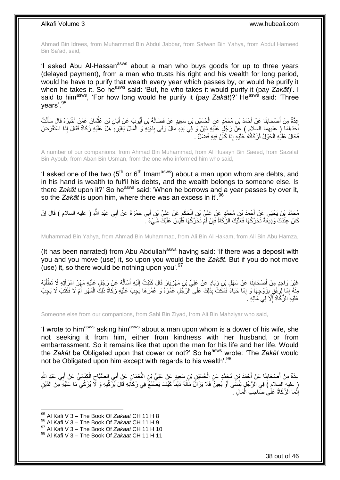Ahmad Bin Idrees, from Muhammad Bin Abdul Jabbar, from Safwan Bin Yahya, from Abdul Hameed Bin Sa'ad, said,

'I asked Abu Al-Hassan<sup>asws</sup> about a man who buys goods for up to three years (delayed payment), from a man who trusts his right and his wealth for long period, would he have to purify that wealth every year which passes by, or would he purify it when he takes it. So he<sup>asws</sup> said: 'But, he who takes it would purify it (pay Zakat)'. I said to him<sup>asws</sup>, 'For how long would he purify it (pay *Zakāt*)?' He<sup>asws</sup> said: 'Three years'.<sup>95</sup>

عِدَّةٌ مِنْ أَصْحَابِنَا عَنْ أَحْمَدَ بْنِ مُحَمَّدٍ عَنِ الْحُسَيْنِ بْنِ سَعِيدٍ عَنْ فَضَالَةَ بْنِ أَيُّوبَ عَنْ أَبَانِ بْنِ غُثْمَانَ عَمَّنْ أَخْبَرَهُ قَالَ سَأَلْتُ<br>يَمْنُ أَسْلَمَنَّ أَخْبَرَهُ قَالَ سَأَلْتُ َ َ ْ َ ِ َ ْ ْ َ أَحَدَهُمَا ۚ ( عليهمَا السلام ) عَنَّ رَجُلٍ عَلَيْهِ دَيْنٌ وَ فِي يَدِهِ مَالٌ وَفَى بِدَيْنِهِ وَ اَلْمَالُ لِغَيْرِهِ ۚ هَلَّ عَلَيْهِ زَكَاةٌ فَقَالَ إِذَا اسْتَقْرَضَ ِ ْ ِ لَ فَحَالَ عَلَيْهِ الْحَوْلُ فَزَكَاتُهُ عَلَيْهِ إِذَا كَانَ فِيهِ فَضْلٌ . ْ

A number of our companions, from Ahmad Bin Muhammad, from Al Husayn Bin Saeed, from Sazalat Bin Ayoub, from Aban Bin Usman, from the one who informed him who said,

'I asked one of the two ( $5<sup>th</sup>$  or  $6<sup>th</sup>$  Imam<sup>asws</sup>) about a man upon whom are debts, and in his hand is wealth to fulfil his debts, and the wealth belongs to someone else. Is there Zakāt upon it?' So he<sup>asws</sup> said: 'When he borrows and a year passes by over it, so the *Zakāt* is upon him, where there was an excess in it'.<sup>96</sup>

مُحَمَّدُ بْنُ يَحْيَى عَنْ أَحْمَدَ بْنِ مُحَمَّدٍ عَنْ عَلِيِّ بْنِ الْحَكَمِ عَنْ عَلِيٍّ بْنِ أَبِي حَمْزَةَ عَنْ أَبِي عَبْدِ اللَّهِ ( عليه السلام ) قَالَ إِنْ َ َ ِ ْ ِ كَانَ عِنْدَكَ وَدِيعَةٌ تُحَرِّكُهَا فَعَلَّيْكَ الزَّكَاةُ فَإِنْ لَمْٓ تُحَرِّكُهَا فَلَيْسَ عَلَيْكَۖ شَيْءٌ ۖ. ِ

Muhammad Bin Yahya, from Ahmad Bin Muhammad, from Ali Bin Al Hakam, from Ali Bin Abu Hamza,

(It has been narrated) from Abu Abdullah<sup>asws</sup> having said: 'If there was a deposit with you and you move (use) it, so upon you would be the *Zakāt*. But if you do not move (use) it, so there would be nothing upon you<sup>'.97</sup>

ا<br>; مْيْرُ وَاحِدٍ مِنْ أَصْحَابِنَا عَنْ سَهْلِ بْنِ زِيَادٍ عَنْ عَلِيِّ بْنِ مَهْزِيَارَ قَالَ كَتَبْتُ إِلَيْهِ أَسْأَلُهُ عَنْ رَجُلٍ عَلَيْهِ مَهْرُ امْرَأَتِهِ لَا تَطْلُبُهُ ِ ِ ُ َ ا<br>ا َ َ لَ ِ مِنْهُ إِمَّا لِرِفْقٍ بِزَوْجِهَا وَ إِمَّا حَيَاءً فَمَكَثَ بِذَلِكَ عَلَى الرَّجُلِ غَمُرَهُ وَ عُمُرَهَا يَجِبُ عَلَيْهِ زَكَاةُ ذَلِكَ الْمَهْرِ أَمْ لَا فَكَتَبَ لَا يَجِبُ ِ **ِ** ِ ِ َ ِ ْ عَلَيْهِ الزَّكَاةُ إِلَّا ۖ فِي مَالِهِ ۖ ا ِ

Someone else from our companions, from Sahl Bin Ziyad, from Ali Bin Mahziyar who said,

'I wrote to him<sup>asws</sup> asking him<sup>asws</sup> about a man upon whom is a dower of his wife, she not seeking it from him, either from kindness with her husband, or from embarrassment. So it remains like that upon the man for his life and her life. Would the *Zakāt* be Obligated upon that dower or not?' So he<sup>asws</sup> wrote: 'The *Zakāt* would not be Obligated upon him except with regards to his wealth'.<sup>98</sup>

; عِدَّةٌ مِنْ أَصْحَابِنَا عَنْ أَحْمَدَ بْنِ مُجَمَّدٍ عَنِ الْحُسَيْنِ بْنِ سَعِيدٍ عَنْ عَلِيِّ بْنِ النُّعْمَانِ عَنْ أَبِي الصَّبَّاحِ الْكِنَانِيِّ عَنْ أَبِي مَبْدِ الثَّهِ َ ْ َ ِ َ َ ْ ِ (ِ عليهِ السلامِ ) فِي الرَّجُلِ يَنْسَى أَوْ يُعِينُ فَلَا يَزَالُ مَالُهُ دَيْناً كَيْفَ يَصْنَعُ فِي زَكَاتِهِ قَالَ يُزَكِّيهِ وَ  $\vec{X}$  يُزَكِّي مَا عَلَيْهِ مِنَ الدَّيْنِ ُ إِنَّمَا الزَّكَاةُ عَلَىٰ صَاحِبِ الْمَالِ . ْ ِ

 $\overline{1}$ 

- <sup>96</sup> Al Kafi V 3 The Book Of *Zakaat* CH 11 H 9
- <sup>97</sup> Al Kafi V 3 The Book Of *Zakaat* CH 11 H 10

<sup>95</sup> Al Kafi V 3 – The Book Of *Zakaat* CH 11 H 8

<sup>98</sup> Al Kafi V 3 – The Book Of *Zakaat* CH 11 H 11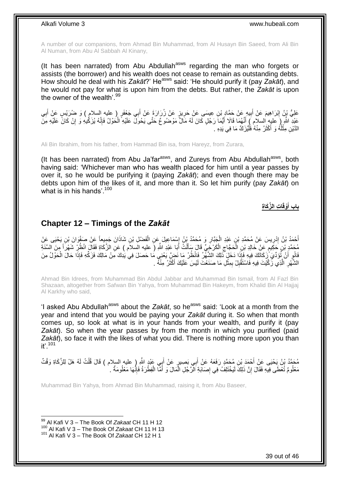A number of our companions, from Ahmad Bin Muhammad, from Al Husayn Bin Saeed, from Ali Bin Al Numan, from Abu Al Sabbah Al Kinany,

(It has been narrated) from Abu Abdullah<sup>asws</sup> regarding the man who forgets or assists (the borrower) and his wealth does not cease to remain as outstanding debts. How should he deal with his Zakāt?' He<sup>asws</sup> said: 'He should purify it (pay Zakat), and he would not pay for what is upon him from the debts. But rather, the *Zakāt* is upon the owner of the wealth'.<sup>99</sup>

َ عَلِيُّ نِنُ اِبْرَاهِيمَ عَنْ أَبِيهِ عَنْ حَمَّادٍ بْنِ عِيسَى عَنْ حَرِيزٍ عَنْ زُرَارَةَ عَنْ أَبِي جَعْفَرٍ ( عليه السلامِ ) وَ ضُرَيْسٍ عَنْ أَبِي ِ **!** יִין<br>∶ ِ َ عَبْدِ اللَّهِ (َ عليهِ السلام َ) أَنَّهُمَا قَالَا أَيُّمَا رَجُلٍ كَانَ لَهُ مَالٌ مَوْضُوعٌ حَتَّى يَحُوَلَّ عَلَيْهِ الْحَوْلُ فَإِنَّهُ يُزَكِّيهِ وَ إِنْ كَانَّ عَلَيْهِ مِنَّ ْ َ َ ِ ِ الدَّيْنِ مِثْلُهُ وَ أَكْثَرُ مِنْهُ فَلْيُزَكِّ مَا فِي يَدِهِ . ٔ, َ ا<br>ا **ٔ** ْ

Ali Bin Ibrahim, from his father, from Hammad Bin isa, from Hareyz, from Zurara,

(It has been narrated) from Abu Ja'far $a<sup>asws</sup>$ , and Zureys from Abu Abdullah $a<sup>asws</sup>$ , both having said: 'Whichever man who has wealth placed for him until a year passes by over it, so he would be purifying it (paying *Zakāt*); and even though there may be debts upon him of the likes of it, and more than it. So let him purify (pay *Zakāt*) on what is in his hands'.<sup>100</sup>

> **ا ِت ال َّز َكا ِة ْوقَ باب أ َ**

### <span id="page-38-0"></span>**Chapter 12 – Timings of the** *Zakāt*

أَحْمَدُ بْنُ إِدْرِيسَ عَنْ مُحَمَّدِ بْنِ عَيْدِ الْجَنَّارِ وَ مُحَمَّدُ بْنُ إِسْمَاعِيلَ عَنِ الْفَضْلِ بْنِ شَاذَانَ جَمِيعاً عَنْ صَفْوَانَ بْنِ يَحْيَى عَنْ ْ ِ ِ ْ ِ יִן<br>∶ مُحَمَّدٍ بْنِ حَكِيمٍ عَنْ خَالِدِ بْنِ الْحَجَّاجِ الْكَرْخَيِّ قَالَ سَأَلْتُ أَبَا عَبْدِ اللَّهِ (َ عليه السلام ) عَنِ الزَّكَاةِ فَقَالَ انْظُرِ شَهْراً مِنَ السَّنَةِ ْ  $\zeta$ ْ ٍ َ ْ َ فَانْوٍ أَنْ ثَوَدٌّيَ زَكَاتَكَ فِيهِ فَإِذَا دَخَلَ ذَٰلِكَ الشَّهْرُ فَانْظُرْ مَا نَضٍّ يَعْنِي مَا حَصَلَ فِي يَدِكَ مَنْ مَالِكَ فَزَكِّهِ فَإِذَا حَالَ الْحَوْلُ مِنَ َ ِ ْ الشَّهْرِ الَّذِي زَكَّيْتَ فِيهِ فَاسْتَقْبِلْ بِمِثْلِ مَا صَنَعْتَ لَيْسَ عَلَيْكَ أَكْثَرُ مِنْهُ . َ َ ْ ِ ِ َّ ِ

Ahmad Bin Idrees, from Muhammad Bin Abdul Jabbar and Muhammad Bin Ismail, from Al Fazl Bin Shazaan, altogether from Safwan Bin Yahya, from Muhammad Bin Hakeym, from Khalid Bin Al Hajjaj Al Karkhy who said,

'I asked Abu Abdullah<sup>asws</sup> about the Zakat, so he<sup>asws</sup> said: 'Look at a month from the year and intend that you would be paying your *Zakāt* during it. So when that month comes up, so look at what is in your hands from your wealth, and purify it (pay *Zakāt*). So when the year passes by from the month in which you purified (paid *Zakāt*), so face it with the likes of what you did. There is nothing more upon you than it'.<sup>101</sup>

مُحَمَّدُ بِنُ يَحْيَى عَنْ أَحْمَدَ بْنِ مُحَمَّدٍ رَفَعَهُ عَنْ أَبِي بَصِبِرٍ عَنْ أَبِي عَبْدٍ اللَّهِ (ِ عليه السلام ) قَالَ قُلْتُ لَهُ هَلْ لِلزَّكَاةِ وَقْتٌ َ َ ْ مَعْلُومٌ تُعْطَى فِيهِ فَقَالَ إِنَّ ذَلِكَ لَيَخْتَلِفُ فِي إِصَابَةِ الْزَّجُلِ الْمَالَ وَ أَمَّا الْفِطْرَةُ فَإِنَّهَا مَعْلُومَةٌ . ِ ِ ا∣<br>ِ∘ِ ْ َ ْ

Muhammad Bin Yahya, from Ahmad Bin Muhammad, raising it, from Abu Baseer,

<sup>99</sup> Al Kafi V 3 – The Book Of *Zakaat* CH 11 H 12

<sup>100</sup> Al Kafi V 3 – The Book Of *Zakaat* CH 11 H 13

<sup>101</sup> Al Kafi V 3 – The Book Of *Zakaat* CH 12 H 1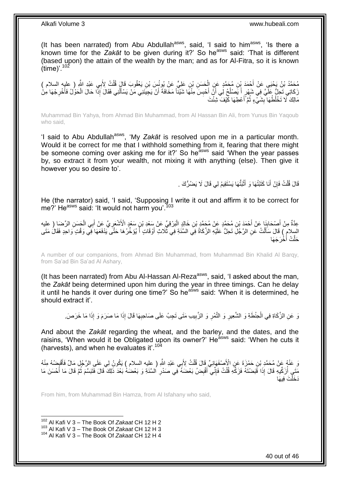(It has been narrated) from Abu Abdullah $^{asws}$ , said, 'I said to him $^{asws}$ , 'Is there a known time for the Zakat to be given during it?' So he<sup>asws</sup> said: 'That is different (based upon) the attain of the wealth by the man; and as for Al-Fitra, so it is known (time)'.  $102$ 

مُحَمَّدُ بْنُ يَحْيَى عَنْ أَحْمَدَ بِنِ مُحَمَّدٍ عَنِ الْحَسَنِ بْنِ عَلِيٍّ عَنْ يُونُسَ بْنِ يَعْقُوبَ قَالَ قُلْتُ لِأَبِي عَبْدِ اللَّهِ ( عليه السلام )<br>يَحْمَدُ بْنُ يَحْيَى عَنْ أَحْمَدَ بِنِ مُمْسٍّ عَنِ إِنْهَ ع ْ ْ َ زَكَاتِي تَحِلُّ عَلَيَّ فِي شَهْرٍ أَ يَصْلُحُ لِي أَنَّ أَحْبِسَ مِنْهَا شَيْئاً مَخَافَةَ أَنْ يَجِيئَنِي مَنْ يَسْأَلُنِي فَقَالَ إِذًا حَالَ الْحَوْلُ فَأُخْرِجْهَا مِنْ َ **∣** َ ا<br>ا َ ِ َ ْ ُ َ مَالِكَ لَّا تَخْلُطْهَا بِشَيْءٍ ثُمَّ أَعْطِهَا كَيْفَ شِئْتَ **∣** َ ُ

Muhammad Bin Yahya, from Ahmad Bin Muhammad, from Al Hassan Bin Ali, from Yunus Bin Yaqoub who said,

'I said to Abu Abdullah<sup>asws</sup>, 'My Zakāt is resolved upon me in a particular month. Would it be correct for me that I withhold something from it, fearing that there might be someone coming over asking me for it?' So he<sup>asws</sup> said 'When the year passes by, so extract it from your wealth, not mixing it with anything (else). Then give it however you so desire to'.

> قَالَ قُلْتُ فَإِنْ أَنَا كَتَبْتُهَا وَ أَثْبَتَّهَا يَسْنَقِيمُ لِي قَالَ لَا يَضُرُّكَ . ْ َ َ ِ ْ

He (the narrator) said, 'I said, 'Supposing I write it out and affirm it to be correct for me?' He<sup>asws</sup> said: 'It would not harm you'.

ِْلَ ِن َس ْعٍد ا َب ْرِق ِّي َع ْن َس ْعِد ْب ِن َخالِ ٍد ال ِن ُم َح َّمٍد َع ْن ُم َح َّمِد ْب ْح َمَد ْب َنا َع ْن أ ْص َحاب ال ِّر َضا ) عليه ِم ْن أ َح َس ِن ِعَّدةٌ ِي ال ب ِّي َع ْن أ ْشَعر ْ َ **∣** ْ َ ِ السِلامِ ) قَالَ سَأَلْتُ عَنِ الرَّجُلِّ تَحِلُّ عَلَيْهِ الزَّكَاةُ فِيَ السَّنَةِ فِي ثَّلَاثِ أَوْقَاتٍ أَ يُؤَخِّرُ هَا حَتَّى يَدْفَعَهَا فِي وَقْتٍ وَاحِدٍ فَقَالُ مَتَى َ َ ثْ أَخْرَجَهَا َ َحل

A number of our companions, from Ahmad Bin Muhammad, from Muhammad Bin Khalid Al Barqy, from Sa'ad Bin Sa'ad Al Ashary,

(It has been narrated) from Abu Al-Hassan Al-Reza<sup>asws</sup>, said, 'I asked about the man, the *Zakāt* being determined upon him during the year in three timings. Can he delay it until he hands it over during one time?' So he<sup>asws</sup> said: 'When it is determined, he should extract it'.

وَ عَنِ الزَّكَاةِ فِي الْحِنْطَةِ وَ الشَّعِيرِ وَ النَّمْرِ وَ الزَّبِيبِ مَتَى تَجِبُ عَلَى صَاحِبِهَا قَالَ إِذَا مَا صَرَمَ وَ إِذَا مَا خَرَصَ. ِ ِ ِ ِ ْ

And about the *Zakāt* regarding the wheat, and the barley, and the dates, and the raisins, 'When would it be Obligated upon its owner?' He<sup>asws</sup> said: 'When he cuts it (harvests), and when he evaluates it  $104$ 

وَ عَنْهُم عَنْ مُحَمَّدِ بْنِ حَمْزَةَ عَنِ الْأَصْفَهَانِيِّ قَالَ قُلْتُ لِأَبِي عَبْدِ اللَّهِ ( عِليه السلام ) يَكُونُ لِي عَلَى الرَّجُلِ مَالٌ فَأَقْبِضُهُ مِنْهُ ِ َ ْ مَتَيِ أَزَكِّيهِ قَالَ إِذَا قَبَضْتَهُ فَزَكِّهِ قُلْتُ فَإِنِّي أَقْبِضُ بَعْضَهُ فِي صَدْرِ السَّنَةِ وَ بَعْضُهُ بَعْدَ ذَلِكَ قَالَ فَثَبَسَّمَ ثُمَّ قَالَ مَا أَحْسَنَ مَا **∶** َ ِ ْ ا<br>ا ر<br>: َ َتَ فِيهَا ْ َد َخل

From him, from Muhammad Bin Hamza, from Al Isfahany who said,

<sup>102</sup> Al Kafi V 3 – The Book Of *Zakaat* CH 12 H 2

<sup>103</sup> Al Kafi V 3 – The Book Of *Zakaat* CH 12 H 3

<sup>104</sup> Al Kafi V 3 – The Book Of *Zakaat* CH 12 H 4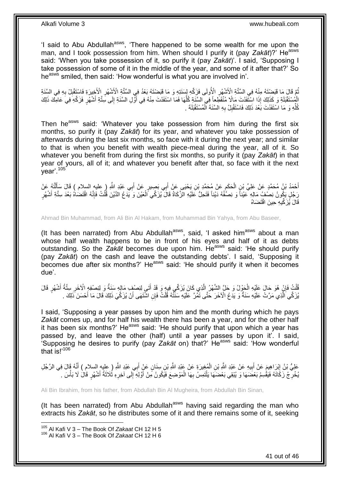'I said to Abu Abdullah<sup>asws</sup>, 'There happened to be some wealth for me upon the man, and I took possession from him. When should I purify it (pay Zakat)?' He<sup>asws</sup> said: 'When you take possession of it, so purify it (pay *Zakāt*)'. I said, 'Supposing I take possession of some of it in the middle of the year, and some of it after that?' So he<sup>asws</sup> smiled, then said: 'How wonderful is what you are involved in'.

ُّمَّ قَالَ مَا فَبَضْتَهُ مِنْهُ فِي السِّتَّةِ الْأَشْهُرِ الْأُولَى فَزَكِّهِ لِسَنَتِهِ وَ مَا قَبَضْتَهُ بَعْدُ فِي السِّتَّةِ الْأَشْهُرِ الْأَخِيرَةِ فَاسْتَقْلِ بِهِ فِي السِّنَةِ ِ **∶** ِ **∶** الْمُسْتَقْبَلَةِ وَ كَذَلِكَ إِذَا اسْتَفَدْتَ مَالًا مُنْقَضِعاً فِي السَّنَةِ كُلِّهَا فَمَا اسْتَفَدْتَ مِنْهُ فِي أَوِّلِ السَّنَةِ إِلَى سَتَّةِ أَشْهُرٍ فَزَكِّهِ فِي عَامِلَكَ ذَلِكَ<br>الْمُسْتَقْبَلَةِ وَرَكَبِهِ م َ ِ َ ِّ كُلِّهِ وَ مَا اسْتَفَدْتَ بَعْدَ ذَلِكَ فَاسْتَقْبِلْ بِهِ السَّنَةَ الْمُسْتَقْبَلَةَ . ْ ِ ِ ِّ

Then he<sup>asws</sup> said: 'Whatever you take possession from him during the first six months, so purify it (pay *Zakāt*) for its year, and whatever you take possession of afterwards during the last six months, so face with it during the next year; and similar to that is when you benefit with wealth piece-meal during the year, all of it. So whatever you benefit from during the first six months, so purify it (pay *Zakāt*) in that year of yours, all of it; and whatever you benefit after that, so face with it the next year'.<sup>105</sup>

أَحْمَدُ بْنُ مُحَمَّدٍ عَنْ عَلِيِّ بْنِ الْحَكَمِ عَنْ مُحَمَّدٍ بْنِ يَحْيَي عَنْ أَبِي بَصِبِرٍ عَنْ أَبِي عَبْدِ اللَّهِ ( عليه السلام ) قَالَ سَأَلْتُهُ عَنْ َ َ ֖֖֖֖֖֧֧֪֧֧ׅ֧֧ׅ֧֧ׅ֧֧ׅ֧֛֛֛֛֛֛֚֚֚֚֚֚֚֚֚֚֚֚֚֚֚֚֚֚֚֚֚֝֝֝֝֝֝֓֝֟֓֝֓֝֓֜֝֓֜֝֓֜֝֓֜֓֜֜֜֜֡֝֬ ْ ْ ĺ رَجُلٍ يَكُونُ نِصْفُ مَالِهِ ۚ عَيْناً وَ نِصَّفْهُ دَيْناً فَنَحِلُّ عَلَيْهِ الزَّكَاةُ قَالَ يُزَكِّي اَلْعَيْنَ وَ يَدَعُ الدَّيْنَ قُلْتُ فَإِنَّهُ اقْتَصْنَاهُ بَعْدَ سِتَّةِ أَشْهُرِ َ ِ ْ ْ قَالَ نُزَ كِّيه حينَ اقْتَضَاهُ

Ahmad Bin Muhammad, from Ali Bin Al Hakam, from Muhammad Bin Yahya, from Abu Baseer,

(It has been narrated) from Abu Abdullah $a<sup>sws</sup>$ , said, 'I asked him $a<sup>sws</sup>$  about a man whose half wealth happens to be in front of his eyes and half of it as debts outstanding. So the Zakat becomes due upon him. He<sup>asws</sup> said: 'He should purify (pay *Zakāt*) on the cash and leave the outstanding debts'. I said, 'Supposing it becomes due after six months?' He<sup>asws</sup> said: 'He should purify it when it becomes due'.

ُّلْتُ فَإِنٍّ هُوَ حَالَ عَلَيْهِ الْحَوْلُ وَ حَلَّ الشَّهْرُ الَّذِي كَانَ يُزَكِّي فِيهِ وَ قَدْ أَتَى لِنِصْنِفٍ مَالِهِ سَنَةٌ وَ لِنِصْنُفٍ الْآخَرِ سِتَّةُ أَشْهُرٍ قَالَ َ َّ ْ ِ ْ ِ َ يُزَكِّي الَّذِي مَرَّتْ عَلَيْهِ سَنَةٌ وَ يَدَعُ الْآخَرَ حَتَّى تَمُرَّ عَلَيْهِ سَنَّتُهُ قُلْتُ فَإِنِ اشْتَهَى أَنْ يُزَكِّيَ ذَلِكَ قَالَ مَا أَحْسَنَ ذَلِكَ . َ ْ َ

I said, 'Supposing a year passes by upon him and the month during which he pays *Zakāt* comes up, and for half his wealth there has been a year, and for the other half it has been six months?' He<sup>asws</sup> said: 'He should purify that upon which a year has passed by, and leave the other (half) until a year passes by upon it'. I said, 'Supposing he desires to purify (pay Zakat on) that?' He<sup>asws</sup> said: 'How wonderful that  $is<sup>106</sup>$ 

عَلِيُّ بْنُ إِبْرَاهِيمَ عَنْ أَبِيهِ عَنْ عَبْدِ اللَّهِ بْنِ الْمُغِيرَةِ عَنْ عَبْدِ اللَّهِ بْنِ سِنَانٍ عَنْ أَبِي عَبْدِ اللَّهِ ( عليه السلام ) أَنَّهُ قَالَ فِي الرَّجُلِ َ ْ **!** َ ِ َ ِ يُخْرِجُ زَكَاتَهُ فَيَقْسِمُ بَعْضَهَا وَ يُبْقِي بَعْضَهَا يَلْتَمِسُ بِهَا الْمَوْضِعَ فَيَكُونُ مِّنْ أَوَّلِهِ إِلَى آخِرِهِ ثَلاَثَةُ أَشْهُرٍ قَالَ لَا بَأْسَ . ِ َ ْ **∶** ْ ِ ْ َ َ

Ali Bin Ibrahim, from his father, from Abdullah Bin Al Mugheira, from Abdullah Bin Sinan,

(It has been narrated) from Abu Abdullah<sup>asws</sup> having said regarding the man who extracts his *Zakāt*, so he distributes some of it and there remains some of it, seeking

1

<sup>105</sup> Al Kafi V 3 – The Book Of *Zakaat* CH 12 H 5

<sup>106</sup> Al Kafi V 3 – The Book Of *Zakaat* CH 12 H 6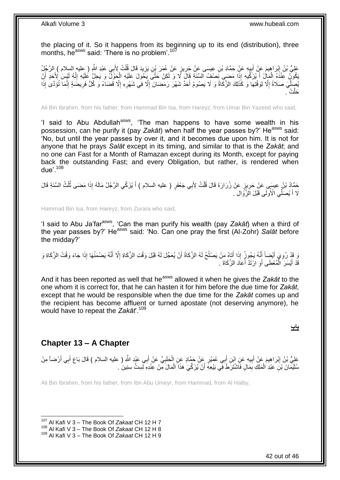the placing of it. So it happens from its beginning up to its end (distribution), three months, he<sup>asws</sup> said: 'There is no problem'.<sup>107</sup>

عَلِيُّ بْنُ إِبْرَاهِيمَ عَنْ أَبِيهِ عَنِْ حَمَّادِ بْنِ عِيسَى عَنْ حَرِيزٍ عَنْ عُمَرَ بْنِ يَزِيدَ قَالَ قُلْتُ لِأَبِي عَبْدِ اللَّهِ ( عليه السلام ) الرَّجُلُ ْ **∶** ِ ِ َ ∣ٍ<br>∶ يَكُونُ عِنْدَهُ الْمَإِلُ أَيُزَكِّيهِ إِذَا مَضيَى نَصْفُ السَّنَةِ قَالَ لَّا وَ لَكِنْ حَتَّى يَخُولَ عَلَيْهِ الْجَوْلَ وَ يَحِلَّ عَلَيْهِ إِنَّهُ لَيْسَ لِأَجَدِّ أَنْ ْ ِ ْ َ يُصِلِّيَ صَلَاةً إِلَّا لِوَقْتِهَا وَ كَذَلِكَ الزَّكَاةُ وَ لَا يَصُومُ أَحَدٌ شَهْرَ رَمَضَانَ إِلَّا فِي شَهْرِهِ إِلَّا قَضَاءً وَ كُلُّ فَرِيضَةٍ إِنَّمَا تُؤَدَّى إِذَا ِ ِ ِّ ِ ِ ا<br>ا ِ حَلَّتْ .

Ali Bin Ibrahim, from his father, from Hammad Bin Isa, from Hareyz, from Umar Bin Yazeed who said,

'I said to Abu Abdullah<sup>asws</sup>, 'The man happens to have some wealth in his possession, can he purify it (pay *Zakāt*) when half the year passes by?' He<sup>asws</sup> said: 'No, but until the year passes by over it, and it becomes due upon him. It is not for anyone that he prays *Salāt* except in its timing, and similar to that is the *Zakāt*; and no one can Fast for a Month of Ramazan except during its Month, except for paying back the outstanding Fast; and every Obligation, but rather, is rendered when due $^{\prime}$ .<sup>108</sup>

حَمَّادُ بْنُ عِيسَى عَنْ حَرِيزٍ عَنْ زُرَارَةَ قَالَ قُلْتُ لِأَبِي جَعْفَرٍ ( عليه السلام ) أَ يُزَكِّي الرَّجُلُ مَالَهُ إِذَا مَضَى ثُلُثُ السَّنَةِ قَالَ ْ ¦ ا<br>:<br>: َ لَا أَ يُصَلِّي الْأُولَى قَبْلَ الْزَّوَالِ ۚ َ

Hammad Bin Isa, from Hareyz, from Zurara who said,

'I said to Abu Ja'farasws, 'Can the man purify his wealth (pay *Zakāt*) when a third of the year passes by?' He<sup>asws</sup> said: 'No. Can one pray the first (Al-Zohr) Salat before the midday?'

وَ قَدْ رُوِيَ أَيْضِاً أَنَّهُ يَجُونُ إِذَا أَتَاهُ مَنْ يَصْلُحُ لَهُ الزَّكَاةُ أَنْ يُعَجِّلَ لَهُ قَبْلَ وَقْتِ الزَّكَاةِ لَقَاةِ وَالْقَاةِ وَقْتُ الزَّكَاةِ وَ اُ ُ َ ֪֪֪֪֪֪֪֦֪֪֦֪֪֪֦֘֝֟֘֝֟֘֝֟֘֝֟֓֟֘֝֬֟֓֟֓֡֟֓֕֓֞֟֓֡֟֓֟֓֡֟֓֟֓֡֟֓֡֟֓֡֟֓֡֟֞֟֞֟֞֟֓֞֞֟֞֓֞ َ ِ َ ِ قَدْ أَيْسَرَ ۖ الْمُعْطَى أَوِ ارْتَدَّ أَعَادَ الزَّكَاةَ ۚ َ ِ اُ ْ َ

And it has been reported as well that he<sup>asws</sup> allowed it when he gives the Zakat to the one whom it is correct for, that he can hasten it for him before the due time for *Zakāt*, except that he would be responsible when the due time for the *Zakāt* comes up and the recipient has become affluent or turned apostate (not deserving anymore), he would have to repeat the *Zakāt*'.<sup>109</sup>

**باب**

### <span id="page-41-0"></span>**Chapter 13 – A Chapter**

1

عَلِيُّ بْنُ إِبْرَاهِيمَ عَنْ أَبِيهِ عَنِ إِبْنِ أَبِي عُمَيْرٍ عَنْ حَمَّادٍ عَنِ إِلْحَلَبِيِّ عَنْ أَبِي عَيْدٍ اللهِ ( عليه السلام ) قَالَ بَاعَ أَبِي أَرْضاً مِنْ َ **∶** ْ **!** َ <u>֖֚֚֚֓</u> َ َ سُلَيْمَانَ بْنِ عَبْدِ الْمَلِكِ بِمَالٍ فَاَشْتَرَطَ فِي بَيْعِهِ أَنْ يُزَكِّيَ هَذَا الْمَالَ مِنْ عِنْدِهِ لِسِتٍّ سِنِينَ . ْ َ ِ ْ

Ali Bin Ibrahim, from his father, from Ibn Abu Umeyr, from Hammad, from Al Halby,

<sup>107</sup> Al Kafi V 3 – The Book Of *Zakaat* CH 12 H 7

<sup>108</sup> Al Kafi V 3 – The Book Of *Zakaat* CH 12 H 8

<sup>109</sup> Al Kafi V 3 – The Book Of *Zakaat* CH 12 H 9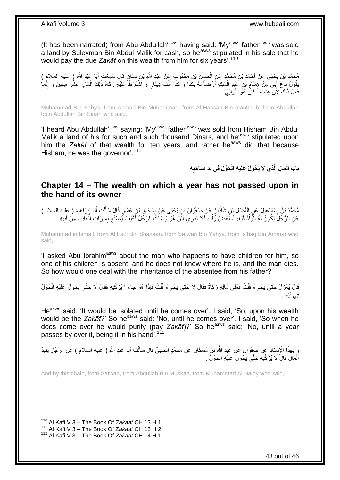(It has been narrated) from Abu Abdullah<sup>asws</sup> having said: 'My<sup>asws</sup> father<sup>asws</sup> was sold a land by Suleyman Bin Abdul Malik for cash, so he<sup>asws</sup> stipulated in his sale that he would pay the due *Zakāt* on this wealth from him for six years'.<sup>110</sup>

مُحَمَّدُ بْنُ يَحْيَى عَنْ أَحْمَدَ بْنِ مُحَمَّدٍ عَنِ الْحَسِنِ بْنِ مَحْبُوبِ عَنْ عَبْدِ اللَّهِ بْنِ سِنَانٍ قَالَ سَمِعْتُ أَبَا عَبْدِ اللَّهِ ( عليه السلامِ )<br>مُسْتَمَدُ بْنُ يَحْيَى عَنْ أَحْمَدَ بْنِ مُحَمَّدٍ ع ْ َ ُقُولُ بَاعَ أَبِي مِنْ هِشَامِ بْنِ عَبْدِ الْمَلِكِ أَرْضاً لَهُ بِكَذَا وَ كَذَا أَلْفَ دِينَارٍ وَ اشْتَرَطَ عَلَيْهِ زَكَاةَ ذَلِكَ الْمَالِ عَشْرَ سِنِينَ وَ إِنَّمَا ْ َ ِ لَ َ ْ ِ َ ِ ْ فَعَلَ ذَلِكَ لِأَنَّ هِشَاماً كَانَ هُوَ الْوَالِيَ . ْ

Muhammad Bin Yahya, from Ahmad Bin Muhammad, from Al Hassan Bin mahboub, from Abdullah bbin Abdullah Bin Sinan who said,

'I heard Abu Abdullah<sup>asws</sup> saying: 'My<sup>asws</sup> father<sup>asws</sup> was sold from Hisham Bin Abdul Malik a land of his for such and such thousand Dinars, and he<sup>asws</sup> stipulated upon him the *Zakāt* of that wealth for ten years, and rather he<sup>asws</sup> did that because Hisham, he was the governor'.<sup>111</sup>

> **ِه َحْولُ فِي َيِد َصا ِحب ْي ِه الْ ِذي ََل َي ُحولُ َعلَ َما ِل الَّ باب الْ ِ**

<span id="page-42-0"></span>**Chapter 14 – The wealth on which a year has not passed upon in the hand of its owner**

ْ مُحَمَّدُ بْنُ إِسْمَاعِيلَ عَنِ الْفَضْلِ بْنِ شَاذَانَ عَنْ صَفْوَانَ بْنِ يَحْيَى عَنْ إِسْحَاقَ بْنِ عَمَّارٍ قَالَ سَأَلْتُ أَبَا إِبْرَاهِيمَ ( عِليه السلام )<br>. َ ِ ْ ِ ِ َ عَنِ الرَّجُلِّ يَكُونُ لَهُ الْوُلْدُ فَيَغِيبُ بَعْضُ وُلْدِهِ فَلَا يَدْرِي أَيْنَ هُوَ وَ مَاتَ الرَّجُلُ فَكَيْفَ يُصنْغَعُ بِمِيرَاثِ الْغَائِبِ مِنْ أَبِيهِ ْ ْ ْ ِ َ ْ ِ َ

Muhammad in Ismail, from Al Fazl Bin Shazaan, from Safwan Bin Yahya, from Is'haq Bin Ammar who said,

'I asked Abu Ibrahim<sup>asws</sup> about the man who happens to have children for him, so one of his children is absent, and he does not know where he is, and the man dies. So how would one deal with the inheritance of the absentee from his father?'

قَالَ يُعْزَلُ حَتَّى يَجِيءَ قُلْتُ فَعَلَى مَالِهِ زَكَاةٌ فَقَالَ لَا حَتَّى يَجِيءَ قُلْتُ فَإِذَا هُوَ جَاءَ أَ يُزَكِّيهِ فَقَالَ لَا حَتَّى يَحُولَ عَلَيْهِ الْحَوْلُ ْ ْ َ ْ ِفي َيِدِه .

He<sup>asws</sup> said: 'It would be isolated until he comes over'. I said, 'So, upon his wealth would be the *Zakāt*?' So he<sup>asws</sup> said: 'No, until he comes over'. I said, 'So when he does come over he would purify (pay *Zakāt*)?' So he<sup>asws</sup> said: 'No, until a year passes by over it, being it in his hand'.<sup>112</sup>

نَ بِهَذَا الْإِسْنَادِ عَنْ صَفْوَانَ عَنْ عَبْدِ اللَّهِ بْنِ مُسْكَانَ عَنْ مُحَمَّدٍ الْحَلَبِيِّ قَالَ سَأَلْتُ أَبَا عَبْدِ اللَّهِ ( عليه السلام ) عَنِ الرَّجُلِ يُفِيدُ **∶** َ ْ ĺ ِ ْ الْمَالَ قَالَ لَا يُزَكِّيهِ حَتَّى يَحُولَ عَلَيْهِ الْحَوْلُ . ْ ْ

And by this chain, from Safwan, from Abdullah Bin Muskan, from Muhammad Al Halby who said,

<sup>110</sup> Al Kafi V 3 – The Book Of *Zakaat* CH 13 H 1

<sup>111</sup> Al Kafi V 3 – The Book Of *Zakaat* CH 13 H 2

<sup>112</sup> Al Kafi V 3 – The Book Of *Zakaat* CH 14 H 1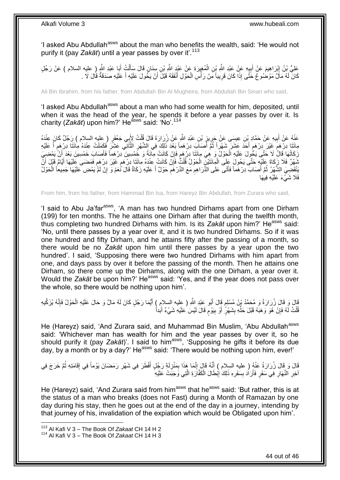'I asked Abu Abdullah<sup>asws</sup> about the man who benefits the wealth, said: 'He would not purify it (pay *Zakāt*) until a year passes by over it'.<sup>113</sup>

عَلِيُّ بْنُ إِبْرَاهِيمَ عَنْ أَبِيهِ عَنِّ عَبْدِ اللَّهِ بْنِ الْمُغِيرَةِ عَنْ عَبْدٍ اللَّهِ بْنِ سِنَانٍ قَالَ سَأَلْتُ أَبَا عَبْدِ اللَّهِ ( عليه السلام ) عَنْ رَجُلٍ ْ **!** َ ْ اً ا كَانَ لَهُ مَالٌ مَوْضُوعٌ حََّتًى إِذَا كَانَ قَرِيباً مِنْ رَأْسِ الْحَوْلِ أَنْفَقَهُ قَبْلَ أَنْ يَخُولَ عَلَيْهِ أَ عَلَيْهِ صَدَقَةٌ قَالَ لَا . َ َ َ ْ :<br>ا ِ

Ali Bin Ibrahim, from his father, from Abdullah Bin Al Mugheira, from Abdullah Bin Sinan who said,

'I asked Abu Abdullah<sup>asws</sup> about a man who had some wealth for him, deposited, until when it was the head of the year, he spends it before a year passes by over it. Is charity (*Zakāt*) upon him?' He<sup>asws</sup> said: 'No'.<sup>114</sup>

عَذْهُ عَنْ أَبِيهِ عَنْ حَمَّادِ بْنِ عِيسَى عَنْ حَرِيزٍ بْنِ عَبْدِ اللَّهِ عَنْ زُرَارَةَ قَالَ قُلْتُ لِأَبِي جَعْفَرٍ ( عِليه السلام ) رَجُلٌ كَانَ عِنْدَهُ ْ ∫<br>≀ ِ **ِ** َ **ٔ** مِائَنَا دِرْهَمَ غَيْرَ دِرْهَمِ أَحَدَ عَشَرَ شَهْراً ثُمَّ أَصَابَ دِرْهَماً بَعْدَ ذَلِكَ فِي الشَّهْرِ الثَّانِي عَشَرَ فَكَمَلَتْ عِنْدَهُ مِائَنَا دِرْهَمِ أَ عَلَيْهِ َ ان<br>الاقتصاد َ ֧֖֧֚֚֝֝֝ ڔ َ **ื** َّ ِ زَكَاتُهَا قَالُّ لَا حَتَّى يَكُولَ عَلَيْهِ الْحَوْلُ وَ هِيَ مِائَنَا دِرْهِم فَإِنْ كَانَتْ مِاّئَةً وَ خَمْسِينَ دِرْهَماً فَأَصَابَ خَمْسِينَ بَعْدَ أَنْ يَمْضِيَ ِ ٍ ْ َ َ ثَّبَهْرٌ فَلَا زَكَاةَ عَلَيْهِ حَتَّى يَحُولَ عَلَى الْمِائَتَيْنِ الْحَوْلُ قُلْتٌ فَإِنْ كَانَتْ عِنْدَهُ مِائَذ<br>شَهْرٌ فَلَا زَيَاهُ أَيَّامٌ قَبْلَ أَنْ ֧֩֘׆֧ ِ ْ ْ ْ َ َ ٍ َنْقَضِيَ الشَّهْرُ ثُمَّ أَصَابَ دِرْهَماً فَأَتَى عَلَى الذَّرَاهِمِ مَعَ الدِّرْهَمِ حَوْلٌ أَ عَلَيْهِ زَكَاةٌ قَالَ نَّعَمْ وَ إِنْ لَمَّ يَمْضِ عَلَيْهَا جَمِيعاً الْحَوْلُ **ُ** اً َ ٔ.<br>ـ ْ ِ َ **ُ** فَلَا شَـَيْءَ عَلَيْهِ فِيهَا

From him, from his father, from Hammad Bin Isa, from Hareyz Bin Abdullah, from Zurara who said,

'I said to Abu Ja'far<sup>asws</sup>, 'A man has two hundred Dirhams apart from one Dirham (199) for ten months. The he attains one Dirham after that during the twelfth month, thus completing two hundred Dirhams with him. Is its Zakat upon him?' He<sup>asws</sup> said: 'No, until there passes by a year over it, and it is two hundred Dirhams. So if it was one hundred and fifty Dirham, and he attains fifty after the passing of a month, so there would be no *Zakāt* upon him until there passes by a year upon the two hundred'. I said, 'Supposing there were two hundred Dirhams with him apart from one, and days pass by over it before the passing of the month. Then he attains one Dirham, so there come up the Dirhams, along with the one Dirham, a year over it. Would the *Zakāt* be upon him?' He<sup>asws</sup> said: 'Yes, and if the year does not pass over the whole, so there would be nothing upon him'.

لَا وَ قَالَ زُرَارَةُ وَ مُحَمَّدُ بْنِ مُسْلِم قَالَ أَبُو عَبْدِ اللَّهِ ( عِليه السلامِ ) أَيُّمَا رَجُلٍ كَانَ لَهُ مَالٌ وَ حَالَ عَلَيْهِ الْحَوْلُ فَإِنَّهُ يُزَكِّيهِ َ َ ٍ ِ ْ قُلْتُ لَهُ فَإِنْ هُوَ وَهَبَهُ قَبْلَ حَلَّهِ بِشَهْرٍ ۖ أَوْ بِيَوْمٍ قَالَ لَيْسَ عَلَيْهِ شَيْءٌ أَبَداً ْ ٍ **!** َ **∣** ِّ ِ َ

He (Hareyz) said, 'And Zurara said, and Muhammad Bin Muslim, 'Abu Abdullah<sup>asws</sup> said: 'Whichever man has wealth for him and the year passes by over it, so he should purify it (pay *Zakāt*)'. I said to him<sup>asws</sup>, 'Supposing he gifts it before its due day, by a month or by a day?' He<sup>asws</sup> said: 'There would be nothing upon him, ever!'

قَالَ وَ قَالَ زُرَارَةُ عَنْهُ ( عليه السلام ) أَنَّهُ قَالَ إِنَّمَا هَذَا بِمَنْزِلَةٍ رَجُلٍ أَفْطَرَ فِي شَهْرِ رَمَضَانَ يَوْماً فِي إِقَامَتِهِ ثُمَّ خَرَجَ فِي **∶** َ لَ **ٍ** ِ ِ َ ر<br>د ِ آخِرِ النَّهَارِ فِي سَفَرٍ فَأَرَادَ بِسَفَرِهِ ذَلِكَ إِبْطَالَ الْكَفَّاَرَةِ الَّتِي وَجَبَتْ عَلَيْهِ َّ ْ <u>֖֓</u> ِ **!** اُ **∶ ∶** 

He (Hareyz) said, 'And Zurara said from him<sup>asws</sup> that he<sup>asws</sup> said: 'But rather, this is at the status of a man who breaks (does not Fast) during a Month of Ramazan by one day during his stay, then he goes out at the end of the day in a journey, intending by that journey of his, invalidation of the expiation which would be Obligated upon him'.

<sup>113</sup> Al Kafi V 3 – The Book Of *Zakaat* CH 14 H 2

<sup>114</sup> Al Kafi V 3 – The Book Of *Zakaat* CH 14 H 3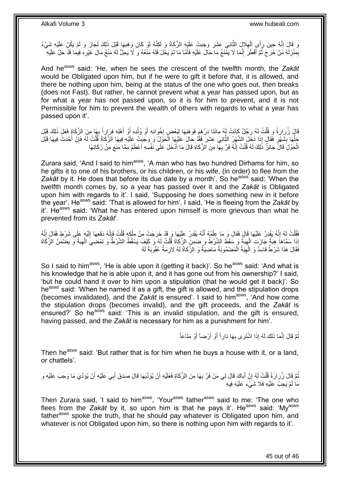وَ قَالَ إِنَّهُ حِينَ رَأَىِ الْمِلَالَ الثَّانِيَ عَشَرَ وَجَبَتْ عَلَيْهِ الزَّكَاةُ وَ لَكِنَّهُ لَوْ كَانَ وَهَبَهَا قَبْلَ ذَلِكَ لَجَازَ وَ لَمْ يَكُنْ عَلَيْهِ شَيْءٌ َّ ِ ْ ِ بِمَنْزِلَةِ مَنْ خَرَجَ ثُمَّ أَفْطَرَ إِنَّمَا لَا يَمْنَعُ مَا حَالَ عَلَيْهِ فَأُمَّا مَا لَمْ يَحُلْ فَلَهُ مَنْعُهُ وَ لَا يَحِلُّ لَهُ مَنْعُ مَالِ غَيْرِهِ فِيمَا قَدْ حَلَّ عَلَيْهِ َ יִי י ُ لَ ِ ِ ِ

And he<sup>asws</sup> said: 'He, when he sees the crescent of the twelfth month, the Zakat would be Obligated upon him, but if he were to gift it before that, it is allowed, and there be nothing upon him, being at the status of the one who goes out, then breaks (does not Fast). But rather, he cannot prevent what a year has passed upon, but as for what a year has not passed upon, so it is for him to prevent, and it is not Permissible for him to prevent the wealth of others with regards to what a year has passed upon it'.

قَالَ زُرَارَةُ وَ قُلْتُ لَهُ رَجُلٌ كَانَتْ لَهُ مِائَتَا دِرْهَم فَوَهَبَهَا لِبَعْضِ إِخْوَانِهِ أَوْ وُلْدِهِ أَوْ أَهْلِهِ فِرَاراً بِهَا مِنَ الزَّكَاةِ فَعَلَ ذَلِكَ قَبْلَ ْ ِ َ َ ْ َ  $\frac{1}{2}$ ٍ حَلِّهَا بِشَهْرٍ فَقَالَ إِذَا دَخَلَ الشَّهْرِ ۢ الثَّانِيَ عَشَرَ فَقَّدْ حَالَ عَلَيْهَا الْحَوَّلُ وَ وَجَبَتْ عَلَيْهِ فِيهَا الزَّكَاةُ فَلْتُ لَهُ فَإِنْ أَحْدَثَ فِيهَا قَبْلَ ْ َّ **∣** َ ∣ٍ إ ْ لَ الْحَوْلِ قَالَ جَائِزٌ ذَٰلِكَ لَهُ قُلْتُ إِنَّهُ فَرَّ بِهَا مِنَ الزَّكَاةِ قَالَ مَا أَدْخَلَ عَلَى نَفْسِهِ أَعْظَمُ مِمَّا مَنَعَ مِنْ زَكَاتِهَا َ َ **∶** ِ ْ ْ

Zurara said, 'And I said to him<sup>asws</sup>, 'A man who has two hundred Dirhams for him, so he gifts it to one of his brothers, or his children, or his wife, (in order) to flee from the Zakāt by it. He does that before its due date by a month'. So he<sup>asws'</sup> said: 'When the twelfth month comes by, so a year has passed over it and the *Zakāt* is Obligated upon him with regards to it'. I said, 'Supposing he does something new in it before the year'. He<sup>asws</sup> said: 'That is allowed for him'. I said, 'He is fleeing from the Zakat by it'. He<sup>asws</sup> said: 'What he has entered upon himself is more grievous than what he prevented from its *Zakāt*'.

فَقُلْتُ لَهُ إِنَّهُ يَقْدِرُ عَلَيْهَا قَالَ قَقَالَ وَ مَا عِلْمُهُ أَنَّهُ يَقْدِرُ عَلِيْهَا وَ قَدْ خَرَجَتْ مِنْ مِلْكِهِ قُلْتُ فَإِنَّهُ دَفَعَهَا إِلَيْهِ عَلَى شَرْطٍ فَقَالَ إِنَّهُ ْ َ ْ ِ .<br>ا لَ ِ ׀ו<br>ِי ْ ِ َ إِذَا سَمَّاهَا هِبَةً جَازَتِ الْهِبَةُ وَ سَقَطَ الشَّرْطُ وَ ضَمِنَ الزَّكَاةَ قُلْتُ لَهُ وَ كَيْفٍ يَسْقُطُ الشَّرْطُ وَ تَمْضِيَ الْهِبَةُ وَ يَضْمُنُ الزَّكَاةَ ْ ِ ْ ِ ْ فَّقَالَ هَذَا شَرْطٌ فَاسِدٌ وَ الْهَِبَةُ الْمَضْمُونَةُ مَاضِيَةٌ وَ الزَّكَاةُ لَهُ لَازِمَةٌ عُقُوبَةً لَهُ ْ ِ ْ **∶** 

So I said to him<sup>asws</sup>, 'He is able upon it (getting it back)'. So he<sup>asws</sup> said: 'And what is his knowledge that he is able upon it, and it has gone out from his ownership?' I said, 'but he could hand it over to him upon a stipulation (that he would get it back)'. So he<sup>asws</sup> said: 'When he named it as a gift, the gift is allowed, and the stipulation drops (becomes invalidated), and the Zakat is ensured'. I said to him<sup>asws</sup>, 'And how come the stipulation drops (becomes invalid), and the gift proceeds, and the *Zakāt* is ensured?' So he<sup>asws</sup> said: 'This is an invalid stipulation, and the gift is ensured, having passed, and the *Zakāt* is necessary for him as a punishment for him'.

> **∶** ثُمَّ قَالَ إِنَّمَا ذَلِكَ لَهُ إِذَا اشْتَرَى بِهَا دَاراً أَوْ أَرْضاً أَوْ مَتَاعاً ِ ُ َ َ

Then he<sup>asws</sup> said: 'But rather that is for him when he buys a house with it, or a land, or chattels'.

نُّمَّ قَالَ زُرَارَةُ قُلْتُ لَهُ إِنَّ أَبَاكَ قَالَ لِي مَنْ فَرَّ بِهَا مِنَ الزَّكَاةِ فَعَلَيْهِ أَنْ يُؤَدِّيَهَا أَنْ يُؤَدِّيَهَا مَا وَجَبَ عَلَيْهِ وَ **∶** َ יִי, ْ َ َ مَا لَمْ يَجِبْ عَلَيْهِ فَلَا شَيْءَ عَلَيْهِ فِيهِ

Then Zurara said, 'I said to him<sup>asws</sup>, 'Your<sup>asws</sup> father<sup>asws</sup> said to me: 'The one who flees from the Zakat by it, so upon him is that he pays it'. He<sup>asws</sup> said: 'My<sup>asws</sup> father<sup>asws</sup> spoke the truth, that he should pay whatever is Obligated upon him, and whatever is not Obligated upon him, so there is nothing upon him with regards to it'.